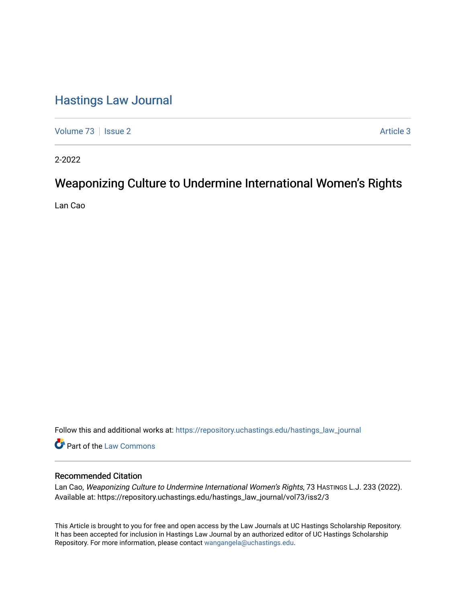# [Hastings Law Journal](https://repository.uchastings.edu/hastings_law_journal)

[Volume 73](https://repository.uchastings.edu/hastings_law_journal/vol73) | [Issue 2](https://repository.uchastings.edu/hastings_law_journal/vol73/iss2) Article 3

2-2022

# Weaponizing Culture to Undermine International Women's Rights

Lan Cao

Follow this and additional works at: [https://repository.uchastings.edu/hastings\\_law\\_journal](https://repository.uchastings.edu/hastings_law_journal?utm_source=repository.uchastings.edu%2Fhastings_law_journal%2Fvol73%2Fiss2%2F3&utm_medium=PDF&utm_campaign=PDFCoverPages) 

Part of the [Law Commons](http://network.bepress.com/hgg/discipline/578?utm_source=repository.uchastings.edu%2Fhastings_law_journal%2Fvol73%2Fiss2%2F3&utm_medium=PDF&utm_campaign=PDFCoverPages)

### Recommended Citation

Lan Cao, Weaponizing Culture to Undermine International Women's Rights, 73 HASTINGS L.J. 233 (2022). Available at: https://repository.uchastings.edu/hastings\_law\_journal/vol73/iss2/3

This Article is brought to you for free and open access by the Law Journals at UC Hastings Scholarship Repository. It has been accepted for inclusion in Hastings Law Journal by an authorized editor of UC Hastings Scholarship Repository. For more information, please contact [wangangela@uchastings.edu](mailto:wangangela@uchastings.edu).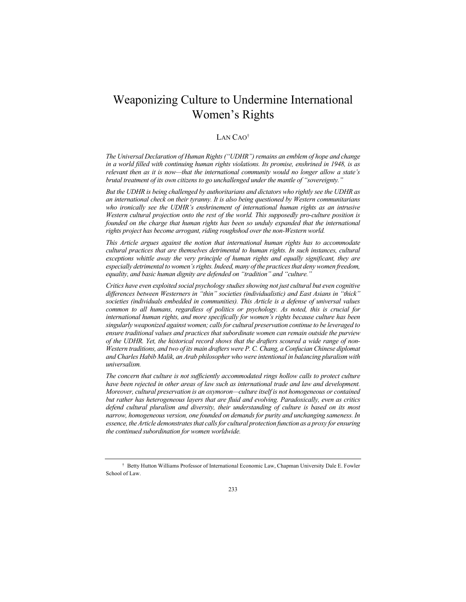## Weaponizing Culture to Undermine International Women's Rights

#### LAN CAO†

*The Universal Declaration of Human Rights ("UDHR") remains an emblem of hope and change in a world filled with continuing human rights violations. Its promise, enshrined in 1948, is as relevant then as it is now—that the international community would no longer allow a state's brutal treatment of its own citizens to go unchallenged under the mantle of "sovereignty."*

*But the UDHR is being challenged by authoritarians and dictators who rightly see the UDHR as an international check on their tyranny. It is also being questioned by Western communitarians who ironically see the UDHR's enshrinement of international human rights as an intrusive Western cultural projection onto the rest of the world. This supposedly pro-culture position is founded on the charge that human rights has been so unduly expanded that the international rights project has become arrogant, riding roughshod over the non-Western world.*

*This Article argues against the notion that international human rights has to accommodate cultural practices that are themselves detrimental to human rights. In such instances, cultural exceptions whittle away the very principle of human rights and equally significant, they are especially detrimental to women's rights. Indeed, many of the practices that deny women freedom, equality, and basic human dignity are defended on "tradition" and "culture."*

*Critics have even exploited social psychology studies showing not just cultural but even cognitive differences between Westerners in "thin" societies (individualistic) and East Asians in "thick" societies (individuals embedded in communities). This Article is a defense of universal values common to all humans, regardless of politics or psychology. As noted, this is crucial for international human rights, and more specifically for women's rights because culture has been singularly weaponized against women; calls for cultural preservation continue to be leveraged to ensure traditional values and practices that subordinate women can remain outside the purview of the UDHR. Yet, the historical record shows that the drafters scoured a wide range of non-Western traditions, and two of its main drafters were P. C. Chang, a Confucian Chinese diplomat and Charles Habib Malik, an Arab philosopher who were intentional in balancing pluralism with universalism.*

*The concern that culture is not sufficiently accommodated rings hollow calls to protect culture have been rejected in other areas of law such as international trade and law and development. Moreover, cultural preservation is an oxymoron—culture itself is not homogeneous or contained but rather has heterogeneous layers that are fluid and evolving. Paradoxically, even as critics defend cultural pluralism and diversity, their understanding of culture is based on its most narrow, homogeneous version, one founded on demands for purity and unchanging sameness. In essence, the Article demonstrates that calls for cultural protection function as a proxy for ensuring the continued subordination for women worldwide.*

<sup>†</sup> Betty Hutton Williams Professor of International Economic Law, Chapman University Dale E. Fowler School of Law.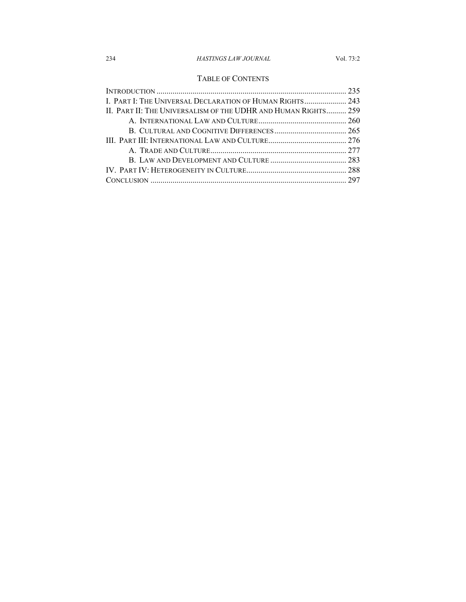### TABLE OF CONTENTS

| I. PART I: THE UNIVERSAL DECLARATION OF HUMAN RIGHTS 243       |  |
|----------------------------------------------------------------|--|
| II. PART II: THE UNIVERSALISM OF THE UDHR AND HUMAN RIGHTS 259 |  |
|                                                                |  |
|                                                                |  |
|                                                                |  |
|                                                                |  |
|                                                                |  |
|                                                                |  |
|                                                                |  |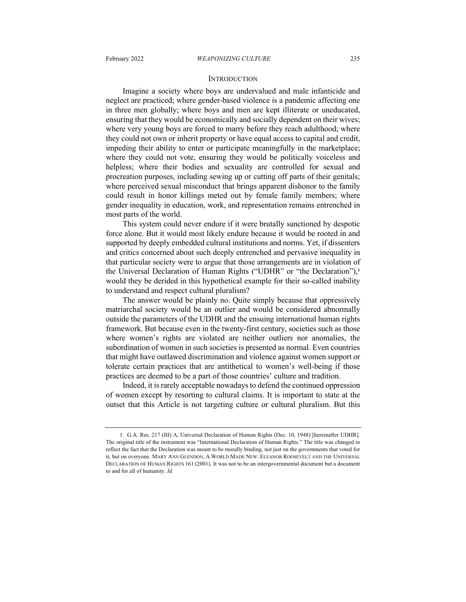#### **INTRODUCTION**

Imagine a society where boys are undervalued and male infanticide and neglect are practiced; where gender-based violence is a pandemic affecting one in three men globally; where boys and men are kept illiterate or uneducated, ensuring that they would be economically and socially dependent on their wives; where very young boys are forced to marry before they reach adulthood; where they could not own or inherit property or have equal access to capital and credit, impeding their ability to enter or participate meaningfully in the marketplace; where they could not vote, ensuring they would be politically voiceless and helpless; where their bodies and sexuality are controlled for sexual and procreation purposes, including sewing up or cutting off parts of their genitals; where perceived sexual misconduct that brings apparent dishonor to the family could result in honor killings meted out by female family members; where gender inequality in education, work, and representation remains entrenched in most parts of the world.

This system could never endure if it were brutally sanctioned by despotic force alone. But it would most likely endure because it would be rooted in and supported by deeply embedded cultural institutions and norms. Yet, if dissenters and critics concerned about such deeply entrenched and pervasive inequality in that particular society were to argue that those arrangements are in violation of the Universal Declaration of Human Rights ("UDHR" or "the Declaration"),<sup>1</sup> would they be derided in this hypothetical example for their so-called inability to understand and respect cultural pluralism?

The answer would be plainly no. Quite simply because that oppressively matriarchal society would be an outlier and would be considered abnormally outside the parameters of the UDHR and the ensuing international human rights framework. But because even in the twenty-first century, societies such as those where women's rights are violated are neither outliers nor anomalies, the subordination of women in such societies is presented as normal. Even countries that might have outlawed discrimination and violence against women support or tolerate certain practices that are antithetical to women's well-being if those practices are deemed to be a part of those countries' culture and tradition.

Indeed, it is rarely acceptable nowadays to defend the continued oppression of women except by resorting to cultural claims. It is important to state at the outset that this Article is not targeting culture or cultural pluralism. But this

<sup>1</sup>*.* G.A. Res. 217 (III) A, Universal Declaration of Human Rights (Dec. 10, 1948) [hereinafter UDHR]. The original title of the instrument was "International Declaration of Human Rights." The title was changed to reflect the fact that the Declaration was meant to be morally binding, not just on the governments that voted for it, but on everyone. MARY ANN GLENDON, A WORLD MADE NEW: ELEANOR ROOSEVELT AND THE UNIVERSAL DECLARATION OF HUMAN RIGHTS 161 (2001). It was not to be an intergovernmental document but a document to and for all of humanity. *Id.*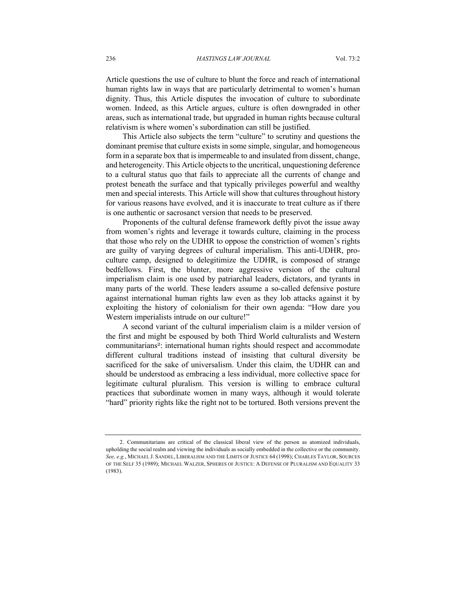Article questions the use of culture to blunt the force and reach of international human rights law in ways that are particularly detrimental to women's human dignity. Thus, this Article disputes the invocation of culture to subordinate women. Indeed, as this Article argues, culture is often downgraded in other areas, such as international trade, but upgraded in human rights because cultural relativism is where women's subordination can still be justified.

This Article also subjects the term "culture" to scrutiny and questions the dominant premise that culture exists in some simple, singular, and homogeneous form in a separate box that is impermeable to and insulated from dissent, change, and heterogeneity. This Article objects to the uncritical, unquestioning deference to a cultural status quo that fails to appreciate all the currents of change and protest beneath the surface and that typically privileges powerful and wealthy men and special interests. This Article will show that cultures throughout history for various reasons have evolved, and it is inaccurate to treat culture as if there is one authentic or sacrosanct version that needs to be preserved.

Proponents of the cultural defense framework deftly pivot the issue away from women's rights and leverage it towards culture, claiming in the process that those who rely on the UDHR to oppose the constriction of women's rights are guilty of varying degrees of cultural imperialism. This anti-UDHR, proculture camp, designed to delegitimize the UDHR, is composed of strange bedfellows. First, the blunter, more aggressive version of the cultural imperialism claim is one used by patriarchal leaders, dictators, and tyrants in many parts of the world. These leaders assume a so-called defensive posture against international human rights law even as they lob attacks against it by exploiting the history of colonialism for their own agenda: "How dare you Western imperialists intrude on our culture!"

A second variant of the cultural imperialism claim is a milder version of the first and might be espoused by both Third World culturalists and Western communitarians<sup>2</sup>: international human rights should respect and accommodate different cultural traditions instead of insisting that cultural diversity be sacrificed for the sake of universalism. Under this claim, the UDHR can and should be understood as embracing a less individual, more collective space for legitimate cultural pluralism. This version is willing to embrace cultural practices that subordinate women in many ways, although it would tolerate "hard" priority rights like the right not to be tortured. Both versions prevent the

<sup>2.</sup> Communitarians are critical of the classical liberal view of the person as atomized individuals, upholding the social realm and viewing the individuals as socially embedded in the collective or the community. *See, e.g.*, MICHAEL J. SANDEL, LIBERALISM AND THE LIMITS OF JUSTICE 64 (1998); CHARLES TAYLOR, SOURCES OF THE SELF 35 (1989); MICHAEL WALZER, SPHERES OF JUSTICE: A DEFENSE OF PLURALISM AND EQUALITY 33 (1983).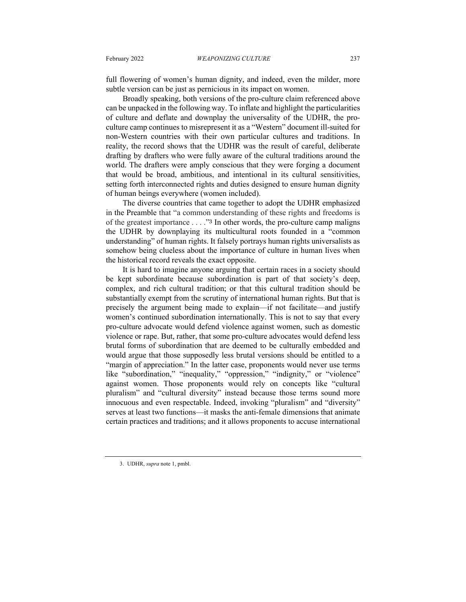full flowering of women's human dignity, and indeed, even the milder, more subtle version can be just as pernicious in its impact on women.

Broadly speaking, both versions of the pro-culture claim referenced above can be unpacked in the following way. To inflate and highlight the particularities of culture and deflate and downplay the universality of the UDHR, the proculture camp continues to misrepresent it as a "Western" document ill-suited for non-Western countries with their own particular cultures and traditions. In reality, the record shows that the UDHR was the result of careful, deliberate drafting by drafters who were fully aware of the cultural traditions around the world. The drafters were amply conscious that they were forging a document that would be broad, ambitious, and intentional in its cultural sensitivities, setting forth interconnected rights and duties designed to ensure human dignity of human beings everywhere (women included).

The diverse countries that came together to adopt the UDHR emphasized in the Preamble that "a common understanding of these rights and freedoms is of the greatest importance . . . ."<sup>3</sup> In other words, the pro-culture camp maligns the UDHR by downplaying its multicultural roots founded in a "common understanding" of human rights. It falsely portrays human rights universalists as somehow being clueless about the importance of culture in human lives when the historical record reveals the exact opposite.

It is hard to imagine anyone arguing that certain races in a society should be kept subordinate because subordination is part of that society's deep, complex, and rich cultural tradition; or that this cultural tradition should be substantially exempt from the scrutiny of international human rights. But that is precisely the argument being made to explain—if not facilitate—and justify women's continued subordination internationally. This is not to say that every pro-culture advocate would defend violence against women, such as domestic violence or rape. But, rather, that some pro-culture advocates would defend less brutal forms of subordination that are deemed to be culturally embedded and would argue that those supposedly less brutal versions should be entitled to a "margin of appreciation." In the latter case, proponents would never use terms like "subordination," "inequality," "oppression," "indignity," or "violence" against women. Those proponents would rely on concepts like "cultural pluralism" and "cultural diversity" instead because those terms sound more innocuous and even respectable. Indeed, invoking "pluralism" and "diversity" serves at least two functions—it masks the anti-female dimensions that animate certain practices and traditions; and it allows proponents to accuse international

<sup>3.</sup> UDHR, *supra* note 1, pmbl.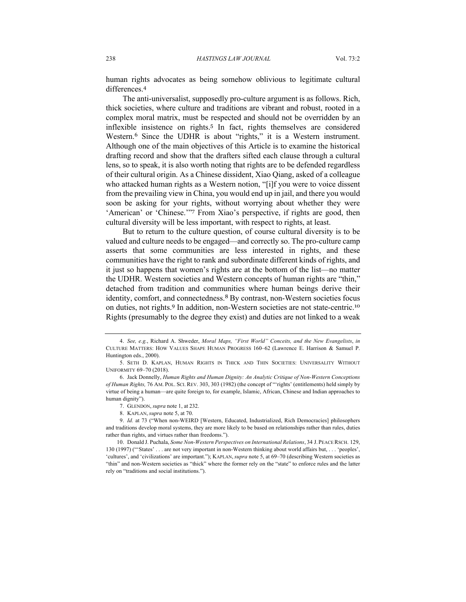human rights advocates as being somehow oblivious to legitimate cultural differences.<sup>4</sup>

The anti-universalist, supposedly pro-culture argument is as follows. Rich, thick societies, where culture and traditions are vibrant and robust, rooted in a complex moral matrix, must be respected and should not be overridden by an inflexible insistence on rights.<sup>5</sup> In fact, rights themselves are considered Western.<sup>6</sup> Since the UDHR is about "rights," it is a Western instrument. Although one of the main objectives of this Article is to examine the historical drafting record and show that the drafters sifted each clause through a cultural lens, so to speak, it is also worth noting that rights are to be defended regardless of their cultural origin. As a Chinese dissident, Xiao Qiang, asked of a colleague who attacked human rights as a Western notion, "[i]f you were to voice dissent from the prevailing view in China, you would end up in jail, and there you would soon be asking for your rights, without worrying about whether they were 'American' or 'Chinese.'"<sup>7</sup> From Xiao's perspective, if rights are good, then cultural diversity will be less important, with respect to rights, at least.

But to return to the culture question, of course cultural diversity is to be valued and culture needs to be engaged—and correctly so. The pro-culture camp asserts that some communities are less interested in rights, and these communities have the right to rank and subordinate different kinds of rights, and it just so happens that women's rights are at the bottom of the list—no matter the UDHR. Western societies and Western concepts of human rights are "thin," detached from tradition and communities where human beings derive their identity, comfort, and connectedness.<sup>8</sup> By contrast, non-Western societies focus on duties, not rights.<sup>9</sup> In addition, non-Western societies are not state-centric.<sup>10</sup> Rights (presumably to the degree they exist) and duties are not linked to a weak

<sup>4.</sup> *See, e.g.*, Richard A. Shweder, *Moral Maps, "First World" Conceits, and the New Evangelists*, *in* CULTURE MATTERS: HOW VALUES SHAPE HUMAN PROGRESS 160–62 (Lawrence E. Harrison & Samuel P. Huntington eds., 2000).

<sup>5.</sup> SETH D. KAPLAN, HUMAN RIGHTS IN THICK AND THIN SOCIETIES: UNIVERSALITY WITHOUT UNIFORMITY 69–70 (2018).

<sup>6.</sup> Jack Donnelly, *Human Rights and Human Dignity: An Analytic Critique of Non-Western Conceptions of Human Rights,* 76 AM. POL. SCI. REV. 303, 303 (1982) (the concept of "'rights' (entitlements) held simply by virtue of being a human—are quite foreign to, for example, Islamic, African, Chinese and Indian approaches to human dignity").

<sup>7.</sup> GLENDON, *supra* note 1, at 232.

<sup>8.</sup> KAPLAN, *supra* note 5, at 70.

<sup>9.</sup> *Id.* at 73 ("When non-WEIRD [Western, Educated, Industrialized, Rich Democracies] philosophers and traditions develop moral systems, they are more likely to be based on relationships rather than rules, duties rather than rights, and virtues rather than freedoms.").

<sup>10.</sup> Donald J. Puchala, *Some Non-Western Perspectives on International Relations*, 34 J. PEACE RSCH. 129, 130 (1997) ("'States' . . . are not very important in non-Western thinking about world affairs but, . . . 'peoples', 'cultures', and 'civilizations' are important."); KAPLAN, *supra* note 5, at 69–70 (describing Western societies as "thin" and non-Western societies as "thick" where the former rely on the "state" to enforce rules and the latter rely on "traditions and social institutions.").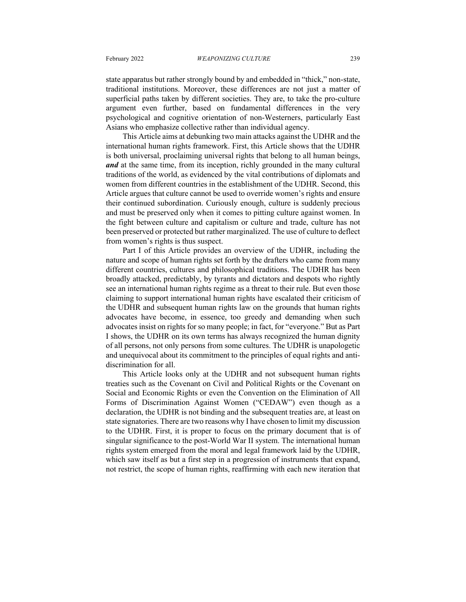state apparatus but rather strongly bound by and embedded in "thick," non-state, traditional institutions. Moreover, these differences are not just a matter of superficial paths taken by different societies. They are, to take the pro-culture argument even further, based on fundamental differences in the very psychological and cognitive orientation of non-Westerners, particularly East Asians who emphasize collective rather than individual agency.

This Article aims at debunking two main attacks against the UDHR and the international human rights framework. First, this Article shows that the UDHR is both universal, proclaiming universal rights that belong to all human beings, *and* at the same time, from its inception, richly grounded in the many cultural traditions of the world, as evidenced by the vital contributions of diplomats and women from different countries in the establishment of the UDHR. Second, this Article argues that culture cannot be used to override women's rights and ensure their continued subordination. Curiously enough, culture is suddenly precious and must be preserved only when it comes to pitting culture against women. In the fight between culture and capitalism or culture and trade, culture has not been preserved or protected but rather marginalized. The use of culture to deflect from women's rights is thus suspect.

Part I of this Article provides an overview of the UDHR, including the nature and scope of human rights set forth by the drafters who came from many different countries, cultures and philosophical traditions. The UDHR has been broadly attacked, predictably, by tyrants and dictators and despots who rightly see an international human rights regime as a threat to their rule. But even those claiming to support international human rights have escalated their criticism of the UDHR and subsequent human rights law on the grounds that human rights advocates have become, in essence, too greedy and demanding when such advocates insist on rights for so many people; in fact, for "everyone." But as Part I shows, the UDHR on its own terms has always recognized the human dignity of all persons, not only persons from some cultures. The UDHR is unapologetic and unequivocal about its commitment to the principles of equal rights and antidiscrimination for all.

This Article looks only at the UDHR and not subsequent human rights treaties such as the Covenant on Civil and Political Rights or the Covenant on Social and Economic Rights or even the Convention on the Elimination of All Forms of Discrimination Against Women ("CEDAW") even though as a declaration, the UDHR is not binding and the subsequent treaties are, at least on state signatories. There are two reasons why I have chosen to limit my discussion to the UDHR. First, it is proper to focus on the primary document that is of singular significance to the post-World War II system. The international human rights system emerged from the moral and legal framework laid by the UDHR, which saw itself as but a first step in a progression of instruments that expand, not restrict, the scope of human rights, reaffirming with each new iteration that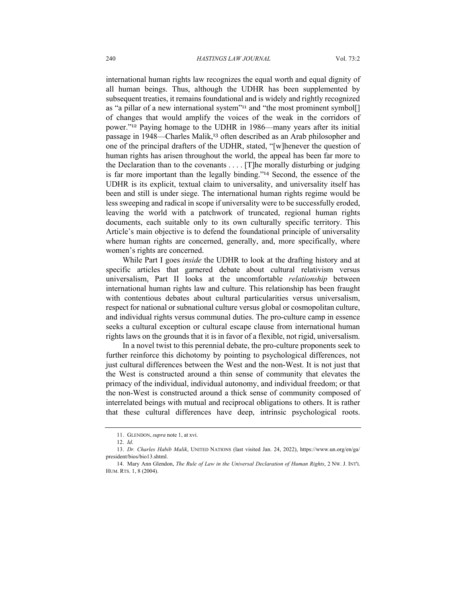international human rights law recognizes the equal worth and equal dignity of all human beings. Thus, although the UDHR has been supplemented by subsequent treaties, it remains foundational and is widely and rightly recognized as "a pillar of a new international system"<sup>11</sup> and "the most prominent symbol[] of changes that would amplify the voices of the weak in the corridors of power."<sup>12</sup> Paying homage to the UDHR in 1986—many years after its initial passage in 1948—Charles Malik,<sup>13</sup> often described as an Arab philosopher and one of the principal drafters of the UDHR, stated, "[w]henever the question of human rights has arisen throughout the world, the appeal has been far more to the Declaration than to the covenants . . . . [T]he morally disturbing or judging is far more important than the legally binding."<sup>14</sup> Second, the essence of the UDHR is its explicit, textual claim to universality, and universality itself has been and still is under siege. The international human rights regime would be less sweeping and radical in scope if universality were to be successfully eroded, leaving the world with a patchwork of truncated, regional human rights documents, each suitable only to its own culturally specific territory. This Article's main objective is to defend the foundational principle of universality where human rights are concerned, generally, and, more specifically, where women's rights are concerned.

While Part I goes *inside* the UDHR to look at the drafting history and at specific articles that garnered debate about cultural relativism versus universalism, Part II looks at the uncomfortable *relationship* between international human rights law and culture. This relationship has been fraught with contentious debates about cultural particularities versus universalism, respect for national or subnational culture versus global or cosmopolitan culture, and individual rights versus communal duties. The pro-culture camp in essence seeks a cultural exception or cultural escape clause from international human rights laws on the grounds that it is in favor of a flexible, not rigid, universalism.

In a novel twist to this perennial debate, the pro-culture proponents seek to further reinforce this dichotomy by pointing to psychological differences, not just cultural differences between the West and the non-West. It is not just that the West is constructed around a thin sense of community that elevates the primacy of the individual, individual autonomy, and individual freedom; or that the non-West is constructed around a thick sense of community composed of interrelated beings with mutual and reciprocal obligations to others. It is rather that these cultural differences have deep, intrinsic psychological roots.

<sup>11.</sup> GLENDON, *supra* note 1, at xvi.

<sup>12.</sup> *Id*.

<sup>13.</sup> *Dr. Charles Habib Malik*, UNITED NATIONS (last visited Jan. 24, 2022), https://www.un.org/en/ga/ president/bios/bio13.shtml.

<sup>14.</sup> Mary Ann Glendon, *The Rule of Law in the Universal Declaration of Human Rights*, 2 NW. J. INT'L HUM. RTS. 1, 8 (2004).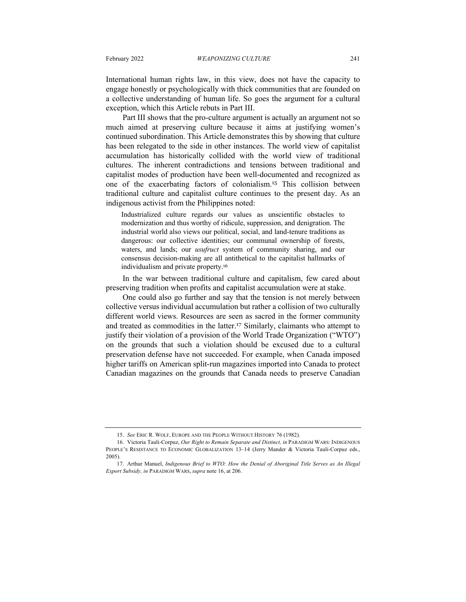International human rights law, in this view, does not have the capacity to engage honestly or psychologically with thick communities that are founded on a collective understanding of human life. So goes the argument for a cultural exception, which this Article rebuts in Part III.

Part III shows that the pro-culture argument is actually an argument not so much aimed at preserving culture because it aims at justifying women's continued subordination. This Article demonstrates this by showing that culture has been relegated to the side in other instances. The world view of capitalist accumulation has historically collided with the world view of traditional cultures. The inherent contradictions and tensions between traditional and capitalist modes of production have been well-documented and recognized as one of the exacerbating factors of colonialism.<sup>15</sup> This collision between traditional culture and capitalist culture continues to the present day. As an indigenous activist from the Philippines noted:

Industrialized culture regards our values as unscientific obstacles to modernization and thus worthy of ridicule, suppression, and denigration. The industrial world also views our political, social, and land-tenure traditions as dangerous: our collective identities; our communal ownership of forests, waters, and lands; our *usufruct* system of community sharing, and our consensus decision-making are all antithetical to the capitalist hallmarks of individualism and private property.<sup>16</sup>

In the war between traditional culture and capitalism, few cared about preserving tradition when profits and capitalist accumulation were at stake.

One could also go further and say that the tension is not merely between collective versus individual accumulation but rather a collision of two culturally different world views. Resources are seen as sacred in the former community and treated as commodities in the latter.<sup>17</sup> Similarly, claimants who attempt to justify their violation of a provision of the World Trade Organization ("WTO") on the grounds that such a violation should be excused due to a cultural preservation defense have not succeeded. For example, when Canada imposed higher tariffs on American split-run magazines imported into Canada to protect Canadian magazines on the grounds that Canada needs to preserve Canadian

<sup>15.</sup> *See* ERIC R. WOLF, EUROPE AND THE PEOPLE WITHOUT HISTORY 76 (1982).

<sup>16.</sup> Victoria Tauli-Corpuz, *Our Right to Remain Separate and Distinct, in* PARADIGM WARS: INDIGENOUS PEOPLE'S RESISTANCE TO ECONOMIC GLOBALIZATION 13–14 (Jerry Mander & Victoria Tauli-Corpuz eds., 2005).

<sup>17.</sup> Arthur Manuel, *Indigenous Brief to WTO: How the Denial of Aboriginal Title Serves as An Illegal Export Subsidy, in* PARADIGM WARS, *supra* note 16, at 206.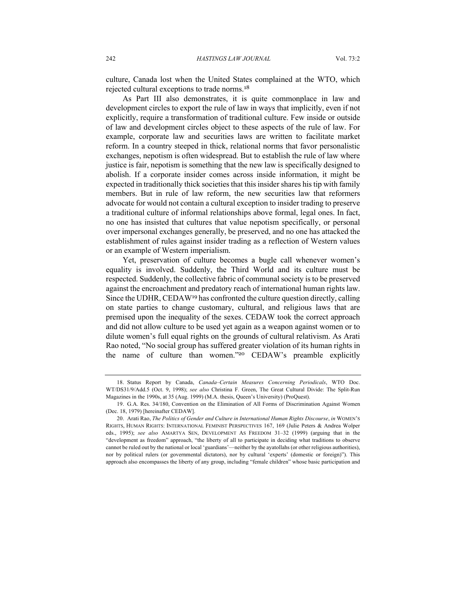culture, Canada lost when the United States complained at the WTO, which rejected cultural exceptions to trade norms.<sup>18</sup>

As Part III also demonstrates, it is quite commonplace in law and development circles to export the rule of law in ways that implicitly, even if not explicitly, require a transformation of traditional culture. Few inside or outside of law and development circles object to these aspects of the rule of law. For example, corporate law and securities laws are written to facilitate market reform. In a country steeped in thick, relational norms that favor personalistic exchanges, nepotism is often widespread. But to establish the rule of law where justice is fair, nepotism is something that the new law is specifically designed to abolish. If a corporate insider comes across inside information, it might be expected in traditionally thick societies that this insider shares his tip with family members. But in rule of law reform, the new securities law that reformers advocate for would not contain a cultural exception to insider trading to preserve a traditional culture of informal relationships above formal, legal ones. In fact, no one has insisted that cultures that value nepotism specifically, or personal over impersonal exchanges generally, be preserved, and no one has attacked the establishment of rules against insider trading as a reflection of Western values or an example of Western imperialism.

Yet, preservation of culture becomes a bugle call whenever women's equality is involved. Suddenly, the Third World and its culture must be respected. Suddenly, the collective fabric of communal society is to be preserved against the encroachment and predatory reach of international human rights law. Since the UDHR, CEDAW<sup>19</sup> has confronted the culture question directly, calling on state parties to change customary, cultural, and religious laws that are premised upon the inequality of the sexes. CEDAW took the correct approach and did not allow culture to be used yet again as a weapon against women or to dilute women's full equal rights on the grounds of cultural relativism. As Arati Rao noted, "No social group has suffered greater violation of its human rights in the name of culture than women."<sup>20</sup> CEDAW's preamble explicitly

<sup>18.</sup> Status Report by Canada, *Canada–Certain Measures Concerning Periodicals*, WTO Doc. WT/DS31/9/Add.5 (Oct. 9, 1998); *see also* Christina F. Green, The Great Cultural Divide: The Split-Run Magazines in the 1990s, at 35 (Aug. 1999) (M.A. thesis, Queen's University) (ProQuest).

<sup>19.</sup> G.A. Res. 34/180, Convention on the Elimination of All Forms of Discrimination Against Women (Dec. 18, 1979) [hereinafter CEDAW].

<sup>20.</sup> Arati Rao, *The Politics of Gender and Culture in International Human Rights Discourse*, *in* WOMEN'S RIGHTS, HUMAN RIGHTS: INTERNATIONAL FEMINIST PERSPECTIVES 167, 169 (Julie Peters & Andrea Wolper eds., 1995); *see also* AMARTYA SEN, DEVELOPMENT AS FREEDOM 31–32 (1999) (arguing that in the "development as freedom" approach, "the liberty of all to participate in deciding what traditions to observe cannot be ruled out by the national or local 'guardians'—neither by the ayatollahs (or other religious authorities), nor by political rulers (or governmental dictators), nor by cultural 'experts' (domestic or foreign)"). This approach also encompasses the liberty of any group, including "female children" whose basic participation and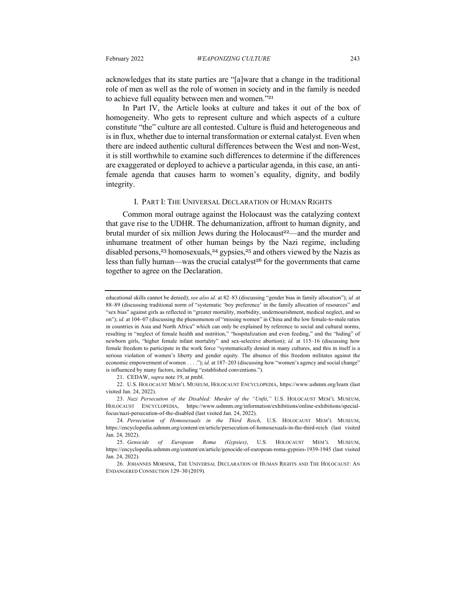acknowledges that its state parties are "[a]ware that a change in the traditional role of men as well as the role of women in society and in the family is needed to achieve full equality between men and women."<sup>21</sup>

In Part IV, the Article looks at culture and takes it out of the box of homogeneity. Who gets to represent culture and which aspects of a culture constitute "the" culture are all contested. Culture is fluid and heterogeneous and is in flux, whether due to internal transformation or external catalyst. Even when there are indeed authentic cultural differences between the West and non-West, it is still worthwhile to examine such differences to determine if the differences are exaggerated or deployed to achieve a particular agenda, in this case, an antifemale agenda that causes harm to women's equality, dignity, and bodily integrity.

#### I. PART I: THE UNIVERSAL DECLARATION OF HUMAN RIGHTS

Common moral outrage against the Holocaust was the catalyzing context that gave rise to the UDHR. The dehumanization, affront to human dignity, and brutal murder of six million Jews during the Holocaust<sup>22</sup>—and the murder and inhumane treatment of other human beings by the Nazi regime, including disabled persons,<sup>23</sup> homosexuals,<sup>24</sup> gypsies,<sup>25</sup> and others viewed by the Nazis as less than fully human—was the crucial catalyst<sup>26</sup> for the governments that came together to agree on the Declaration.

21. CEDAW, *supra* note 19, at pmbl.

22. U.S. HOLOCAUST MEM'L MUSEUM, HOLOCAUST ENCYCLOPEDIA, https://www.ushmm.org/learn (last visited Jan. 24, 2022).

23. *Nazi Persecution of the Disabled: Murder of the "Unfit*,*"* U.S. HOLOCAUST MEM'L MUSEUM, HOLOCAUST ENCYCLOPEDIA, https://www.ushmm.org/information/exhibitions/online-exhibitions/specialfocus/nazi-persecution-of-the-disabled (last visited Jan. 24, 2022).

educational skills cannot be denied); *see also id.* at 82–83 (discussing "gender bias in family allocation"); *id .*at 88–89 (discussing traditional norm of "systematic 'boy preference' in the family allocation of resources" and "sex bias" against girls as reflected in "greater mortality, morbidity, undernourishment, medical neglect, and so on"); *id.* at 104–07 (discussing the phenomenon of "missing women" in China and the low female-to-male ratios in countries in Asia and North Africa" which can only be explained by reference to social and cultural norms, resulting in "neglect of female health and nutrition," "hospitalization and even feeding," and the "hiding" of newborn girls, "higher female infant mortality" and sex-selective abortion); *id.* at 115–16 (discussing how female freedom to participate in the work force "systematically denied in many cultures, and this in itself is a serious violation of women's liberty and gender equity. The absence of this freedom militates against the economic empowerment of women . . . ."); *id.* at 187-203 (discussing how "women's agency and social change" is influenced by many factors, including "established conventions.").

<sup>24.</sup> *Persecution of Homosexuals in the Third Reich*, U.S. HOLOCAUST MEM'L MUSEUM, https://encyclopedia.ushmm.org/content/en/article/persecution-of-homosexuals-in-the-third-reich (last visited Jan. 24, 2022).

<sup>25.</sup> *Genocide of European Roma (Gypsies)*, U.S. HOLOCAUST MEM'L MUSEUM, https://encyclopedia.ushmm.org/content/en/article/genocide-of-european-roma-gypsies-1939-1945 (last visited Jan. 24, 2022).

<sup>26.</sup> JOHANNES MORSINK, THE UNIVERSAL DECLARATION OF HUMAN RIGHTS AND THE HOLOCAUST: AN ENDANGERED CONNECTION 129–30 (2019).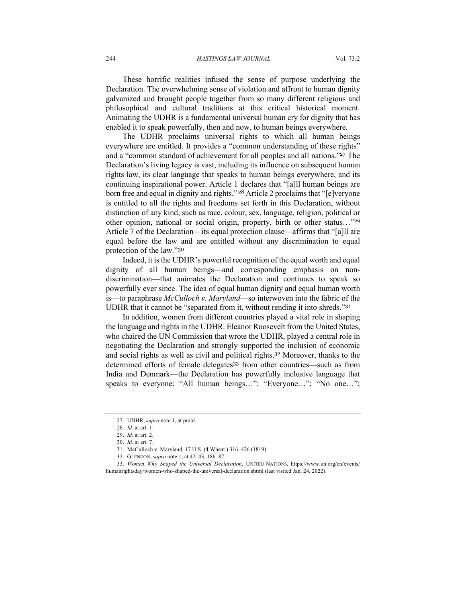244 *HASTINGS LAW JOURNAL* Vol. 73:2

These horrific realities infused the sense of purpose underlying the Declaration. The overwhelming sense of violation and affront to human dignity galvanized and brought people together from so many different religious and philosophical and cultural traditions at this critical historical moment. Animating the UDHR is a fundamental universal human cry for dignity that has enabled it to speak powerfully, then and now, to human beings everywhere.

The UDHR proclaims universal rights to which all human beings everywhere are entitled. It provides a "common understanding of these rights" and a "common standard of achievement for all peoples and all nations."<sup>27</sup> The Declaration's living legacy is vast, including its influence on subsequent human rights law, its clear language that speaks to human beings everywhere, and its continuing inspirational power. Article 1 declares that "[a]ll human beings are born free and equal in dignity and rights." <sup>28</sup> Article 2 proclaims that "[e]veryone is entitled to all the rights and freedoms set forth in this Declaration, without distinction of any kind, such as race, colour, sex, language, religion, political or other opinion, national or social origin, property, birth or other status…"<sup>29</sup> Article 7 of the Declaration—its equal protection clause—affirms that "[a]ll are equal before the law and are entitled without any discrimination to equal protection of the law."<sup>30</sup>

Indeed, it is the UDHR's powerful recognition of the equal worth and equal dignity of all human beings—and corresponding emphasis on nondiscrimination—that animates the Declaration and continues to speak so powerfully ever since. The idea of equal human dignity and equal human worth is—to paraphrase *McCulloch v. Maryland*—so interwoven into the fabric of the UDHR that it cannot be "separated from it, without rending it into shreds."<sup>31</sup>

In addition, women from different countries played a vital role in shaping the language and rights in the UDHR. Eleanor Roosevelt from the United States, who chaired the UN Commission that wrote the UDHR, played a central role in negotiating the Declaration and strongly supported the inclusion of economic and social rights as well as civil and political rights.<sup>32</sup> Moreover, thanks to the determined efforts of female delegates<sup>33</sup> from other countries—such as from India and Denmark—the Declaration has powerfully inclusive language that speaks to everyone: "All human beings…"; "Everyone…"; "No one…";

<sup>27.</sup> UDHR, *supra* note 1, at pmbl.

<sup>28.</sup> *Id.* at art. 1.

<sup>29.</sup> *Id.* at art. 2.

<sup>30.</sup> *Id.* at art. 7.

<sup>31.</sup> McCulloch v. Maryland, 17 U.S. (4 Wheat.) 316, 426 (1819).

<sup>32.</sup> GLENDON, *supra* note 1, at 42–43, 186–87.

<sup>33.</sup> *Women Who Shaped the Universal Declaration*, UNITED NATIONS, https://www.un.org/en/events/ humanrightsday/women-who-shaped-the-universal-declaration.shtml (last visited Jan. 24, 2022).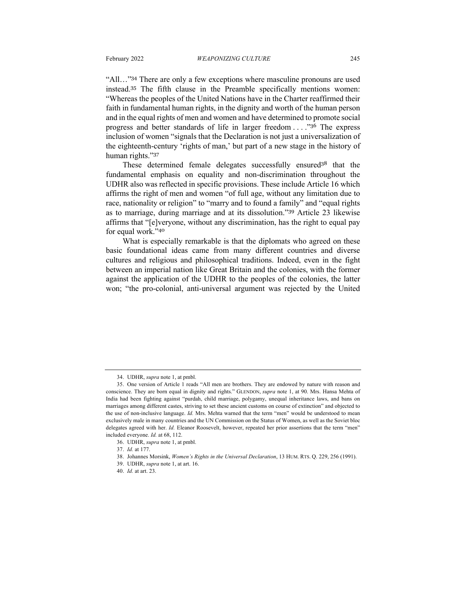"All…"<sup>34</sup> There are only a few exceptions where masculine pronouns are used instead.<sup>35</sup> The fifth clause in the Preamble specifically mentions women: "Whereas the peoples of the United Nations have in the Charter reaffirmed their faith in fundamental human rights, in the dignity and worth of the human person and in the equal rights of men and women and have determined to promote social progress and better standards of life in larger freedom . . . ."<sup>36</sup> The express inclusion of women "signals that the Declaration is not just a universalization of the eighteenth-century 'rights of man,' but part of a new stage in the history of human rights."<sup>37</sup>

These determined female delegates successfully ensured<sup>38</sup> that the fundamental emphasis on equality and non-discrimination throughout the UDHR also was reflected in specific provisions. These include Article 16 which affirms the right of men and women "of full age, without any limitation due to race, nationality or religion" to "marry and to found a family" and "equal rights as to marriage, during marriage and at its dissolution."<sup>39</sup> Article 23 likewise affirms that "[e]veryone, without any discrimination, has the right to equal pay for equal work."<sup>40</sup>

What is especially remarkable is that the diplomats who agreed on these basic foundational ideas came from many different countries and diverse cultures and religious and philosophical traditions. Indeed, even in the fight between an imperial nation like Great Britain and the colonies, with the former against the application of the UDHR to the peoples of the colonies, the latter won; "the pro-colonial, anti-universal argument was rejected by the United

39. UDHR, *supra* note 1, at art. 16.

<sup>34.</sup> UDHR, *supra* note 1, at pmbl.

<sup>35.</sup> One version of Article 1 reads "All men are brothers. They are endowed by nature with reason and conscience. They are born equal in dignity and rights." GLENDON, *supra* note 1, at 90. Mrs. Hansa Mehta of India had been fighting against "purdah, child marriage, polygamy, unequal inheritance laws, and bans on marriages among different castes, striving to set these ancient customs on course of extinction" and objected to the use of non-inclusive language. *Id.* Mrs. Mehta warned that the term "men" would be understood to mean exclusively male in many countries and the UN Commission on the Status of Women, as well as the Soviet bloc delegates agreed with her. *Id.* Eleanor Roosevelt, however, repeated her prior assertions that the term "men" included everyone. *Id.* at 68, 112.

<sup>36.</sup> UDHR, *supra* note 1, at pmbl.

<sup>37.</sup> *Id.* at 177.

<sup>38.</sup> Johannes Morsink, *Women's Rights in the Universal Declaration*, 13 HUM. RTS. Q. 229, 256 (1991).

<sup>40.</sup> *Id.* at art. 23.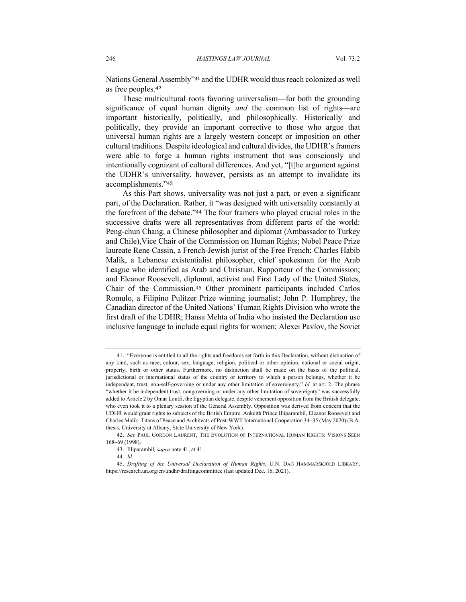Nations General Assembly"<sup>41</sup> and the UDHR would thus reach colonized as well as free peoples.<sup>42</sup>

These multicultural roots favoring universalism—for both the grounding significance of equal human dignity *and* the common list of rights—are important historically, politically, and philosophically. Historically and politically, they provide an important corrective to those who argue that universal human rights are a largely western concept or imposition on other cultural traditions. Despite ideological and cultural divides, the UDHR's framers were able to forge a human rights instrument that was consciously and intentionally cognizant of cultural differences. And yet, "[t]he argument against the UDHR's universality, however, persists as an attempt to invalidate its accomplishments."<sup>43</sup>

As this Part shows, universality was not just a part, or even a significant part, of the Declaration. Rather, it "was designed with universality constantly at the forefront of the debate."<sup>44</sup> The four framers who played crucial roles in the successive drafts were all representatives from different parts of the world: Peng-chun Chang, a Chinese philosopher and diplomat (Ambassador to Turkey and Chile),Vice Chair of the Commission on Human Rights; Nobel Peace Prize laureate Rene Cassin, a French-Jewish jurist of the Free French; Charles Habib Malik, a Lebanese existentialist philosopher, chief spokesman for the Arab League who identified as Arab and Christian, Rapporteur of the Commission; and Eleanor Roosevelt, diplomat, activist and First Lady of the United States, Chair of the Commission.<sup>45</sup> Other prominent participants included Carlos Romulo, a Filipino Pulitzer Prize winning journalist; John P. Humphrey, the Canadian director of the United Nations' Human Rights Division who wrote the first draft of the UDHR; Hansa Mehta of India who insisted the Declaration use inclusive language to include equal rights for women; Alexei Pavlov, the Soviet

<sup>41.</sup> "Everyone is entitled to all the rights and freedoms set forth in this Declaration, without distinction of any kind, such as race, colour, sex, language, religion, political or other opinion, national or social origin, property, birth or other status. Furthermore, no distinction shall be made on the basis of the political, jurisdictional or international status of the country or territory to which a person belongs, whether it be independent, trust, non-self-governing or under any other limitation of sovereignty." *Id.* at art. 2. The phrase "whether it be independent trust, nongoverning or under any other limitation of sovereignty" was successfully added to Article 2 by Omar Loutfi, the Egyptian delegate, despite vehement opposition from the British delegate, who even took it to a plenary session of the General Assembly. Opposition was derived from concern that the UDHR would grant rights to subjects of the British Empire. Ankeith Prince Illiparambil, Eleanor Roosevelt and Charles Malik: Titans of Peace and Architects of Post-WWII International Cooperation 34–35 (May 2020) (B.A. thesis, University at Albany, State University of New York).

<sup>42.</sup> *See* PAUL GORDON LAURENT, THE EVOLUTION OF INTERNATIONAL HUMAN RIGHTS: VISIONS SEEN 168–69 (1998).

<sup>43.</sup> Illiparambil*, supra* note 41, at 41.

<sup>44.</sup> *Id.*

<sup>45.</sup> *Drafting of the Universal Declaration of Human Rights*, U.N. DAG HAMMARSKJÖLD LIBRARY, https://research.un.org/en/undhr/draftingcommittee (last updated Dec. 16, 2021).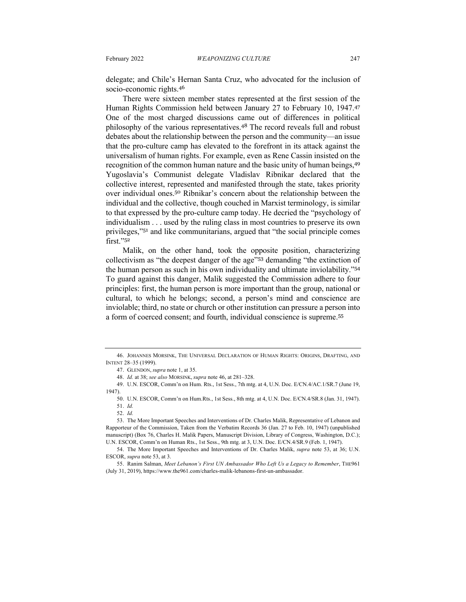delegate; and Chile's Hernan Santa Cruz, who advocated for the inclusion of socio-economic rights.<sup>46</sup>

There were sixteen member states represented at the first session of the Human Rights Commission held between January 27 to February 10, 1947.<sup>47</sup> One of the most charged discussions came out of differences in political philosophy of the various representatives.<sup>48</sup> The record reveals full and robust debates about the relationship between the person and the community—an issue that the pro-culture camp has elevated to the forefront in its attack against the universalism of human rights. For example, even as Rene Cassin insisted on the recognition of the common human nature and the basic unity of human beings, 49 Yugoslavia's Communist delegate Vladislav Ribnikar declared that the collective interest, represented and manifested through the state, takes priority over individual ones.<sup>50</sup> Ribnikar's concern about the relationship between the individual and the collective, though couched in Marxist terminology, is similar to that expressed by the pro-culture camp today. He decried the "psychology of individualism . . . used by the ruling class in most countries to preserve its own privileges,"<sup>51</sup> and like communitarians, argued that "the social principle comes first."<sup>52</sup>

Malik, on the other hand, took the opposite position, characterizing collectivism as "the deepest danger of the age"<sup>53</sup> demanding "the extinction of the human person as such in his own individuality and ultimate inviolability."<sup>54</sup> To guard against this danger, Malik suggested the Commission adhere to four principles: first, the human person is more important than the group, national or cultural, to which he belongs; second, a person's mind and conscience are inviolable; third, no state or church or other institution can pressure a person into a form of coerced consent; and fourth, individual conscience is supreme.<sup>55</sup>

<sup>46.</sup> JOHANNES MORSINK, THE UNIVERSAL DECLARATION OF HUMAN RIGHTS: ORIGINS, DRAFTING, AND INTENT 28–35 (1999).

<sup>47.</sup> GLENDON, *supra* note 1, at 35.

<sup>48.</sup> *Id.* at 38; *see also* MORSINK, *supra* note 46, at 281–328.

<sup>49.</sup> U.N. ESCOR, Comm'n on Hum. Rts., 1st Sess., 7th mtg. at 4, U.N. Doc. E/CN.4/AC.1/SR.7 (June 19, 1947).

<sup>50.</sup> U.N. ESCOR, Comm'n on Hum.Rts., 1st Sess., 8th mtg. at 4, U.N. Doc. E/CN.4/SR.8 (Jan. 31, 1947).

<sup>51.</sup> *Id.* 52. *Id.*

<sup>53.</sup> The More Important Speeches and Interventions of Dr. Charles Malik, Representative of Lebanon and Rapporteur of the Commission, Taken from the Verbatim Records 36 (Jan. 27 to Feb. 10, 1947) (unpublished manuscript) (Box 76, Charles H. Malik Papers, Manuscript Division, Library of Congress, Washington, D.C.); U.N. ESCOR, Comm'n on Human Rts., 1st Sess., 9th mtg. at 3, U.N. Doc. E/CN.4/SR.9 (Feb. 1, 1947).

<sup>54.</sup> The More Important Speeches and Interventions of Dr. Charles Malik, *supra* note 53, at 36; U.N. ESCOR, *supra* note 53, at 3.

<sup>55.</sup> Ranim Salman, *Meet Lebanon's First UN Ambassador Who Left Us a Legacy to Remember*, THE961 (July 31, 2019), https://www.the961.com/charles-malik-lebanons-first-un-ambassador.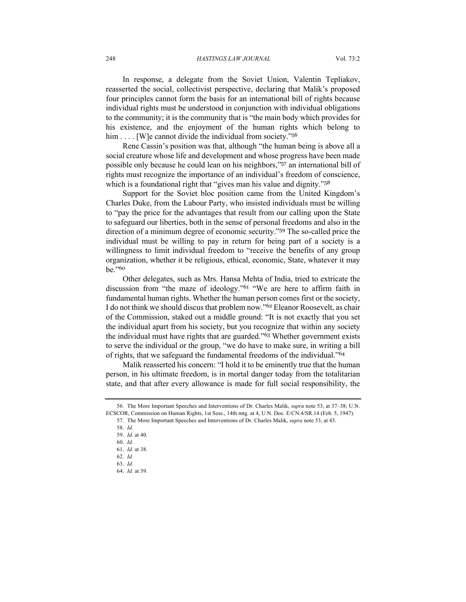#### 248 *HASTINGS LAW JOURNAL* Vol. 73:2

In response, a delegate from the Soviet Union, Valentin Tepliakov, reasserted the social, collectivist perspective, declaring that Malik's proposed four principles cannot form the basis for an international bill of rights because individual rights must be understood in conjunction with individual obligations to the community; it is the community that is "the main body which provides for his existence, and the enjoyment of the human rights which belong to him . . . . [W]e cannot divide the individual from society."<sup>56</sup>

Rene Cassin's position was that, although "the human being is above all a social creature whose life and development and whose progress have been made possible only because he could lean on his neighbors,"<sup>57</sup> an international bill of rights must recognize the importance of an individual's freedom of conscience, which is a foundational right that "gives man his value and dignity."<sup>58</sup>

Support for the Soviet bloc position came from the United Kingdom's Charles Duke, from the Labour Party, who insisted individuals must be willing to "pay the price for the advantages that result from our calling upon the State to safeguard our liberties, both in the sense of personal freedoms and also in the direction of a minimum degree of economic security."<sup>59</sup> The so-called price the individual must be willing to pay in return for being part of a society is a willingness to limit individual freedom to "receive the benefits of any group organization, whether it be religious, ethical, economic, State, whatever it may be."<sup>60</sup>

Other delegates, such as Mrs. Hansa Mehta of India, tried to extricate the discussion from "the maze of ideology."<sup>61</sup> "We are here to affirm faith in fundamental human rights. Whether the human person comes first or the society, I do not think we should discus that problem now."<sup>62</sup> Eleanor Roosevelt, as chair of the Commission, staked out a middle ground: "It is not exactly that you set the individual apart from his society, but you recognize that within any society the individual must have rights that are guarded."<sup>63</sup> Whether government exists to serve the individual or the group, "we do have to make sure, in writing a bill of rights, that we safeguard the fundamental freedoms of the individual."<sup>64</sup>

Malik reasserted his concern: "I hold it to be eminently true that the human person, in his ultimate freedom, is in mortal danger today from the totalitarian state, and that after every allowance is made for full social responsibility, the

<sup>56.</sup> The More Important Speeches and Interventions of Dr. Charles Malik, *supra* note 53, at 37–38; U.N. ECSCOR, Commission on Human Rights, 1st Sess., 14th mtg. at 4, U.N. Doc. E/CN.4/SR.14 (Feb. 5, 1947). 57. The More Important Speeches and Interventions of Dr. Charles Malik, *supra* note 53, at 43.

<sup>58.</sup> *Id.*

<sup>59.</sup> *Id.* at 40. 60. *Id.*

<sup>61.</sup> *Id.* at 38.

<sup>62.</sup> *Id.*

<sup>63.</sup> *Id.*

<sup>64.</sup> *Id.* at 39.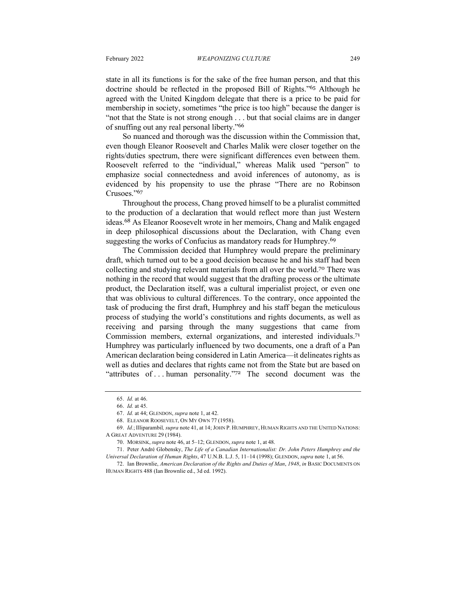state in all its functions is for the sake of the free human person, and that this doctrine should be reflected in the proposed Bill of Rights."<sup>65</sup> Although he agreed with the United Kingdom delegate that there is a price to be paid for membership in society, sometimes "the price is too high" because the danger is "not that the State is not strong enough . . . but that social claims are in danger of snuffing out any real personal liberty."<sup>66</sup>

So nuanced and thorough was the discussion within the Commission that, even though Eleanor Roosevelt and Charles Malik were closer together on the rights/duties spectrum, there were significant differences even between them. Roosevelt referred to the "individual," whereas Malik used "person" to emphasize social connectedness and avoid inferences of autonomy, as is evidenced by his propensity to use the phrase "There are no Robinson Crusoes."<sup>67</sup>

Throughout the process, Chang proved himself to be a pluralist committed to the production of a declaration that would reflect more than just Western ideas.<sup>68</sup> As Eleanor Roosevelt wrote in her memoirs, Chang and Malik engaged in deep philosophical discussions about the Declaration, with Chang even suggesting the works of Confucius as mandatory reads for Humphrey.<sup>69</sup>

The Commission decided that Humphrey would prepare the preliminary draft, which turned out to be a good decision because he and his staff had been collecting and studying relevant materials from all over the world.<sup>70</sup> There was nothing in the record that would suggest that the drafting process or the ultimate product, the Declaration itself, was a cultural imperialist project, or even one that was oblivious to cultural differences. To the contrary, once appointed the task of producing the first draft, Humphrey and his staff began the meticulous process of studying the world's constitutions and rights documents, as well as receiving and parsing through the many suggestions that came from Commission members, external organizations, and interested individuals.<sup>71</sup> Humphrey was particularly influenced by two documents, one a draft of a Pan American declaration being considered in Latin America—it delineates rights as well as duties and declares that rights came not from the State but are based on "attributes of ... human personality."<sup>72</sup> The second document was the

<sup>65.</sup> *Id.* at 46.

<sup>66.</sup> *Id.* at 45.

<sup>67.</sup> *Id.* at 44; GLENDON, *supra* note 1, at 42.

<sup>68.</sup> ELEANOR ROOSEVELT, ON MY OWN 77 (1958).

<sup>69.</sup> *Id.*; Illiparambil*, supra* note 41, at 14; JOHN P. HUMPHREY, HUMAN RIGHTS AND THE UNITED NATIONS: A GREAT ADVENTURE 29 (1984).

<sup>70.</sup> MORSINK, *supra* note 46, at 5–12; GLENDON, *supra* note 1, at 48.

<sup>71.</sup> Peter André Globensky, *The Life of a Canadian Internationalist: Dr. John Peters Humphrey and the Universal Declaration of Human Rights*, 47 U.N.B. L.J. 5, 11–14 (1998); GLENDON, *supra* note 1, at 56.

<sup>72.</sup> Ian Brownlie, *American Declaration of the Rights and Duties of Man*, *1948*, *in* BASIC DOCUMENTS ON HUMAN RIGHTS 488 (Ian Brownlie ed., 3d ed. 1992).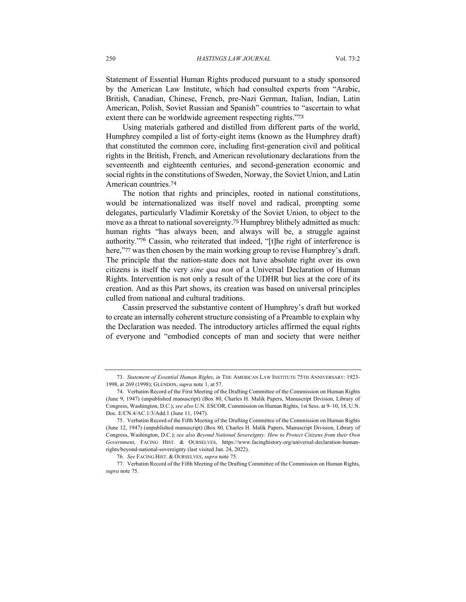Statement of Essential Human Rights produced pursuant to a study sponsored by the American Law Institute, which had consulted experts from "Arabic, British, Canadian, Chinese, French, pre-Nazi German, Italian, Indian, Latin American, Polish, Soviet Russian and Spanish" countries to "ascertain to what extent there can be worldwide agreement respecting rights."<sup>73</sup>

Using materials gathered and distilled from different parts of the world, Humphrey compiled a list of forty-eight items (known as the Humphrey draft) that constituted the common core, including first-generation civil and political rights in the British, French, and American revolutionary declarations from the seventeenth and eighteenth centuries, and second-generation economic and social rights in the constitutions of Sweden, Norway, the Soviet Union, and Latin American countries.<sup>74</sup>

The notion that rights and principles, rooted in national constitutions, would be internationalized was itself novel and radical, prompting some delegates, particularly Vladimir Koretsky of the Soviet Union, to object to the move as a threat to national sovereignty.<sup>75</sup> Humphrey blithely admitted as much: human rights "has always been, and always will be, a struggle against authority."<sup>76</sup> Cassin, who reiterated that indeed, "[t]he right of interference is here,"<sup>77</sup> was then chosen by the main working group to revise Humphrey's draft. The principle that the nation-state does not have absolute right over its own citizens is itself the very *sine qua non* of a Universal Declaration of Human Rights. Intervention is not only a result of the UDHR but lies at the core of its creation. And as this Part shows, its creation was based on universal principles culled from national and cultural traditions.

Cassin preserved the substantive content of Humphrey's draft but worked to create an internally coherent structure consisting of a Preamble to explain why the Declaration was needed. The introductory articles affirmed the equal rights of everyone and "embodied concepts of man and society that were neither

<sup>73.</sup> *Statement of Essential Human Rights*, *in* THE AMERICAN LAW INSTITUTE 75TH ANNIVERSARY: 1923- 1998, at 269 (1998); GLENDON, *supra* note 1, at 57.

<sup>74.</sup> Verbatim Record of the First Meeting of the Drafting Committee of the Commission on Human Rights (June 9, 1947) (unpublished manuscript) (Box 80, Charles H. Malik Papers, Manuscript Division, Library of Congress, Washington, D.C.); *see also* U.N. ESCOR, Commission on Human Rights, 1st Sess. at 9–10, 18, U.N. Doc. E/CN.4/AC.1/3/Add.1 (June 11, 1947).

<sup>75.</sup> Verbatim Record of the Fifth Meeting of the Drafting Committee of the Commission on Human Rights (June 12, 1947) (unpublished manuscript) (Box 80, Charles H. Malik Papers, Manuscript Division, Library of Congress, Washington, D.C.); *see also Beyond National Sovereignty: How to Protect Citizens from their Own Government*, FACING HIST. & OURSELVES, https://www.facinghistory.org/universal-declaration-humanrights/beyond-national-sovereignty (last visited Jan. 24, 2022).

<sup>76.</sup> *See* FACING HIST. & OURSELVES, *supra* note 75.

<sup>77.</sup> Verbatim Record of the Fifth Meeting of the Drafting Committee of the Commission on Human Rights, *supra* note 75.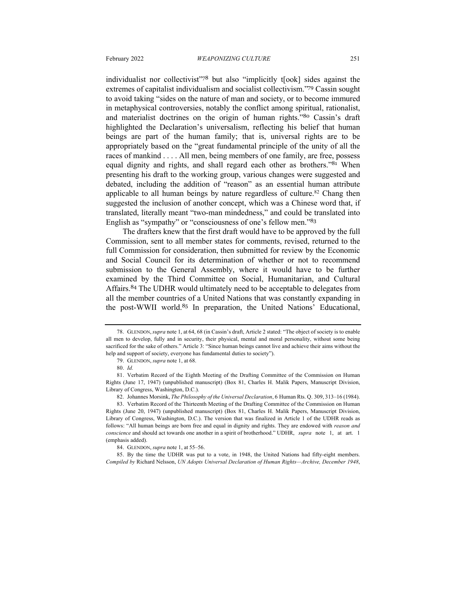individualist nor collectivist"<sup>78</sup> but also "implicitly t[ook] sides against the extremes of capitalist individualism and socialist collectivism."<sup>79</sup> Cassin sought to avoid taking "sides on the nature of man and society, or to become immured in metaphysical controversies, notably the conflict among spiritual, rationalist, and materialist doctrines on the origin of human rights."<sup>80</sup> Cassin's draft highlighted the Declaration's universalism, reflecting his belief that human beings are part of the human family; that is, universal rights are to be appropriately based on the "great fundamental principle of the unity of all the races of mankind . . . . All men, being members of one family, are free, possess equal dignity and rights, and shall regard each other as brothers."<sup>81</sup> When presenting his draft to the working group, various changes were suggested and debated, including the addition of "reason" as an essential human attribute applicable to all human beings by nature regardless of culture.<sup>82</sup> Chang then suggested the inclusion of another concept, which was a Chinese word that, if translated, literally meant "two-man mindedness," and could be translated into English as "sympathy" or "consciousness of one's fellow men."<sup>83</sup>

The drafters knew that the first draft would have to be approved by the full Commission, sent to all member states for comments, revised, returned to the full Commission for consideration, then submitted for review by the Economic and Social Council for its determination of whether or not to recommend submission to the General Assembly, where it would have to be further examined by the Third Committee on Social, Humanitarian, and Cultural Affairs.<sup>84</sup> The UDHR would ultimately need to be acceptable to delegates from all the member countries of a United Nations that was constantly expanding in the post-WWII world.<sup>85</sup> In preparation, the United Nations' Educational,

<sup>78.</sup> GLENDON,*supra* note 1, at 64, 68 (in Cassin's draft, Article 2 stated: "The object of society is to enable all men to develop, fully and in security, their physical, mental and moral personality, without some being sacrificed for the sake of others." Article 3: "Since human beings cannot live and achieve their aims without the help and support of society, everyone has fundamental duties to society").

<sup>79.</sup> GLENDON, *supra* note 1, at 68.

<sup>80.</sup> *Id.*

<sup>81.</sup> Verbatim Record of the Eighth Meeting of the Drafting Committee of the Commission on Human Rights (June 17, 1947) (unpublished manuscript) (Box 81, Charles H. Malik Papers, Manuscript Division, Library of Congress, Washington, D.C.).

<sup>82</sup>. Johannes Morsink, *The Philosophy of the Universal Declaration*, 6 Human Rts. Q. 309, 313–16 (1984). 83. Verbatim Record of the Thirteenth Meeting of the Drafting Committee of the Commission on Human Rights (June 20, 1947) (unpublished manuscript) (Box 81, Charles H. Malik Papers, Manuscript Division, Library of Congress, Washington, D.C.). The version that was finalized in Article 1 of the UDHR reads as follows: "All human beings are born free and equal in dignity and rights. They are endowed with *reason and conscience* and should act towards one another in a spirit of brotherhood." UDHR, *supra* note 1, at art. 1 (emphasis added).

<sup>84.</sup> GLENDON, *supra* note 1, at 55–56.

<sup>85.</sup> By the time the UDHR was put to a vote, in 1948, the United Nations had fifty-eight members. *Compiled by* Richard Nelsson, *UN Adopts Universal Declaration of Human Rights—Archive, December 1948*,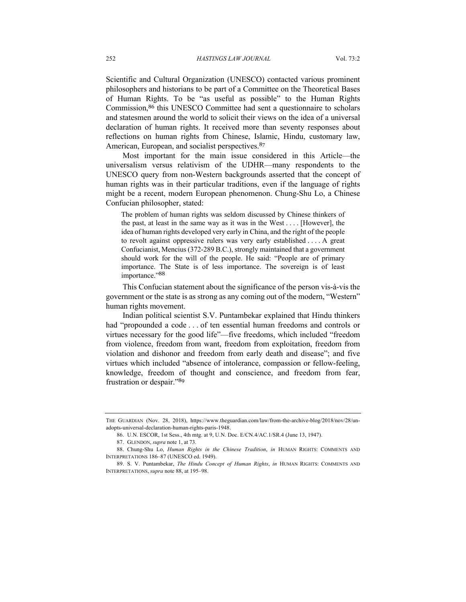Scientific and Cultural Organization (UNESCO) contacted various prominent philosophers and historians to be part of a Committee on the Theoretical Bases of Human Rights. To be "as useful as possible" to the Human Rights Commission,<sup>86</sup> this UNESCO Committee had sent a questionnaire to scholars and statesmen around the world to solicit their views on the idea of a universal declaration of human rights. It received more than seventy responses about reflections on human rights from Chinese, Islamic, Hindu, customary law, American, European, and socialist perspectives.<sup>87</sup>

Most important for the main issue considered in this Article—the universalism versus relativism of the UDHR—many respondents to the UNESCO query from non-Western backgrounds asserted that the concept of human rights was in their particular traditions, even if the language of rights might be a recent, modern European phenomenon. Chung-Shu Lo, a Chinese Confucian philosopher, stated:

The problem of human rights was seldom discussed by Chinese thinkers of the past, at least in the same way as it was in the West . . . . [However], the idea of human rights developed very early in China, and the right of the people to revolt against oppressive rulers was very early established . . . . A great Confucianist, Mencius (372-289 B.C.), strongly maintained that a government should work for the will of the people. He said: "People are of primary importance. The State is of less importance. The sovereign is of least importance."88

This Confucian statement about the significance of the person vis-à-vis the government or the state is as strong as any coming out of the modern, "Western" human rights movement.

Indian political scientist S.V. Puntambekar explained that Hindu thinkers had "propounded a code . . . of ten essential human freedoms and controls or virtues necessary for the good life"—five freedoms, which included "freedom from violence, freedom from want, freedom from exploitation, freedom from violation and dishonor and freedom from early death and disease"; and five virtues which included "absence of intolerance, compassion or fellow-feeling, knowledge, freedom of thought and conscience, and freedom from fear, frustration or despair."<sup>89</sup>

THE GUARDIAN (Nov. 28, 2018), https://www.theguardian.com/law/from-the-archive-blog/2018/nov/28/unadopts-universal-declaration-human-rights-paris-1948.

<sup>86.</sup> U.N. ESCOR, 1st Sess., 4th mtg. at 9, U.N. Doc. E/CN.4/AC.1/SR.4 (June 13, 1947).

<sup>87.</sup> GLENDON, *supra* note 1, at 73.

<sup>88.</sup> Chung-Shu Lo, *Human Rights in the Chinese Tradition*, *in* HUMAN RIGHTS: COMMENTS AND INTERPRETATIONS 186–87 (UNESCO ed. 1949).

<sup>89.</sup> S. V. Puntambekar, *The Hindu Concept of Human Rights*, *in* HUMAN RIGHTS: COMMENTS AND INTERPRETATIONS, *supra* note 88, at 195–98.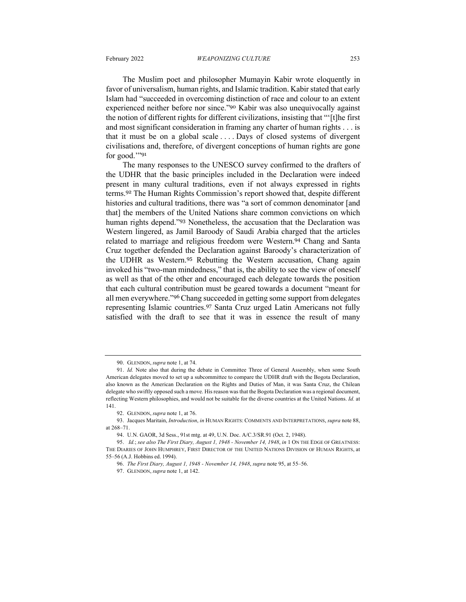The Muslim poet and philosopher Mumayin Kabir wrote eloquently in favor of universalism, human rights, and Islamic tradition. Kabir stated that early Islam had "succeeded in overcoming distinction of race and colour to an extent experienced neither before nor since."<sup>90</sup> Kabir was also unequivocally against the notion of different rights for different civilizations, insisting that "'[t]he first and most significant consideration in framing any charter of human rights . . . is that it must be on a global scale . . . . Days of closed systems of divergent civilisations and, therefore, of divergent conceptions of human rights are gone for good.""91

The many responses to the UNESCO survey confirmed to the drafters of the UDHR that the basic principles included in the Declaration were indeed present in many cultural traditions, even if not always expressed in rights terms.<sup>92</sup> The Human Rights Commission's report showed that, despite different histories and cultural traditions, there was "a sort of common denominator [and that] the members of the United Nations share common convictions on which human rights depend."93 Nonetheless, the accusation that the Declaration was Western lingered, as Jamil Baroody of Saudi Arabia charged that the articles related to marriage and religious freedom were Western.<sup>94</sup> Chang and Santa Cruz together defended the Declaration against Baroody's characterization of the UDHR as Western.<sup>95</sup> Rebutting the Western accusation, Chang again invoked his "two-man mindedness," that is, the ability to see the view of oneself as well as that of the other and encouraged each delegate towards the position that each cultural contribution must be geared towards a document "meant for all men everywhere."<sup>96</sup> Chang succeeded in getting some support from delegates representing Islamic countries.<sup>97</sup> Santa Cruz urged Latin Americans not fully satisfied with the draft to see that it was in essence the result of many

<sup>90.</sup> GLENDON, *supra* note 1, at 74.

<sup>91.</sup> *Id.* Note also that during the debate in Committee Three of General Assembly, when some South American delegates moved to set up a subcommittee to compare the UDHR draft with the Bogota Declaration, also known as the American Declaration on the Rights and Duties of Man, it was Santa Cruz, the Chilean delegate who swiftly opposed such a move. His reason was that the Bogota Declaration was a regional document, reflecting Western philosophies, and would not be suitable for the diverse countries at the United Nations. *Id.* at 141.

<sup>92.</sup> GLENDON, *supra* note 1, at 76.

<sup>93.</sup> Jacques Maritain, *Introduction*, *in* HUMAN RIGHTS: COMMENTS AND INTERPRETATIONS, *supra* note 88, at 268–71.

<sup>94.</sup> U.N. GAOR, 3d Sess., 91st mtg. at 49, U.N. Doc. A/C.3/SR.91 (Oct. 2, 1948).

<sup>95.</sup> *Id.*; *see also The First Diary, August 1, 1948 - November 14, 1948*, *in* 1 ON THE EDGE OF GREATNESS: THE DIARIES OF JOHN HUMPHREY, FIRST DIRECTOR OF THE UNITED NATIONS DIVISION OF HUMAN RIGHTS, at 55–56 (A.J. Hobbins ed. 1994).

<sup>96.</sup> *The First Diary, August 1, 1948 - November 14, 1948*, *supra* note 95, at 55–56.

<sup>97.</sup> GLENDON, *supra* note 1, at 142.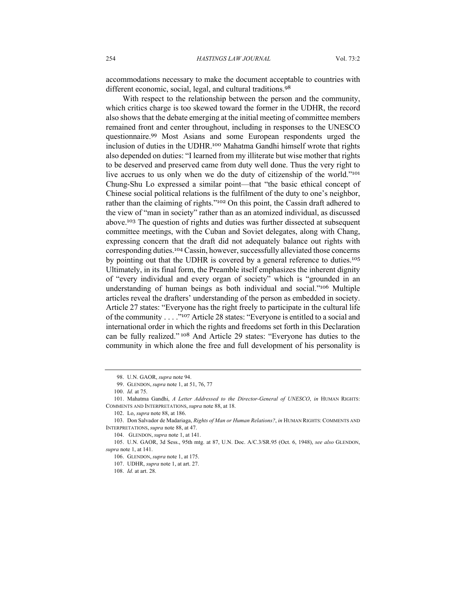accommodations necessary to make the document acceptable to countries with different economic, social, legal, and cultural traditions.<sup>98</sup>

With respect to the relationship between the person and the community, which critics charge is too skewed toward the former in the UDHR, the record also shows that the debate emerging at the initial meeting of committee members remained front and center throughout, including in responses to the UNESCO questionnaire.<sup>99</sup> Most Asians and some European respondents urged the inclusion of duties in the UDHR.<sup>100</sup> Mahatma Gandhi himself wrote that rights also depended on duties: "I learned from my illiterate but wise mother that rights to be deserved and preserved came from duty well done. Thus the very right to live accrues to us only when we do the duty of citizenship of the world."<sup>101</sup> Chung-Shu Lo expressed a similar point—that "the basic ethical concept of Chinese social political relations is the fulfilment of the duty to one's neighbor, rather than the claiming of rights."<sup>102</sup> On this point, the Cassin draft adhered to the view of "man in society" rather than as an atomized individual, as discussed above.<sup>103</sup> The question of rights and duties was further dissected at subsequent committee meetings, with the Cuban and Soviet delegates, along with Chang, expressing concern that the draft did not adequately balance out rights with corresponding duties.<sup>104</sup> Cassin, however, successfully alleviated those concerns by pointing out that the UDHR is covered by a general reference to duties.<sup>105</sup> Ultimately, in its final form, the Preamble itself emphasizes the inherent dignity of "every individual and every organ of society" which is "grounded in an understanding of human beings as both individual and social."<sup>106</sup> Multiple articles reveal the drafters' understanding of the person as embedded in society. Article 27 states: "Everyone has the right freely to participate in the cultural life of the community . . . ."<sup>107</sup> Article 28 states: "Everyone is entitled to a social and international order in which the rights and freedoms set forth in this Declaration can be fully realized." <sup>108</sup> And Article 29 states: "Everyone has duties to the community in which alone the free and full development of his personality is

104. GLENDON, *supra* note 1, at 141.

<sup>98.</sup> U.N. GAOR, *supra* note 94.

<sup>99.</sup> GLENDON, *supra* note 1, at 51, 76, 77

<sup>100.</sup> *Id.* at 75.

<sup>101.</sup> Mahatma Gandhi, *A Letter Addressed to the Director-General of UNESCO*, *in* HUMAN RIGHTS: COMMENTS AND INTERPRETATIONS, *supra* note 88, at 18.

<sup>102.</sup> Lo, *supra* note 88, at 186.

<sup>103.</sup> Don Salvador de Madariaga, *Rights of Man or Human Relations?*, *in* HUMAN RIGHTS: COMMENTS AND INTERPRETATIONS, *supra* note 88, at 47.

<sup>105.</sup> U.N. GAOR, 3d Sess., 95th mtg. at 87, U.N. Doc. A/C.3/SR.95 (Oct. 6, 1948), *see also* GLENDON, *supra* note 1, at 141.

<sup>106.</sup> GLENDON, *supra* note 1, at 175.

<sup>107.</sup> UDHR, *supra* note 1, at art. 27.

<sup>108.</sup> *Id.* at art. 28.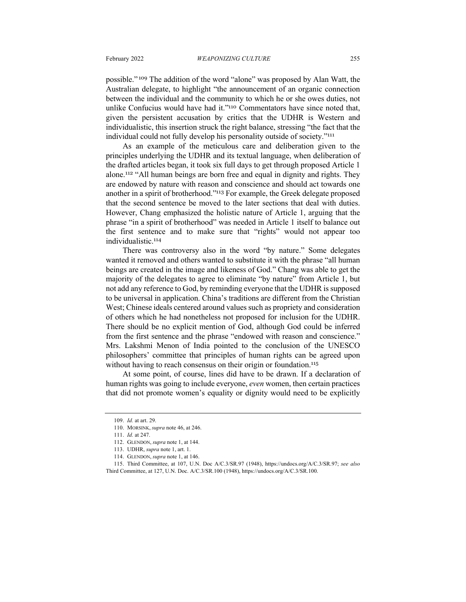possible." <sup>109</sup> The addition of the word "alone" was proposed by Alan Watt, the Australian delegate, to highlight "the announcement of an organic connection between the individual and the community to which he or she owes duties, not unlike Confucius would have had it."<sup>110</sup> Commentators have since noted that, given the persistent accusation by critics that the UDHR is Western and individualistic, this insertion struck the right balance, stressing "the fact that the individual could not fully develop his personality outside of society."<sup>111</sup>

As an example of the meticulous care and deliberation given to the principles underlying the UDHR and its textual language, when deliberation of the drafted articles began, it took six full days to get through proposed Article 1 alone.<sup>112</sup> "All human beings are born free and equal in dignity and rights. They are endowed by nature with reason and conscience and should act towards one another in a spirit of brotherhood."<sup>113</sup> For example, the Greek delegate proposed that the second sentence be moved to the later sections that deal with duties. However, Chang emphasized the holistic nature of Article 1, arguing that the phrase "in a spirit of brotherhood" was needed in Article 1 itself to balance out the first sentence and to make sure that "rights" would not appear too individualistic.<sup>114</sup>

There was controversy also in the word "by nature." Some delegates wanted it removed and others wanted to substitute it with the phrase "all human beings are created in the image and likeness of God." Chang was able to get the majority of the delegates to agree to eliminate "by nature" from Article 1, but not add any reference to God, by reminding everyone that the UDHR is supposed to be universal in application. China's traditions are different from the Christian West; Chinese ideals centered around values such as propriety and consideration of others which he had nonetheless not proposed for inclusion for the UDHR. There should be no explicit mention of God, although God could be inferred from the first sentence and the phrase "endowed with reason and conscience." Mrs. Lakshmi Menon of India pointed to the conclusion of the UNESCO philosophers' committee that principles of human rights can be agreed upon without having to reach consensus on their origin or foundation.<sup>115</sup>

At some point, of course, lines did have to be drawn. If a declaration of human rights was going to include everyone, *even* women, then certain practices that did not promote women's equality or dignity would need to be explicitly

<sup>109.</sup> *Id.* at art. 29.

<sup>110.</sup> MORSINK, *supra* note 46, at 246.

<sup>111.</sup> *Id.* at 247.

<sup>112.</sup> GLENDON, *supra* note 1, at 144.

<sup>113.</sup> UDHR, *supra* note 1, art. 1.

<sup>114.</sup> GLENDON, *supra* note 1, at 146.

<sup>115.</sup> Third Committee, at 107, U.N. Doc A/C.3/SR.97 (1948), https://undocs.org/A/C.3/SR.97; *see also*  Third Committee, at 127, U.N. Doc. A/C.3/SR.100 (1948), https://undocs.org/A/C.3/SR.100.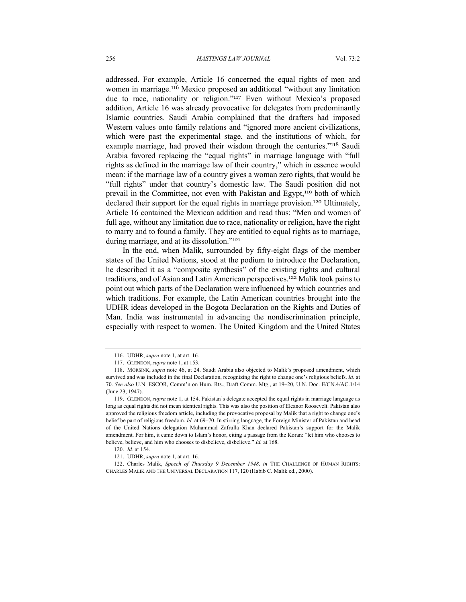addressed. For example, Article 16 concerned the equal rights of men and women in marriage.<sup>116</sup> Mexico proposed an additional "without any limitation due to race, nationality or religion."<sup>117</sup> Even without Mexico's proposed addition, Article 16 was already provocative for delegates from predominantly Islamic countries. Saudi Arabia complained that the drafters had imposed Western values onto family relations and "ignored more ancient civilizations, which were past the experimental stage, and the institutions of which, for example marriage, had proved their wisdom through the centuries."<sup>118</sup> Saudi Arabia favored replacing the "equal rights" in marriage language with "full rights as defined in the marriage law of their country," which in essence would mean: if the marriage law of a country gives a woman zero rights, that would be "full rights" under that country's domestic law. The Saudi position did not prevail in the Committee, not even with Pakistan and Egypt,<sup>119</sup> both of which declared their support for the equal rights in marriage provision.<sup>120</sup> Ultimately, Article 16 contained the Mexican addition and read thus: "Men and women of full age, without any limitation due to race, nationality or religion, have the right to marry and to found a family. They are entitled to equal rights as to marriage, during marriage, and at its dissolution."<sup>121</sup>

In the end, when Malik, surrounded by fifty-eight flags of the member states of the United Nations, stood at the podium to introduce the Declaration, he described it as a "composite synthesis" of the existing rights and cultural traditions, and of Asian and Latin American perspectives.<sup>122</sup> Malik took pains to point out which parts of the Declaration were influenced by which countries and which traditions. For example, the Latin American countries brought into the UDHR ideas developed in the Bogota Declaration on the Rights and Duties of Man. India was instrumental in advancing the nondiscrimination principle, especially with respect to women. The United Kingdom and the United States

<sup>116.</sup> UDHR, *supra* note 1, at art. 16.

<sup>117.</sup> GLENDON, *supra* note 1, at 153.

<sup>118.</sup> MORSINK, *supra* note 46, at 24. Saudi Arabia also objected to Malik's proposed amendment, which survived and was included in the final Declaration, recognizing the right to change one's religious beliefs. *Id.* at 70. *See also* U.N. ESCOR, Comm'n on Hum. Rts., Draft Comm. Mtg., at 19–20, U.N. Doc. E/CN.4/AC.1/14 (June 23, 1947).

<sup>119.</sup> GLENDON, *supra* note 1, at 154. Pakistan's delegate accepted the equal rights in marriage language as long as equal rights did not mean identical rights. This was also the position of Eleanor Roosevelt. Pakistan also approved the religious freedom article, including the provocative proposal by Malik that a right to change one's belief be part of religious freedom. *Id.* at 69–70. In stirring language, the Foreign Minister of Pakistan and head of the United Nations delegation Muhammad Zafrulla Khan declared Pakistan's support for the Malik amendment. For him, it came down to Islam's honor, citing a passage from the Koran: "let him who chooses to believe, believe, and him who chooses to disbelieve, disbelieve." *Id.* at 168.

<sup>120.</sup> *Id.* at 154.

<sup>121.</sup> UDHR, *supra* note 1, at art. 16.

<sup>122.</sup> Charles Malik, *Speech of Thursday 9 December 1948, in* THE CHALLENGE OF HUMAN RIGHTS: CHARLES MALIK AND THE UNIVERSAL DECLARATION 117, 120 (Habib C. Malik ed., 2000).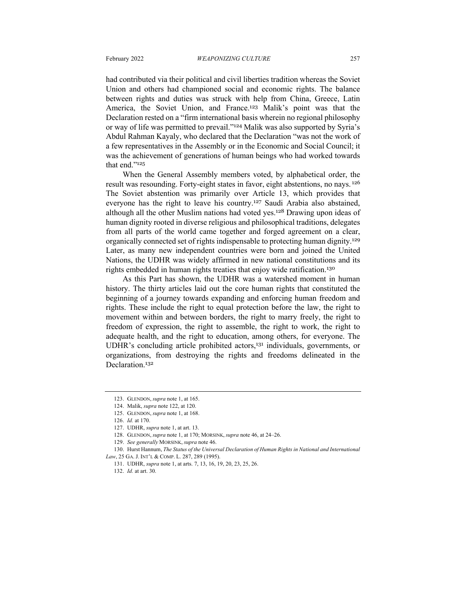had contributed via their political and civil liberties tradition whereas the Soviet Union and others had championed social and economic rights. The balance between rights and duties was struck with help from China, Greece, Latin America, the Soviet Union, and France.<sup>123</sup> Malik's point was that the Declaration rested on a "firm international basis wherein no regional philosophy or way of life was permitted to prevail."<sup>124</sup> Malik was also supported by Syria's Abdul Rahman Kayaly, who declared that the Declaration "was not the work of a few representatives in the Assembly or in the Economic and Social Council; it was the achievement of generations of human beings who had worked towards that end."<sup>125</sup>

When the General Assembly members voted, by alphabetical order, the result was resounding. Forty-eight states in favor, eight abstentions, no nays. <sup>126</sup> The Soviet abstention was primarily over Article 13, which provides that everyone has the right to leave his country.<sup>127</sup> Saudi Arabia also abstained, although all the other Muslim nations had voted yes.<sup>128</sup> Drawing upon ideas of human dignity rooted in diverse religious and philosophical traditions, delegates from all parts of the world came together and forged agreement on a clear, organically connected set of rights indispensable to protecting human dignity.<sup>129</sup> Later, as many new independent countries were born and joined the United Nations, the UDHR was widely affirmed in new national constitutions and its rights embedded in human rights treaties that enjoy wide ratification.<sup>130</sup>

As this Part has shown, the UDHR was a watershed moment in human history. The thirty articles laid out the core human rights that constituted the beginning of a journey towards expanding and enforcing human freedom and rights. These include the right to equal protection before the law, the right to movement within and between borders, the right to marry freely, the right to freedom of expression, the right to assemble, the right to work, the right to adequate health, and the right to education, among others, for everyone. The UDHR's concluding article prohibited actors, <sup>131</sup> individuals, governments, or organizations, from destroying the rights and freedoms delineated in the Declaration. 132

<sup>123.</sup> GLENDON, *supra* note 1, at 165.

<sup>124.</sup> Malik, *supra* note 122, at 120.

<sup>125.</sup> GLENDON, *supra* note 1, at 168.

<sup>126.</sup> *Id.* at 170.

<sup>127.</sup> UDHR, *supra* note 1, at art. 13.

<sup>128.</sup> GLENDON, *supra* note 1, at 170; MORSINK, *supra* note 46, at 24–26.

<sup>129.</sup> *See generally* MORSINK, *supra* note 46.

<sup>130.</sup> Hurst Hannum, *The Status of the Universal Declaration of Human Rights in National and International Law*, 25 GA. J. INT'L & COMP. L. 287, 289 (1995).

<sup>131.</sup> UDHR, *supra* note 1, at arts. 7, 13, 16, 19, 20, 23, 25, 26.

<sup>132.</sup> *Id.* at art. 30.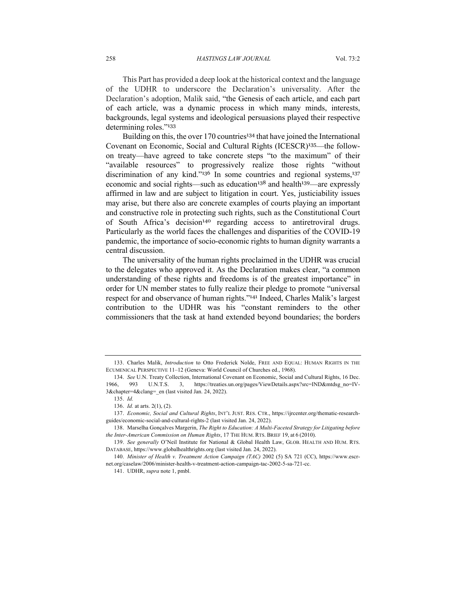This Part has provided a deep look at the historical context and the language of the UDHR to underscore the Declaration's universality. After the Declaration's adoption, Malik said, "the Genesis of each article, and each part of each article, was a dynamic process in which many minds, interests, backgrounds, legal systems and ideological persuasions played their respective determining roles."<sup>133</sup>

Building on this, the over 170 countries<sup>134</sup> that have joined the International Covenant on Economic, Social and Cultural Rights (ICESCR)135—the followon treaty—have agreed to take concrete steps "to the maximum" of their "available resources" to progressively realize those rights "without discrimination of any kind."<sup>136</sup> In some countries and regional systems,<sup>137</sup> economic and social rights—such as education<sup>138</sup> and health<sup>139</sup>—are expressly affirmed in law and are subject to litigation in court. Yes, justiciability issues may arise, but there also are concrete examples of courts playing an important and constructive role in protecting such rights, such as the Constitutional Court of South Africa's decision<sup>140</sup> regarding access to antiretroviral drugs. Particularly as the world faces the challenges and disparities of the COVID-19 pandemic, the importance of socio-economic rights to human dignity warrants a central discussion.

The universality of the human rights proclaimed in the UDHR was crucial to the delegates who approved it. As the Declaration makes clear, "a common understanding of these rights and freedoms is of the greatest importance" in order for UN member states to fully realize their pledge to promote "universal respect for and observance of human rights."<sup>141</sup> Indeed, Charles Malik's largest contribution to the UDHR was his "constant reminders to the other commissioners that the task at hand extended beyond boundaries; the borders

<sup>133.</sup> Charles Malik, *Introduction* to Otto Frederick Nolde, FREE AND EQUAL: HUMAN RIGHTS IN THE ECUMENICAL PERSPECTIVE 11–12 (Geneva: World Council of Churches ed., 1968).

<sup>134.</sup> *See* U.N. Treaty Collection, International Covenant on Economic, Social and Cultural Rights, 16 Dec. 1966, 993 U.N.T.S. 3, https://treaties.un.org/pages/ViewDetails.aspx?src=IND&mtdsg\_no=IV-3&chapter=4&clang=\_en (last visited Jan. 24, 2022).

<sup>135.</sup> *Id.*

<sup>136.</sup> *Id.* at arts. 2(1), (2).

<sup>137.</sup> *Economic, Social and Cultural Rights*, INT'L JUST. RES. CTR., https://ijrcenter.org/thematic-researchguides/economic-social-and-cultural-rights-2 (last visited Jan. 24, 2022).

<sup>138.</sup> Marselha Gonçalves Margerin, *The Right to Education: A Multi-Faceted Strategy for Litigating before the Inter-American Commission on Human Rights*, 17 THE HUM. RTS. BRIEF 19, at 6 (2010).

<sup>139.</sup> *See generally* O'Neil Institute for National & Global Health Law, GLOB. HEALTH AND HUM. RTS. DATABASE, https://www.globalhealthrights.org (last visited Jan. 24, 2022).

<sup>140.</sup> *Minister of Health v. Treatment Action Campaign (TAC)* 2002 (5) SA 721 (CC), https://www.escrnet.org/caselaw/2006/minister-health-v-treatment-action-campaign-tac-2002-5-sa-721-cc.

<sup>141.</sup> UDHR, *supra* note 1, pmbl.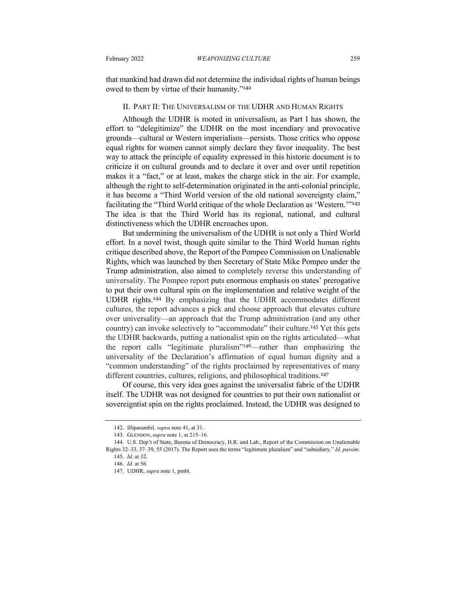that mankind had drawn did not determine the individual rights of human beings owed to them by virtue of their humanity."<sup>142</sup>

#### II. PART II: THE UNIVERSALISM OF THE UDHR AND HUMAN RIGHTS

Although the UDHR is rooted in universalism, as Part I has shown, the effort to "delegitimize" the UDHR on the most incendiary and provocative grounds—cultural or Western imperialism—persists. Those critics who oppose equal rights for women cannot simply declare they favor inequality. The best way to attack the principle of equality expressed in this historic document is to criticize it on cultural grounds and to declare it over and over until repetition makes it a "fact," or at least, makes the charge stick in the air. For example, although the right to self-determination originated in the anti-colonial principle, it has become a "Third World version of the old national sovereignty claim," facilitating the "Third World critique of the whole Declaration as 'Western.'"<sup>143</sup> The idea is that the Third World has its regional, national, and cultural distinctiveness which the UDHR encroaches upon.

But undermining the universalism of the UDHR is not only a Third World effort. In a novel twist, though quite similar to the Third World human rights critique described above, the Report of the Pompeo Commission on Unalienable Rights, which was launched by then Secretary of State Mike Pompeo under the Trump administration, also aimed to completely reverse this understanding of universality. The Pompeo report puts enormous emphasis on states' prerogative to put their own cultural spin on the implementation and relative weight of the UDHR rights.<sup>144</sup> By emphasizing that the UDHR accommodates different cultures, the report advances a pick and choose approach that elevates culture over universality—an approach that the Trump administration (and any other country) can invoke selectively to "accommodate" their culture.<sup>145</sup> Yet this gets the UDHR backwards, putting a nationalist spin on the rights articulated—what the report calls "legitimate pluralism"<sup>146</sup>—rather than emphasizing the universality of the Declaration's affirmation of equal human dignity and a "common understanding" of the rights proclaimed by representatives of many different countries, cultures, religions, and philosophical traditions.<sup>147</sup>

Of course, this very idea goes against the universalist fabric of the UDHR itself. The UDHR was not designed for countries to put their own nationalist or sovereigntist spin on the rights proclaimed. Instead, the UDHR was designed to

<sup>142.</sup> Illiparambil*, supra* note 41, at 31.

<sup>143.</sup> GLENDON, *supra* note 1, at 215–16.

<sup>144.</sup> U.S. Dep't of State, Bureau of Democracy, H.R. and Lab., Report of the Commission on Unalienable Rights 32–33, 37–39, 55 (2017). The Report uses the terms "legitimate pluralism" and "subsidiary." *Id. passim*. 145. *Id.* at 32.

<sup>146.</sup> *Id.* at 56.

<sup>147.</sup> UDHR, *supra* note 1, pmbl.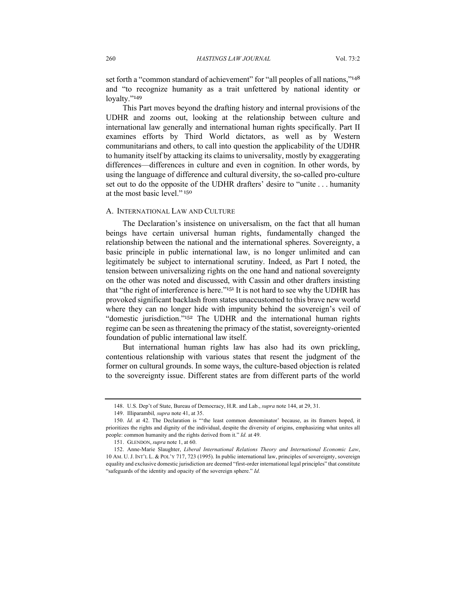set forth a "common standard of achievement" for "all peoples of all nations,"148 and "to recognize humanity as a trait unfettered by national identity or loyalty."<sup>149</sup>

This Part moves beyond the drafting history and internal provisions of the UDHR and zooms out, looking at the relationship between culture and international law generally and international human rights specifically. Part II examines efforts by Third World dictators, as well as by Western communitarians and others, to call into question the applicability of the UDHR to humanity itself by attacking its claims to universality, mostly by exaggerating differences—differences in culture and even in cognition. In other words, by using the language of difference and cultural diversity, the so-called pro-culture set out to do the opposite of the UDHR drafters' desire to "unite . . . humanity at the most basic level." <sup>150</sup>

#### A. INTERNATIONAL LAW AND CULTURE

The Declaration's insistence on universalism, on the fact that all human beings have certain universal human rights, fundamentally changed the relationship between the national and the international spheres. Sovereignty, a basic principle in public international law, is no longer unlimited and can legitimately be subject to international scrutiny. Indeed, as Part I noted, the tension between universalizing rights on the one hand and national sovereignty on the other was noted and discussed, with Cassin and other drafters insisting that "the right of interference is here."<sup>151</sup> It is not hard to see why the UDHR has provoked significant backlash from states unaccustomed to this brave new world where they can no longer hide with impunity behind the sovereign's veil of "domestic jurisdiction."<sup>152</sup> The UDHR and the international human rights regime can be seen as threatening the primacy of the statist, sovereignty-oriented foundation of public international law itself.

But international human rights law has also had its own prickling, contentious relationship with various states that resent the judgment of the former on cultural grounds. In some ways, the culture-based objection is related to the sovereignty issue. Different states are from different parts of the world

<sup>148.</sup> U.S. Dep't of State, Bureau of Democracy, H.R. and Lab., *supra* note 144, at 29, 31.

<sup>149.</sup> Illiparambil*, supra* note 41, at 35.

<sup>150.</sup> *Id.* at 42. The Declaration is "'the least common denominator' because, as its framers hoped, it prioritizes the rights and dignity of the individual, despite the diversity of origins, emphasizing what unites all people: common humanity and the rights derived from it." *Id.* at 49.

<sup>151.</sup> GLENDON, *supra* note 1, at 60.

<sup>152.</sup> Anne-Marie Slaughter, *Liberal International Relations Theory and International Economic Law*, 10 AM. U.J. INT'L L. & POL'Y 717, 723 (1995). In public international law, principles of sovereignty, sovereign equality and exclusive domestic jurisdiction are deemed "first-order international legal principles" that constitute "safeguards of the identity and opacity of the sovereign sphere." *Id.*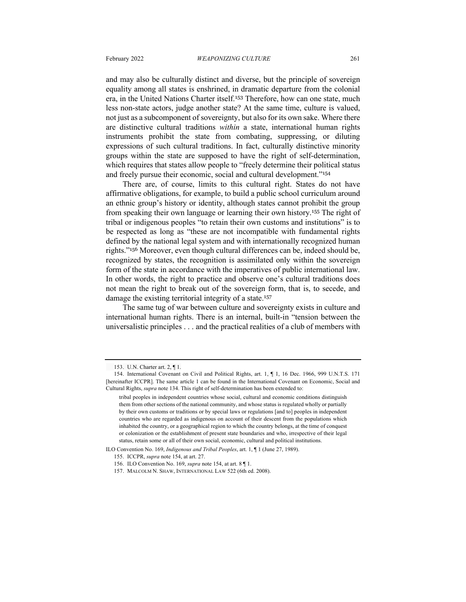and may also be culturally distinct and diverse, but the principle of sovereign equality among all states is enshrined, in dramatic departure from the colonial era, in the United Nations Charter itself.<sup>153</sup> Therefore, how can one state, much less non-state actors, judge another state? At the same time, culture is valued, not just as a subcomponent of sovereignty, but also for its own sake. Where there are distinctive cultural traditions *within* a state, international human rights instruments prohibit the state from combating, suppressing, or diluting expressions of such cultural traditions. In fact, culturally distinctive minority groups within the state are supposed to have the right of self-determination, which requires that states allow people to "freely determine their political status and freely pursue their economic, social and cultural development."<sup>154</sup>

There are, of course, limits to this cultural right. States do not have affirmative obligations, for example, to build a public school curriculum around an ethnic group's history or identity, although states cannot prohibit the group from speaking their own language or learning their own history.<sup>155</sup> The right of tribal or indigenous peoples "to retain their own customs and institutions" is to be respected as long as "these are not incompatible with fundamental rights defined by the national legal system and with internationally recognized human rights."<sup>156</sup> Moreover, even though cultural differences can be, indeed should be, recognized by states, the recognition is assimilated only within the sovereign form of the state in accordance with the imperatives of public international law. In other words, the right to practice and observe one's cultural traditions does not mean the right to break out of the sovereign form, that is, to secede, and damage the existing territorial integrity of a state.<sup>157</sup>

The same tug of war between culture and sovereignty exists in culture and international human rights. There is an internal, built-in "tension between the universalistic principles . . . and the practical realities of a club of members with

<sup>153.</sup> U.N. Charter art. 2, ¶ 1.

<sup>154.</sup> International Covenant on Civil and Political Rights, art. 1, ¶ 1, 16 Dec. 1966, 999 U.N.T.S. 171 [hereinafter ICCPR]. The same article 1 can be found in the International Covenant on Economic, Social and Cultural Rights, *supra* note 134. This right of self-determination has been extended to:

tribal peoples in independent countries whose social, cultural and economic conditions distinguish them from other sections of the national community, and whose status is regulated wholly or partially by their own customs or traditions or by special laws or regulations [and to] peoples in independent countries who are regarded as indigenous on account of their descent from the populations which inhabited the country, or a geographical region to which the country belongs, at the time of conquest or colonization or the establishment of present state boundaries and who, irrespective of their legal status, retain some or all of their own social, economic, cultural and political institutions.

ILO Convention No. 169, *Indigenous and Tribal Peoples*, art. 1, ¶ 1 (June 27, 1989).

<sup>155.</sup> ICCPR, *supra* note 154, at art. 27.

<sup>156.</sup> ILO Convention No. 169, *supra* note 154, at art. 8 ¶ 1.

<sup>157.</sup> MALCOLM N. SHAW, INTERNATIONAL LAW 522 (6th ed. 2008).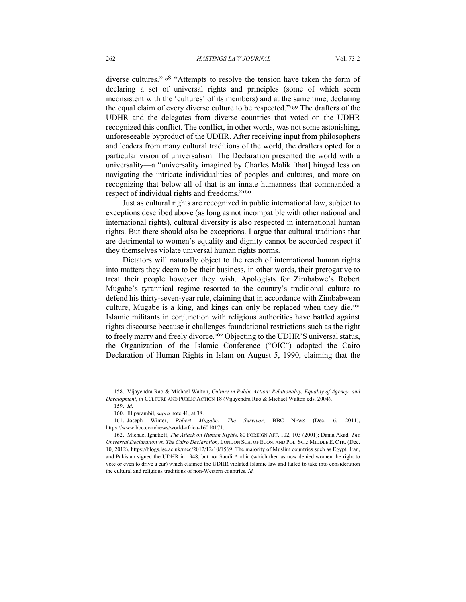diverse cultures."<sup>158</sup> "Attempts to resolve the tension have taken the form of declaring a set of universal rights and principles (some of which seem inconsistent with the 'cultures' of its members) and at the same time, declaring the equal claim of every diverse culture to be respected."<sup>159</sup> The drafters of the UDHR and the delegates from diverse countries that voted on the UDHR recognized this conflict. The conflict, in other words, was not some astonishing, unforeseeable byproduct of the UDHR. After receiving input from philosophers and leaders from many cultural traditions of the world, the drafters opted for a particular vision of universalism. The Declaration presented the world with a universality—a "universality imagined by Charles Malik [that] hinged less on navigating the intricate individualities of peoples and cultures, and more on recognizing that below all of that is an innate humanness that commanded a respect of individual rights and freedoms."<sup>160</sup>

Just as cultural rights are recognized in public international law, subject to exceptions described above (as long as not incompatible with other national and international rights), cultural diversity is also respected in international human rights. But there should also be exceptions. I argue that cultural traditions that are detrimental to women's equality and dignity cannot be accorded respect if they themselves violate universal human rights norms.

Dictators will naturally object to the reach of international human rights into matters they deem to be their business, in other words, their prerogative to treat their people however they wish. Apologists for Zimbabwe's Robert Mugabe's tyrannical regime resorted to the country's traditional culture to defend his thirty-seven-year rule, claiming that in accordance with Zimbabwean culture, Mugabe is a king, and kings can only be replaced when they die.<sup>161</sup> Islamic militants in conjunction with religious authorities have battled against rights discourse because it challenges foundational restrictions such as the right to freely marry and freely divorce.<sup>162</sup> Objecting to the UDHR'S universal status, the Organization of the Islamic Conference ("OIC") adopted the Cairo Declaration of Human Rights in Islam on August 5, 1990, claiming that the

<sup>158.</sup> Vijayendra Rao & Michael Walton, *Culture in Public Action: Relationality, Equality of Agency, and Development*, *in* CULTURE AND PUBLIC ACTION 18 (Vijayendra Rao & Michael Walton eds. 2004).

<sup>159.</sup> *Id.*

<sup>160.</sup> Illiparambil*, supra* note 41, at 38.

<sup>161.</sup> Joseph Winter, *Robert Mugabe: The Survivor*, BBC NEWS (Dec. 6, 2011), https://www.bbc.com/news/world-africa-16010171.

<sup>162.</sup> Michael Ignatieff, *The Attack on Human Right*s, 80 FOREIGN AFF. 102, 103 (2001); Dania Akad, *The Universal Declaration vs. The Cairo Declaration,* LONDON SCH. OF ECON. AND POL. SCI.: MIDDLE E. CTR. (Dec. 10, 2012), https://blogs.lse.ac.uk/mec/2012/12/10/1569. The majority of Muslim countries such as Egypt, Iran, and Pakistan signed the UDHR in 1948, but not Saudi Arabia (which then as now denied women the right to vote or even to drive a car) which claimed the UDHR violated Islamic law and failed to take into consideration the cultural and religious traditions of non-Western countries. *Id.*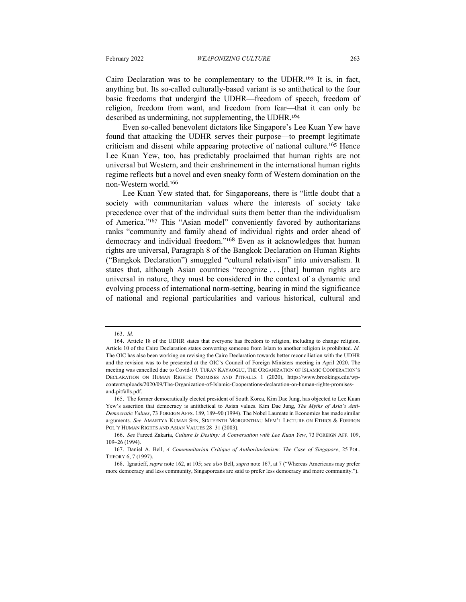Cairo Declaration was to be complementary to the UDHR.<sup>163</sup> It is, in fact, anything but. Its so-called culturally-based variant is so antithetical to the four basic freedoms that undergird the UDHR—freedom of speech, freedom of religion, freedom from want, and freedom from fear—that it can only be described as undermining, not supplementing, the UDHR.<sup>164</sup>

Even so-called benevolent dictators like Singapore's Lee Kuan Yew have found that attacking the UDHR serves their purpose—to preempt legitimate criticism and dissent while appearing protective of national culture.<sup>165</sup> Hence Lee Kuan Yew, too, has predictably proclaimed that human rights are not universal but Western, and their enshrinement in the international human rights regime reflects but a novel and even sneaky form of Western domination on the non-Western world.<sup>166</sup>

Lee Kuan Yew stated that, for Singaporeans, there is "little doubt that a society with communitarian values where the interests of society take precedence over that of the individual suits them better than the individualism of America."<sup>167</sup> This "Asian model" conveniently favored by authoritarians ranks "community and family ahead of individual rights and order ahead of democracy and individual freedom."<sup>168</sup> Even as it acknowledges that human rights are universal, Paragraph 8 of the Bangkok Declaration on Human Rights ("Bangkok Declaration") smuggled "cultural relativism" into universalism. It states that, although Asian countries "recognize . . . [that] human rights are universal in nature, they must be considered in the context of a dynamic and evolving process of international norm-setting, bearing in mind the significance of national and regional particularities and various historical, cultural and

<sup>163.</sup> *Id.*

<sup>164.</sup> Article 18 of the UDHR states that everyone has freedom to religion, including to change religion. Article 10 of the Cairo Declaration states converting someone from Islam to another religion is prohibited. *Id.*  The OIC has also been working on revising the Cairo Declaration towards better reconciliation with the UDHR and the revision was to be presented at the OIC's Council of Foreign Ministers meeting in April 2020. The meeting was cancelled due to Covid-19. TURAN KAYAOGLU, THE ORGANIZATION OF ISLAMIC COOPERATION'S DECLARATION ON HUMAN RIGHTS: PROMISES AND PITFALLS 1 (2020), https://www.brookings.edu/wpcontent/uploads/2020/09/The-Organization-of-Islamic-Cooperations-declaration-on-human-rights-promisesand-pitfalls.pdf.

<sup>165.</sup> The former democratically elected president of South Korea, Kim Dae Jung, has objected to Lee Kuan Yew's assertion that democracy is antithetical to Asian values. Kim Dae Jung, *The Myths of Asia's Anti-Democratic Values*, 73 FOREIGN AFFS. 189, 189–90 (1994). The Nobel Laureate in Economics has made similar arguments. *See* AMARTYA KUMAR SEN, SIXTEENTH MORGENTHAU MEM'L LECTURE ON ETHICS & FOREIGN POL'Y HUMAN RIGHTS AND ASIAN VALUES 28–31 (2003).

<sup>166.</sup> *See* Fareed Zakaria, *Culture Is Destiny: A Conversation with Lee Kuan Yew*, 73 FOREIGN AFF. 109, 109–26 (1994).

<sup>167.</sup> Daniel A. Bell, *A Communitarian Critique of Authoritarianism: The Case of Singapore*, 25 POL. THEORY 6, 7 (1997).

<sup>168.</sup> Ignatieff, *supra* note 162, at 105; *see also* Bell, *supra* note 167, at 7 ("Whereas Americans may prefer more democracy and less community, Singaporeans are said to prefer less democracy and more community.").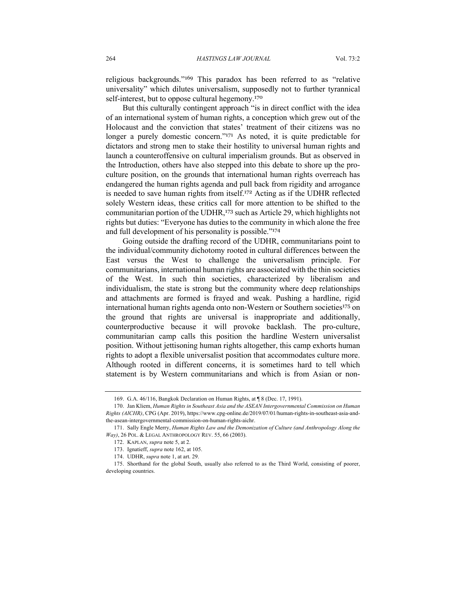religious backgrounds."<sup>169</sup> This paradox has been referred to as "relative universality" which dilutes universalism, supposedly not to further tyrannical self-interest, but to oppose cultural hegemony.<sup>170</sup>

But this culturally contingent approach "is in direct conflict with the idea of an international system of human rights, a conception which grew out of the Holocaust and the conviction that states' treatment of their citizens was no longer a purely domestic concern."<sup>171</sup> As noted, it is quite predictable for dictators and strong men to stake their hostility to universal human rights and launch a counteroffensive on cultural imperialism grounds. But as observed in the Introduction, others have also stepped into this debate to shore up the proculture position, on the grounds that international human rights overreach has endangered the human rights agenda and pull back from rigidity and arrogance is needed to save human rights from itself.<sup>172</sup> Acting as if the UDHR reflected solely Western ideas, these critics call for more attention to be shifted to the communitarian portion of the UDHR,<sup>173</sup> such as Article 29, which highlights not rights but duties: "Everyone has duties to the community in which alone the free and full development of his personality is possible."<sup>174</sup>

Going outside the drafting record of the UDHR, communitarians point to the individual/community dichotomy rooted in cultural differences between the East versus the West to challenge the universalism principle. For communitarians, international human rights are associated with the thin societies of the West. In such thin societies, characterized by liberalism and individualism, the state is strong but the community where deep relationships and attachments are formed is frayed and weak. Pushing a hardline, rigid international human rights agenda onto non-Western or Southern societies<sup>175</sup> on the ground that rights are universal is inappropriate and additionally, counterproductive because it will provoke backlash. The pro-culture, communitarian camp calls this position the hardline Western universalist position. Without jettisoning human rights altogether, this camp exhorts human rights to adopt a flexible universalist position that accommodates culture more. Although rooted in different concerns, it is sometimes hard to tell which statement is by Western communitarians and which is from Asian or non-

<sup>169.</sup> G.A. 46/116, Bangkok Declaration on Human Rights, at ¶ 8 (Dec. 17, 1991).

<sup>170.</sup> Jan Kliem, *Human Rights in Southeast Asia and the ASEAN Intergovernmental Commission on Human Rights (AICHR)*, CPG (Apr. 2019), https://www.cpg-online.de/2019/07/01/human-rights-in-southeast-asia-andthe-asean-intergovernmental-commission-on-human-rights-aichr.

<sup>171.</sup> Sally Engle Merry, *Human Rights Law and the Demonization of Culture (and Anthropology Along the Way)*, 26 POL. & LEGAL ANTHROPOLOGY REV. 55, 66 (2003).

<sup>172.</sup> KAPLAN, *supra* note 5, at 2.

<sup>173.</sup> Ignatieff, *supra* note 162, at 105.

<sup>174.</sup> UDHR, *supra* note 1, at art. 29.

<sup>175.</sup> Shorthand for the global South, usually also referred to as the Third World, consisting of poorer, developing countries.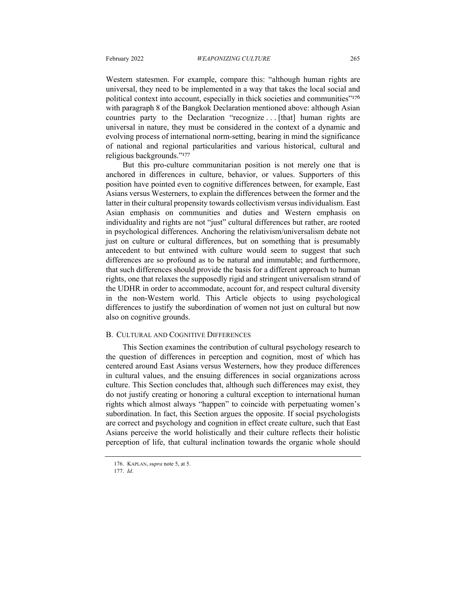Western statesmen. For example, compare this: "although human rights are universal, they need to be implemented in a way that takes the local social and political context into account, especially in thick societies and communities"<sup>176</sup> with paragraph 8 of the Bangkok Declaration mentioned above: although Asian countries party to the Declaration "recognize . . . [that] human rights are universal in nature, they must be considered in the context of a dynamic and evolving process of international norm-setting, bearing in mind the significance of national and regional particularities and various historical, cultural and religious backgrounds."<sup>177</sup>

But this pro-culture communitarian position is not merely one that is anchored in differences in culture, behavior, or values. Supporters of this position have pointed even to cognitive differences between, for example, East Asians versus Westerners, to explain the differences between the former and the latter in their cultural propensity towards collectivism versus individualism. East Asian emphasis on communities and duties and Western emphasis on individuality and rights are not "just" cultural differences but rather, are rooted in psychological differences. Anchoring the relativism/universalism debate not just on culture or cultural differences, but on something that is presumably antecedent to but entwined with culture would seem to suggest that such differences are so profound as to be natural and immutable; and furthermore, that such differences should provide the basis for a different approach to human rights, one that relaxes the supposedly rigid and stringent universalism strand of the UDHR in order to accommodate, account for, and respect cultural diversity in the non-Western world. This Article objects to using psychological differences to justify the subordination of women not just on cultural but now also on cognitive grounds.

#### B. CULTURAL AND COGNITIVE DIFFERENCES

This Section examines the contribution of cultural psychology research to the question of differences in perception and cognition, most of which has centered around East Asians versus Westerners, how they produce differences in cultural values, and the ensuing differences in social organizations across culture. This Section concludes that, although such differences may exist, they do not justify creating or honoring a cultural exception to international human rights which almost always "happen" to coincide with perpetuating women's subordination. In fact, this Section argues the opposite. If social psychologists are correct and psychology and cognition in effect create culture, such that East Asians perceive the world holistically and their culture reflects their holistic perception of life, that cultural inclination towards the organic whole should

<sup>176.</sup> KAPLAN, *supra* note 5, at 5.

<sup>177.</sup> *Id*.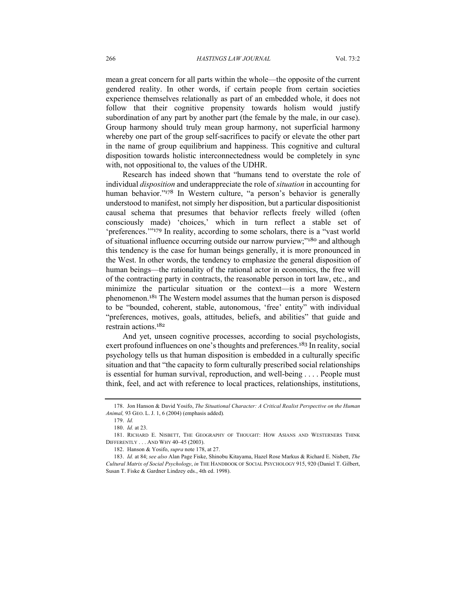mean a great concern for all parts within the whole—the opposite of the current gendered reality. In other words, if certain people from certain societies experience themselves relationally as part of an embedded whole, it does not follow that their cognitive propensity towards holism would justify subordination of any part by another part (the female by the male, in our case). Group harmony should truly mean group harmony, not superficial harmony whereby one part of the group self-sacrifices to pacify or elevate the other part in the name of group equilibrium and happiness. This cognitive and cultural disposition towards holistic interconnectedness would be completely in sync with, not oppositional to, the values of the UDHR.

Research has indeed shown that "humans tend to overstate the role of individual *disposition* and underappreciate the role of *situation* in accounting for human behavior."<sup>178</sup> In Western culture, "a person's behavior is generally understood to manifest, not simply her disposition, but a particular dispositionist causal schema that presumes that behavior reflects freely willed (often consciously made) 'choices,' which in turn reflect a stable set of 'preferences.'"<sup>179</sup> In reality, according to some scholars, there is a "vast world of situational influence occurring outside our narrow purview;"<sup>180</sup> and although this tendency is the case for human beings generally, it is more pronounced in the West. In other words, the tendency to emphasize the general disposition of human beings—the rationality of the rational actor in economics, the free will of the contracting party in contracts, the reasonable person in tort law, etc., and minimize the particular situation or the context—is a more Western phenomenon.<sup>181</sup> The Western model assumes that the human person is disposed to be "bounded, coherent, stable, autonomous, 'free' entity" with individual "preferences, motives, goals, attitudes, beliefs, and abilities" that guide and restrain actions.<sup>182</sup>

And yet, unseen cognitive processes, according to social psychologists, exert profound influences on one's thoughts and preferences.<sup>183</sup> In reality, social psychology tells us that human disposition is embedded in a culturally specific situation and that "the capacity to form culturally prescribed social relationships is essential for human survival, reproduction, and well-being . . . . People must think, feel, and act with reference to local practices, relationships, institutions,

<sup>178.</sup> Jon Hanson & David Yosifo, *The Situational Character: A Critical Realist Perspective on the Human Animal,* 93 GEO. L. J. 1, 6 (2004) (emphasis added)*.*

<sup>179.</sup> *Id.*

<sup>180.</sup> *Id.* at 23.

<sup>181.</sup> RICHARD E. NISBETT, THE GEOGRAPHY OF THOUGHT: HOW ASIANS AND WESTERNERS THINK DIFFERENTLY . . . AND WHY 40–45 (2003).

<sup>182.</sup> Hanson & Yosifo, *supra* note 178, at 27.

<sup>183.</sup> *Id.* at 84; *see also* Alan Page Fiske, Shinobu Kitayama, Hazel Rose Markus & Richard E. Nisbett, *The Cultural Matrix of Social Psychology*, *in* THE HANDBOOK OF SOCIAL PSYCHOLOGY 915, 920 (Daniel T. Gilbert, Susan T. Fiske & Gardner Lindzey eds., 4th ed. 1998).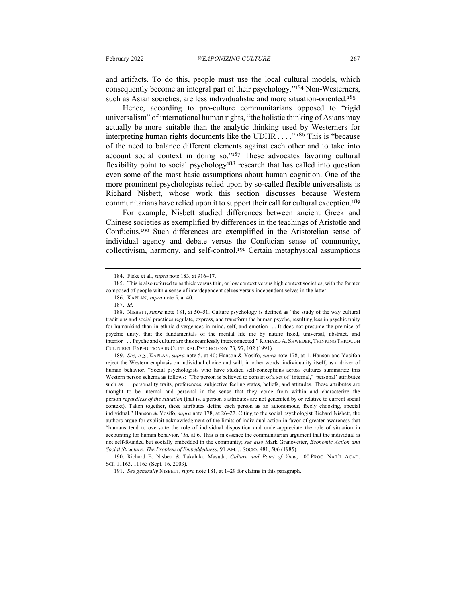and artifacts. To do this, people must use the local cultural models, which consequently become an integral part of their psychology."<sup>184</sup> Non-Westerners, such as Asian societies, are less individualistic and more situation-oriented.<sup>185</sup>

Hence, according to pro-culture communitarians opposed to "rigid universalism" of international human rights, "the holistic thinking of Asians may actually be more suitable than the analytic thinking used by Westerners for interpreting human rights documents like the UDHR . . . ." <sup>186</sup> This is "because of the need to balance different elements against each other and to take into account social context in doing so."<sup>187</sup> These advocates favoring cultural flexibility point to social psychology<sup>188</sup> research that has called into question even some of the most basic assumptions about human cognition. One of the more prominent psychologists relied upon by so-called flexible universalists is Richard Nisbett, whose work this section discusses because Western communitarians have relied upon it to support their call for cultural exception. 189

For example, Nisbett studied differences between ancient Greek and Chinese societies as exemplified by differences in the teachings of Aristotle and Confucius.<sup>190</sup> Such differences are exemplified in the Aristotelian sense of individual agency and debate versus the Confucian sense of community, collectivism, harmony, and self-control.<sup>191</sup> Certain metaphysical assumptions

190. Richard E. Nisbett & Takahiko Masuda, *Culture and Point of View*, 100 PROC. NAT'L ACAD. SCI. 11163, 11163 (Sept. 16, 2003).

<sup>184.</sup> Fiske et al., *supra* note 183, at 916–17.

<sup>185.</sup> This is also referred to as thick versus thin, or low context versus high context societies, with the former composed of people with a sense of interdependent selves versus independent selves in the latter.

<sup>186.</sup> KAPLAN, *supra* note 5, at 40.

<sup>187.</sup> *Id.*

<sup>188.</sup> NISBETT, *supra* note 181, at 50–51. Culture psychology is defined as "the study of the way cultural traditions and social practices regulate, express, and transform the human psyche, resulting less in psychic unity for humankind than in ethnic divergences in mind, self, and emotion . . . It does not presume the premise of psychic unity, that the fundamentals of the mental life are by nature fixed, universal, abstract, and interior . . . Psyche and culture are thus seamlessly interconnected." RICHARD A. SHWEDER, THINKING THROUGH CULTURES: EXPEDITIONS IN CULTURAL PSYCHOLOGY 73, 97, 102 (1991)*.*

<sup>189.</sup> *See, e.g.*, KAPLAN, *supra* note 5, at 40; Hanson & Yosifo, *supra* note 178, at 1. Hanson and Yosifon reject the Western emphasis on individual choice and will, in other words, individuality itself, as a driver of human behavior. "Social psychologists who have studied self-conceptions across cultures summarize this Western person schema as follows: "The person is believed to consist of a set of 'internal,' 'personal' attributes such as . . . personality traits, preferences, subjective feeling states, beliefs, and attitudes. These attributes are thought to be internal and personal in the sense that they come from within and characterize the person *regardless of the situation* (that is, a person's attributes are not generated by or relative to current social context). Taken together, these attributes define each person as an autonomous, freely choosing, special individual." Hanson & Yosifo, *supra* note 178, at 26–27. Citing to the social psychologist Richard Nisbett, the authors argue for explicit acknowledgment of the limits of individual action in favor of greater awareness that "humans tend to overstate the role of individual disposition and under-appreciate the role of situation in accounting for human behavior." *Id.* at 6. This is in essence the communitarian argument that the individual is not self-founded but socially embedded in the community; *see also* Mark Granovetter, *Economic Action and Social Structure: The Problem of Embeddedness*, 91 AM. J. SOCIO. 481, 506 (1985).

<sup>191.</sup> *See generally* NISBETT, *supra* note 181, at 1–29 for claims in this paragraph.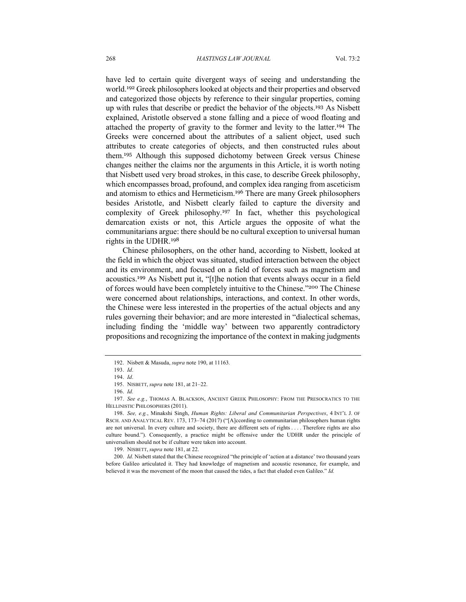have led to certain quite divergent ways of seeing and understanding the world. <sup>192</sup> Greek philosophers looked at objects and their properties and observed and categorized those objects by reference to their singular properties, coming up with rules that describe or predict the behavior of the objects. <sup>193</sup> As Nisbett explained, Aristotle observed a stone falling and a piece of wood floating and attached the property of gravity to the former and levity to the latter.<sup>194</sup> The Greeks were concerned about the attributes of a salient object, used such attributes to create categories of objects, and then constructed rules about them.<sup>195</sup> Although this supposed dichotomy between Greek versus Chinese changes neither the claims nor the arguments in this Article, it is worth noting that Nisbett used very broad strokes, in this case, to describe Greek philosophy, which encompasses broad, profound, and complex idea ranging from asceticism and atomism to ethics and Hermeticism.<sup>196</sup> There are many Greek philosophers besides Aristotle, and Nisbett clearly failed to capture the diversity and complexity of Greek philosophy.<sup>197</sup> In fact, whether this psychological demarcation exists or not, this Article argues the opposite of what the communitarians argue: there should be no cultural exception to universal human rights in the UDHR.<sup>198</sup>

Chinese philosophers, on the other hand, according to Nisbett, looked at the field in which the object was situated, studied interaction between the object and its environment, and focused on a field of forces such as magnetism and acoustics.<sup>199</sup> As Nisbett put it, "[t]he notion that events always occur in a field of forces would have been completely intuitive to the Chinese."<sup>200</sup> The Chinese were concerned about relationships, interactions, and context. In other words, the Chinese were less interested in the properties of the actual objects and any rules governing their behavior; and are more interested in "dialectical schemas, including finding the 'middle way' between two apparently contradictory propositions and recognizing the importance of the context in making judgments

<sup>192.</sup> Nisbett & Masuda, *supra* note 190, at 11163*.*

<sup>193.</sup> *Id*.

<sup>194.</sup> *Id*.

<sup>195.</sup> NISBETT, *supra* note 181, at 21–22.

<sup>196.</sup> *Id.*

<sup>197.</sup> *See e.g.*, THOMAS A. BLACKSON, ANCIENT GREEK PHILOSOPHY: FROM THE PRESOCRATICS TO THE HELLINISTIC PHILOSOPHERS (2011).

<sup>198.</sup> *See, e.g.*, Minakshi Singh, *Human Rights: Liberal and Communitarian Perspectives*, 4 INT'L J. OF RSCH. AND ANALYTICAL REV. 173, 173–74 (2017) ("[A]ccording to communitarian philosophers human rights are not universal. In every culture and society, there are different sets of rights . . . . Therefore rights are also culture bound."). Consequently, a practice might be offensive under the UDHR under the principle of universalism should not be if culture were taken into account.

<sup>199.</sup> NISBETT, *supra* note 181, at 22.

<sup>200.</sup> *Id.* Nisbett stated that the Chinese recognized "the principle of 'action at a distance' two thousand years before Galileo articulated it. They had knowledge of magnetism and acoustic resonance, for example, and believed it was the movement of the moon that caused the tides, a fact that eluded even Galileo." *Id.*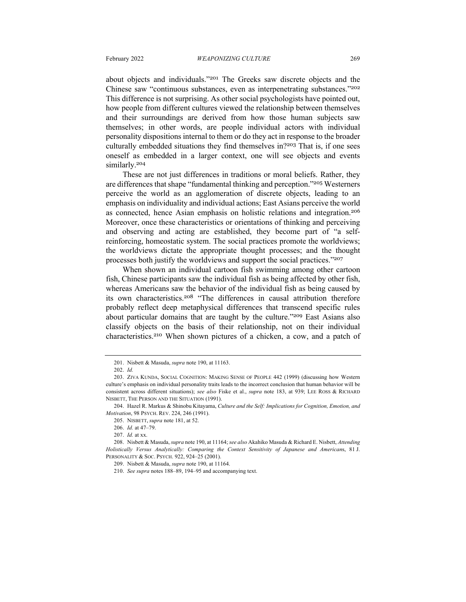about objects and individuals."<sup>201</sup> The Greeks saw discrete objects and the Chinese saw "continuous substances, even as interpenetrating substances."<sup>202</sup> This difference is not surprising. As other social psychologists have pointed out, how people from different cultures viewed the relationship between themselves and their surroundings are derived from how those human subjects saw themselves; in other words, are people individual actors with individual personality dispositions internal to them or do they act in response to the broader culturally embedded situations they find themselves in?<sup>203</sup> That is, if one sees oneself as embedded in a larger context, one will see objects and events similarly.<sup>204</sup>

These are not just differences in traditions or moral beliefs. Rather, they are differences that shape "fundamental thinking and perception."<sup>205</sup> Westerners perceive the world as an agglomeration of discrete objects, leading to an emphasis on individuality and individual actions; East Asians perceive the world as connected, hence Asian emphasis on holistic relations and integration.<sup>206</sup> Moreover, once these characteristics or orientations of thinking and perceiving and observing and acting are established, they become part of "a selfreinforcing, homeostatic system. The social practices promote the worldviews; the worldviews dictate the appropriate thought processes; and the thought processes both justify the worldviews and support the social practices."<sup>207</sup>

When shown an individual cartoon fish swimming among other cartoon fish, Chinese participants saw the individual fish as being affected by other fish, whereas Americans saw the behavior of the individual fish as being caused by its own characteristics.<sup>208</sup> "The differences in causal attribution therefore probably reflect deep metaphysical differences that transcend specific rules about particular domains that are taught by the culture."<sup>209</sup> East Asians also classify objects on the basis of their relationship, not on their individual characteristics. <sup>210</sup> When shown pictures of a chicken, a cow, and a patch of

<sup>201.</sup> Nisbett & Masuda, *supra* note 190, at 11163.

<sup>202.</sup> *Id.*

<sup>203.</sup> ZIVA KUNDA, SOCIAL COGNITION: MAKING SENSE OF PEOPLE 442 (1999) (discussing how Western culture's emphasis on individual personality traits leads to the incorrect conclusion that human behavior will be consistent across different situations); *see also* Fiske et al., *supra* note 183, at 939; LEE ROSS & RICHARD NISBETT, THE PERSON AND THE SITUATION (1991).

<sup>204.</sup> Hazel R. Markus & Shinobu Kitayama, *Culture and the Self: Implications for Cognition, Emotion, and Motivation*, 98 PSYCH. REV. 224, 246 (1991).

<sup>205.</sup> NISBETT, *supra* note 181, at 52.

<sup>206.</sup> *Id.* at 47–79.

<sup>207.</sup> *Id.* at xx.

<sup>208.</sup> Nisbett & Masuda, *supra* note 190, at 11164; *see also* Akahiko Masuda & Richard E. Nisbett, *Attending Holistically Versus Analytically: Comparing the Context Sensitivity of Japanese and American*s, 81 J. PERSONALITY & SOC. PSYCH. 922, 924–25 (2001).

<sup>209.</sup> Nisbett & Masuda, *supra* note 190, at 11164.

<sup>210.</sup> *See supra* notes 188–89, 194–95 and accompanying text.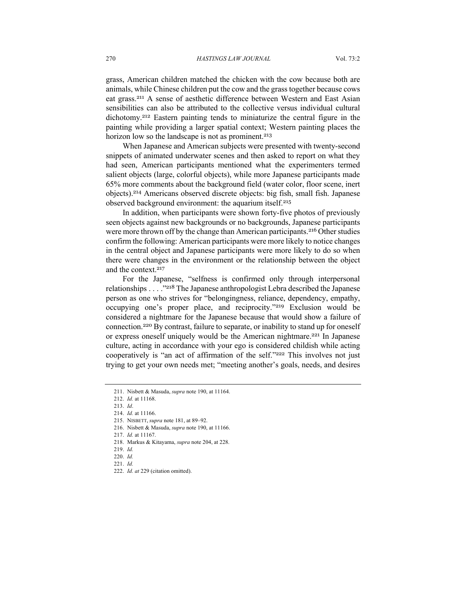grass, American children matched the chicken with the cow because both are animals, while Chinese children put the cow and the grasstogether because cows eat grass.<sup>211</sup> A sense of aesthetic difference between Western and East Asian sensibilities can also be attributed to the collective versus individual cultural dichotomy. <sup>212</sup> Eastern painting tends to miniaturize the central figure in the painting while providing a larger spatial context; Western painting places the horizon low so the landscape is not as prominent.<sup>213</sup>

When Japanese and American subjects were presented with twenty-second snippets of animated underwater scenes and then asked to report on what they had seen, American participants mentioned what the experimenters termed salient objects (large, colorful objects), while more Japanese participants made 65% more comments about the background field (water color, floor scene, inert objects).<sup>214</sup> Americans observed discrete objects: big fish, small fish. Japanese observed background environment: the aquarium itself.<sup>215</sup>

In addition, when participants were shown forty-five photos of previously seen objects against new backgrounds or no backgrounds, Japanese participants were more thrown off by the change than American participants.<sup>216</sup> Other studies confirm the following: American participants were more likely to notice changes in the central object and Japanese participants were more likely to do so when there were changes in the environment or the relationship between the object and the context. 217

For the Japanese, "selfness is confirmed only through interpersonal relationships . . . ."<sup>218</sup> The Japanese anthropologist Lebra described the Japanese person as one who strives for "belongingness, reliance, dependency, empathy, occupying one's proper place, and reciprocity."<sup>219</sup> Exclusion would be considered a nightmare for the Japanese because that would show a failure of connection. <sup>220</sup> By contrast, failure to separate, or inability to stand up for oneself or express oneself uniquely would be the American nightmare.<sup>221</sup> In Japanese culture, acting in accordance with your ego is considered childish while acting cooperatively is "an act of affirmation of the self."222 This involves not just trying to get your own needs met; "meeting another's goals, needs, and desires

218. Markus & Kitayama, *supra* note 204, at 228.

<sup>211.</sup> Nisbett & Masuda, *supra* note 190, at 11164.

<sup>212.</sup> *Id.* at 11168.

<sup>213.</sup> *Id*.

<sup>214.</sup> *Id.* at 11166.

<sup>215.</sup> NISBETT, *supra* note 181, at 89–92.

<sup>216.</sup> Nisbett & Masuda, *supra* note 190, at 11166.

<sup>217.</sup> *Id.* at 11167.

<sup>219.</sup> *Id.*

<sup>220.</sup> *Id.*

<sup>221.</sup> *Id.*

<sup>222.</sup> *Id. at* 229 (citation omitted).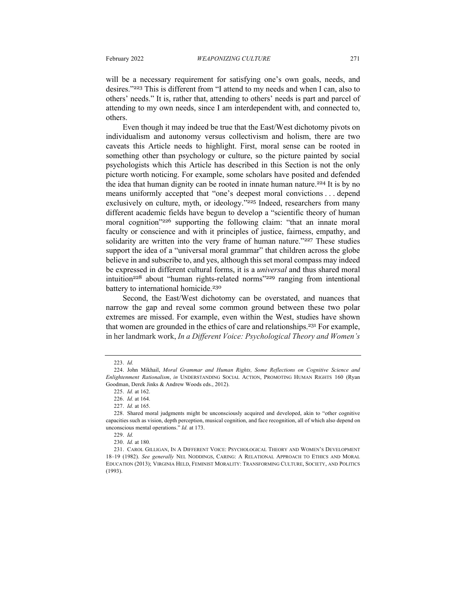will be a necessary requirement for satisfying one's own goals, needs, and desires."<sup>223</sup> This is different from "I attend to my needs and when I can, also to others' needs." It is, rather that, attending to others' needs is part and parcel of attending to my own needs, since I am interdependent with, and connected to, others.

Even though it may indeed be true that the East/West dichotomy pivots on individualism and autonomy versus collectivism and holism, there are two caveats this Article needs to highlight. First, moral sense can be rooted in something other than psychology or culture, so the picture painted by social psychologists which this Article has described in this Section is not the only picture worth noticing. For example, some scholars have posited and defended the idea that human dignity can be rooted in innate human nature.<sup>224</sup> It is by no means uniformly accepted that "one's deepest moral convictions . . . depend exclusively on culture, myth, or ideology."<sup>225</sup> Indeed, researchers from many different academic fields have begun to develop a "scientific theory of human moral cognition"<sup>226</sup> supporting the following claim: "that an innate moral faculty or conscience and with it principles of justice, fairness, empathy, and solidarity are written into the very frame of human nature."227 These studies support the idea of a "universal moral grammar" that children across the globe believe in and subscribe to, and yes, although this set moral compass may indeed be expressed in different cultural forms, it is a *universal* and thus shared moral intuition<sup>228</sup> about "human rights-related norms"<sup>229</sup> ranging from intentional battery to international homicide.<sup>230</sup>

Second, the East/West dichotomy can be overstated, and nuances that narrow the gap and reveal some common ground between these two polar extremes are missed. For example, even within the West, studies have shown that women are grounded in the ethics of care and relationships. <sup>231</sup> For example, in her landmark work, *In a Different Voice: Psychological Theory and Women's* 

<sup>223.</sup> *Id.*

<sup>224.</sup> John Mikhail, *Moral Grammar and Human Rights, Some Reflections on Cognitive Science and Enlightenment Rationalism*, *in* UNDERSTANDING SOCIAL ACTION, PROMOTING HUMAN RIGHTS 160 (Ryan Goodman, Derek Jinks & Andrew Woods eds., 2012).

<sup>225.</sup> *Id.* at 162.

<sup>226.</sup> *Id.* at 164.

<sup>227.</sup> *Id.* at 165.

<sup>228.</sup> Shared moral judgments might be unconsciously acquired and developed, akin to "other cognitive capacities such as vision, depth perception, musical cognition, and face recognition, all of which also depend on unconscious mental operations." *Id.* at 173.

<sup>229.</sup> *Id.*

<sup>230.</sup> *Id.* at 180.

<sup>231.</sup> CAROL GILLIGAN, IN A DIFFERENT VOICE: PSYCHOLOGICAL THEORY AND WOMEN'S DEVELOPMENT 18–19 (1982). *See generally* NEL NODDINGS, CARING: A RELATIONAL APPROACH TO ETHICS AND MORAL EDUCATION (2013); VIRGINIA HELD, FEMINIST MORALITY: TRANSFORMING CULTURE, SOCIETY, AND POLITICS (1993).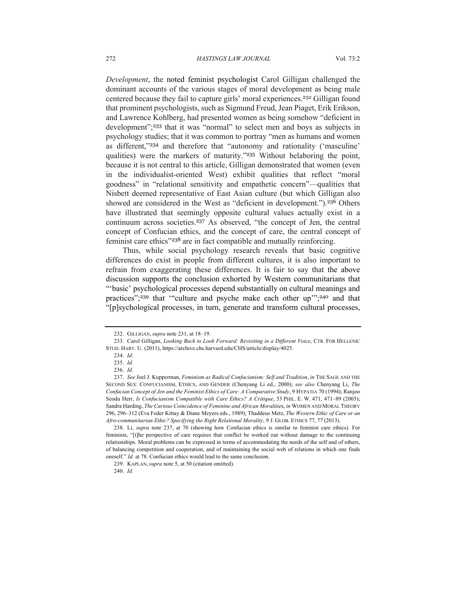*Development*, the noted feminist psychologist Carol Gilligan challenged the dominant accounts of the various stages of moral development as being male centered because they fail to capture girls' moral experiences.<sup>232</sup> Gilligan found that prominent psychologists, such as Sigmund Freud, Jean Piaget, Erik Erikson, and Lawrence Kohlberg, had presented women as being somehow "deficient in development"; <sup>233</sup> that it was "normal" to select men and boys as subjects in psychology studies; that it was common to portray "men as humans and women as different,"<sup>234</sup> and therefore that "autonomy and rationality ('masculine' qualities) were the markers of maturity."<sup>235</sup> Without belaboring the point, because it is not central to this article, Gilligan demonstrated that women (even in the individualist-oriented West) exhibit qualities that reflect "moral goodness" in "relational sensitivity and empathetic concern"—qualities that Nisbett deemed representative of East Asian culture (but which Gilligan also showed are considered in the West as "deficient in development.").<sup>236</sup> Others have illustrated that seemingly opposite cultural values actually exist in a continuum across societies. <sup>237</sup> As observed, "the concept of Jen, the central concept of Confucian ethics, and the concept of care, the central concept of feminist care ethics"<sup>238</sup> are in fact compatible and mutually reinforcing.

Thus, while social psychology research reveals that basic cognitive differences do exist in people from different cultures, it is also important to refrain from exaggerating these differences. It is fair to say that the above discussion supports the conclusion exhorted by Western communitarians that "'basic' psychological processes depend substantially on cultural meanings and practices";<sup>239</sup> that "culture and psyche make each other up";<sup>240</sup> and that "[p]sychological processes, in turn, generate and transform cultural processes,

<sup>232.</sup> GILLIGAN, *supra* note 231, at 18–19.

<sup>233.</sup> Carol Gilligan, *Looking Back to Look Forward: Revisiting in a Different Voice*, CTR. FOR HELLENIC STUD. HARV. U. (2011), https://archive.chs.harvard.edu/CHS/article/display/4025.

<sup>234.</sup> *Id.*

<sup>235.</sup> *Id.*

<sup>236.</sup> *Id.*

<sup>237.</sup> *See* Joel J. Kupperman, *Feminism as Radical Confucianism: Self and Tradition*, *in* THE SAGE AND THE SECOND SEX: CONFUCIANISM, ETHICS, AND GENDER (Chenyang Li ed., 2000); *see also* Chenyang Li, *The Confucian Concept of Jen and the Feminist Ethics of Care: A Comparative Study*, 9 HYPATIA 70 (1994); Ranjoo Seodu Herr, *Is Confucianism Compatible with Care Ethics? A Critique*, 53 PHIL. E. W. 471, 471–89 (2003); Sandra Harding, *The Curious Coincidence of Feminine and African Moralitie*s, *in* WOMEN AND MORAL THEORY 296, 296–312 (Eva Feder Kittay & Diane Meyers eds., 1989); Thaddeus Metz, *The Western Ethic of Care or an Afro-communitarian Ethic? Specifying the Right Relational Morality*, 9 J. GLOB. ETHICS 77, 77 (2013).

<sup>238.</sup> Li, *supra* note 237, at 70 (showing how Confucian ethics is similar to feminist care ethics). For feminists, "[t]he perspective of care requires that conflict be worked out without damage to the continuing relationships. Moral problems can be expressed in terms of accommodating the needs of the self and of others, of balancing competition and cooperation, and of maintaining the social web of relations in which one finds oneself." *Id.* at 78. Confucian ethics would lead to the same conclusion.

<sup>239.</sup> KAPLAN, *supra* note 5, at 50 (citation omitted).

<sup>240.</sup> *Id.*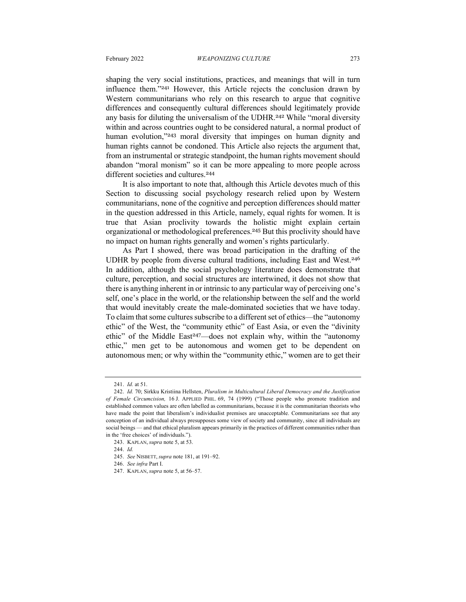shaping the very social institutions, practices, and meanings that will in turn influence them."<sup>241</sup> However, this Article rejects the conclusion drawn by Western communitarians who rely on this research to argue that cognitive differences and consequently cultural differences should legitimately provide any basis for diluting the universalism of the UDHR.<sup>242</sup> While "moral diversity within and across countries ought to be considered natural, a normal product of human evolution,"243 moral diversity that impinges on human dignity and human rights cannot be condoned. This Article also rejects the argument that, from an instrumental or strategic standpoint, the human rights movement should abandon "moral monism" so it can be more appealing to more people across different societies and cultures.<sup>244</sup>

It is also important to note that, although this Article devotes much of this Section to discussing social psychology research relied upon by Western communitarians, none of the cognitive and perception differences should matter in the question addressed in this Article, namely, equal rights for women. It is true that Asian proclivity towards the holistic might explain certain organizational or methodological preferences.<sup>245</sup> But this proclivity should have no impact on human rights generally and women's rights particularly.

As Part I showed, there was broad participation in the drafting of the UDHR by people from diverse cultural traditions, including East and West. 246 In addition, although the social psychology literature does demonstrate that culture, perception, and social structures are intertwined, it does not show that there is anything inherent in or intrinsic to any particular way of perceiving one's self, one's place in the world, or the relationship between the self and the world that would inevitably create the male-dominated societies that we have today. To claim that some cultures subscribe to a different set of ethics—the "autonomy ethic" of the West, the "community ethic" of East Asia, or even the "divinity ethic" of the Middle East<sup>247</sup>—does not explain why, within the "autonomy ethic," men get to be autonomous and women get to be dependent on autonomous men; or why within the "community ethic," women are to get their

<sup>241.</sup> *Id.* at 51.

<sup>242.</sup> *Id.* 70; Sirkku Kristiina Hellsten, *Pluralism in Multicultural Liberal Democracy and the Justification of Female Circumcision,* 16 J. APPLIED PHIL. 69, 74 (1999) ("Those people who promote tradition and established common values are often labelled as communitarians, because it is the communitarian theorists who have made the point that liberalism's individualist premises are unacceptable. Communitarians see that any conception of an individual always presupposes some view of society and community, since all individuals are social beings — and that ethical pluralism appears primarily in the practices of different communities rather than in the 'free choices' of individuals.").

<sup>243.</sup> KAPLAN, *supra* note 5, at 53.

<sup>244.</sup> *Id.*

<sup>245.</sup> *See* NISBETT, *supra* note 181, at 191–92.

<sup>246.</sup> *See infra* Part I.

<sup>247.</sup> KAPLAN, *supra* note 5, at 56–57.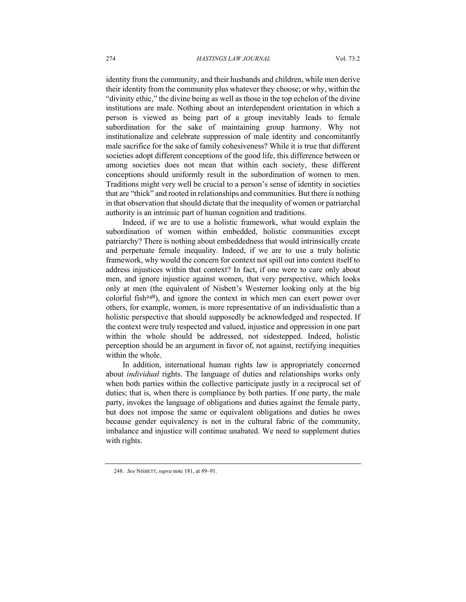identity from the community, and their husbands and children, while men derive their identity from the community plus whatever they choose; or why, within the "divinity ethic," the divine being as well as those in the top echelon of the divine institutions are male. Nothing about an interdependent orientation in which a person is viewed as being part of a group inevitably leads to female subordination for the sake of maintaining group harmony. Why not institutionalize and celebrate suppression of male identity and concomitantly male sacrifice for the sake of family cohesiveness? While it is true that different societies adopt different conceptions of the good life, this difference between or among societies does not mean that within each society, these different conceptions should uniformly result in the subordination of women to men. Traditions might very well be crucial to a person's sense of identity in societies that are "thick" and rooted in relationships and communities. But there is nothing in that observation that should dictate that the inequality of women or patriarchal authority is an intrinsic part of human cognition and traditions.

Indeed, if we are to use a holistic framework, what would explain the subordination of women within embedded, holistic communities except patriarchy? There is nothing about embeddedness that would intrinsically create and perpetuate female inequality. Indeed, if we are to use a truly holistic framework, why would the concern for context not spill out into context itself to address injustices within that context? In fact, if one were to care only about men, and ignore injustice against women, that very perspective, which looks only at men (the equivalent of Nisbett's Westerner looking only at the big colorful fish<sup>248</sup>), and ignore the context in which men can exert power over others, for example, women, is more representative of an individualistic than a holistic perspective that should supposedly be acknowledged and respected. If the context were truly respected and valued, injustice and oppression in one part within the whole should be addressed, not sidestepped. Indeed, holistic perception should be an argument in favor of, not against, rectifying inequities within the whole.

In addition, international human rights law is appropriately concerned about *individual* rights. The language of duties and relationships works only when both parties within the collective participate justly in a reciprocal set of duties; that is, when there is compliance by both parties. If one party, the male party, invokes the language of obligations and duties against the female party, but does not impose the same or equivalent obligations and duties he owes because gender equivalency is not in the cultural fabric of the community, imbalance and injustice will continue unabated. We need to supplement duties with rights.

<sup>248.</sup> *See* NISBETT, *supra* note 181, at 89–91.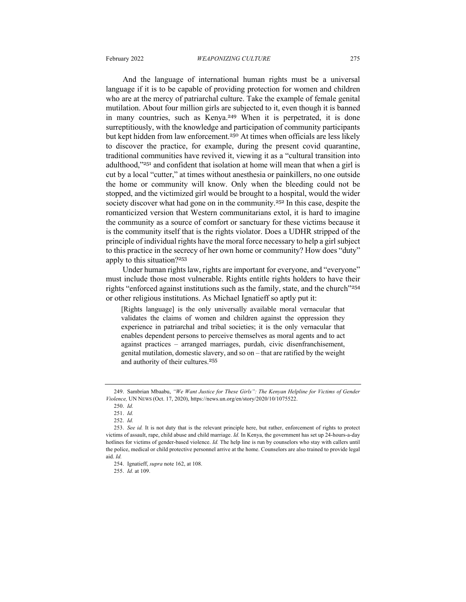And the language of international human rights must be a universal language if it is to be capable of providing protection for women and children who are at the mercy of patriarchal culture. Take the example of female genital mutilation. About four million girls are subjected to it, even though it is banned in many countries, such as Kenya.<sup>249</sup> When it is perpetrated, it is done surreptitiously, with the knowledge and participation of community participants but kept hidden from law enforcement.<sup>250</sup> At times when officials are less likely to discover the practice, for example, during the present covid quarantine, traditional communities have revived it, viewing it as a "cultural transition into adulthood,"<sup>251</sup> and confident that isolation at home will mean that when a girl is cut by a local "cutter," at times without anesthesia or painkillers, no one outside the home or community will know. Only when the bleeding could not be stopped, and the victimized girl would be brought to a hospital, would the wider society discover what had gone on in the community.<sup>252</sup> In this case, despite the romanticized version that Western communitarians extol, it is hard to imagine the community as a source of comfort or sanctuary for these victims because it is the community itself that is the rights violator. Does a UDHR stripped of the principle of individual rights have the moral force necessary to help a girl subject to this practice in the secrecy of her own home or community? How does "duty" apply to this situation?<sup>253</sup>

Under human rights law, rights are important for everyone, and "everyone" must include those most vulnerable. Rights entitle rights holders to have their rights "enforced against institutions such as the family, state, and the church"<sup>254</sup> or other religious institutions. As Michael Ignatieff so aptly put it:

[Rights language] is the only universally available moral vernacular that validates the claims of women and children against the oppression they experience in patriarchal and tribal societies; it is the only vernacular that enables dependent persons to perceive themselves as moral agents and to act against practices – arranged marriages, purdah, civic disenfranchisement, genital mutilation, domestic slavery, and so on – that are ratified by the weight and authority of their cultures.<sup>255</sup>

<sup>249.</sup> Sambrian Mbaabu, *"We Want Justice for These Girls": The Kenyan Helpline for Victims of Gender Violence,* UN NEWS (Oct. 17, 2020), https://news.un.org/en/story/2020/10/1075522.

<sup>250.</sup> *Id.*

<sup>251.</sup> *Id.*

<sup>252.</sup> *Id.*

<sup>253.</sup> *See id.* It is not duty that is the relevant principle here, but rather, enforcement of rights to protect victims of assault, rape, child abuse and child marriage. *Id.* In Kenya, the government has set up 24-hours-a-day hotlines for victims of gender-based violence. *Id.* The help line is run by counselors who stay with callers until the police, medical or child protective personnel arrive at the home. Counselors are also trained to provide legal aid. *Id.*

<sup>254.</sup> Ignatieff, *supra* note 162, at 108.

<sup>255.</sup> *Id.* at 109.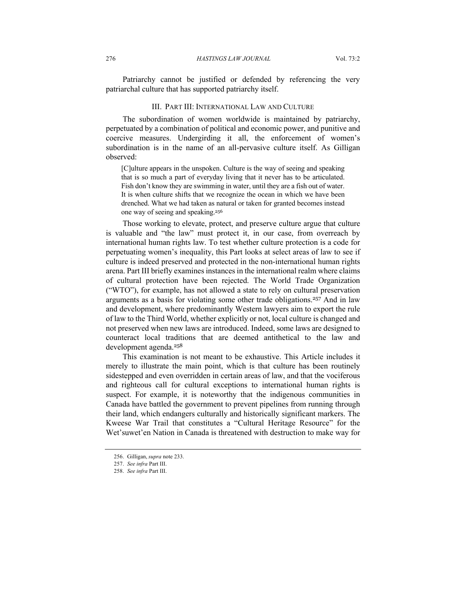Patriarchy cannot be justified or defended by referencing the very patriarchal culture that has supported patriarchy itself.

#### III. PART III: INTERNATIONAL LAW AND CULTURE

The subordination of women worldwide is maintained by patriarchy, perpetuated by a combination of political and economic power, and punitive and coercive measures. Undergirding it all, the enforcement of women's subordination is in the name of an all-pervasive culture itself. As Gilligan observed:

[C]ulture appears in the unspoken. Culture is the way of seeing and speaking that is so much a part of everyday living that it never has to be articulated. Fish don't know they are swimming in water, until they are a fish out of water. It is when culture shifts that we recognize the ocean in which we have been drenched. What we had taken as natural or taken for granted becomes instead one way of seeing and speaking.<sup>256</sup>

Those working to elevate, protect, and preserve culture argue that culture is valuable and "the law" must protect it, in our case, from overreach by international human rights law. To test whether culture protection is a code for perpetuating women's inequality, this Part looks at select areas of law to see if culture is indeed preserved and protected in the non-international human rights arena. Part III briefly examines instances in the international realm where claims of cultural protection have been rejected. The World Trade Organization ("WTO"), for example, has not allowed a state to rely on cultural preservation arguments as a basis for violating some other trade obligations.<sup>257</sup> And in law and development, where predominantly Western lawyers aim to export the rule of law to the Third World, whether explicitly or not, local culture is changed and not preserved when new laws are introduced. Indeed, some laws are designed to counteract local traditions that are deemed antithetical to the law and development agenda.<sup>258</sup>

This examination is not meant to be exhaustive. This Article includes it merely to illustrate the main point, which is that culture has been routinely sidestepped and even overridden in certain areas of law, and that the vociferous and righteous call for cultural exceptions to international human rights is suspect. For example, it is noteworthy that the indigenous communities in Canada have battled the government to prevent pipelines from running through their land, which endangers culturally and historically significant markers. The Kweese War Trail that constitutes a "Cultural Heritage Resource" for the Wet'suwet'en Nation in Canada is threatened with destruction to make way for

<sup>256.</sup> Gilligan, *supra* note 233.

<sup>257.</sup> *See infra* Part III.

<sup>258.</sup> *See infra* Part III.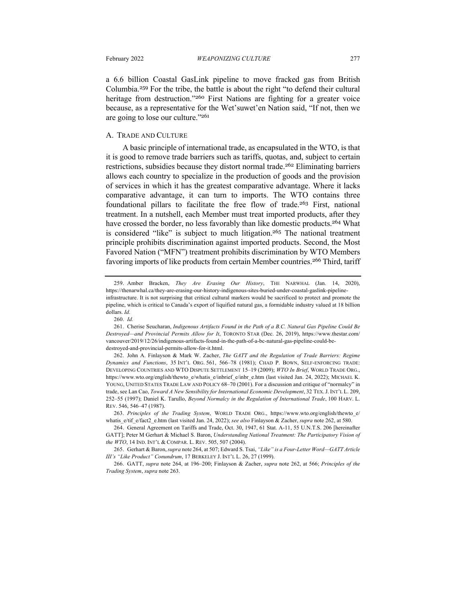a 6.6 billion Coastal GasLink pipeline to move fracked gas from British Columbia.<sup>259</sup> For the tribe, the battle is about the right "to defend their cultural heritage from destruction."<sup>260</sup> First Nations are fighting for a greater voice because, as a representative for the Wet'suwet'en Nation said, "If not, then we are going to lose our culture."<sup>261</sup>

#### A. TRADE AND CULTURE

A basic principle of international trade, as encapsulated in the WTO, is that it is good to remove trade barriers such as tariffs, quotas, and, subject to certain restrictions, subsidies because they distort normal trade.<sup>262</sup> Eliminating barriers allows each country to specialize in the production of goods and the provision of services in which it has the greatest comparative advantage. Where it lacks comparative advantage, it can turn to imports. The WTO contains three foundational pillars to facilitate the free flow of trade.<sup>263</sup> First, national treatment. In a nutshell, each Member must treat imported products, after they have crossed the border, no less favorably than like domestic products.<sup>264</sup> What is considered "like" is subject to much litigation. <sup>265</sup> The national treatment principle prohibits discrimination against imported products. Second, the Most Favored Nation ("MFN") treatment prohibits discrimination by WTO Members favoring imports of like products from certain Member countries.<sup>266</sup> Third, tariff

<sup>259.</sup> Amber Bracken, *They Are Erasing Our History*, THE NARWHAL (Jan. 14, 2020), https://thenarwhal.ca/they-are-erasing-our-history-indigenous-sites-buried-under-coastal-gaslink-pipelineinfrastructure. It is not surprising that critical cultural markers would be sacrificed to protect and promote the pipeline, which is critical to Canada's export of liquified natural gas, a formidable industry valued at 18 billion dollars. *Id.*

<sup>260.</sup> *Id.*

<sup>261.</sup> Cherise Seucharan, *Indigenous Artifacts Found in the Path of a B.C. Natural Gas Pipeline Could Be Destroyed—and Provincial Permits Allow for It*, TORONTO STAR (Dec. 26, 2019), https://www.thestar.com/ vancouver/2019/12/26/indigenous-artifacts-found-in-the-path-of-a-bc-natural-gas-pipeline-could-bedestroyed-and-provincial-permits-allow-for-it.html.

<sup>262.</sup> John A. Finlayson & Mark W. Zacher, *The GATT and the Regulation of Trade Barriers: Regime Dynamics and Functions*, 35 INT'L ORG. 561, 566–78 (1981); CHAD P. BOWN, SELF-ENFORCING TRADE: DEVELOPING COUNTRIES AND WTO DISPUTE SETTLEMENT 15–19 (2009); *WTO In Brief*, WORLD TRADE ORG., https://www.wto.org/english/thewto\_e/whatis\_e/inbrief\_e/inbr\_e.htm (last visited Jan. 24, 2022); MICHAEL K. YOUNG, UNITED STATES TRADE LAW AND POLICY 68–70 (2001). For a discussion and critique of "normalcy" in trade, see Lan Cao, *Toward A New Sensibility for International Economic Development*, 32 TEX.J. INT'L L. 209, 252–55 (1997); Daniel K. Tarullo, *Beyond Normalcy in the Regulation of International Trade*, 100 HARV. L. REV. 546, 546–47 (1987).

<sup>263.</sup> *Principles of the Trading System*, WORLD TRADE ORG., https://www.wto.org/english/thewto\_e/ whatis\_e/tif\_e/fact2\_e.htm (last visited Jan. 24, 2022); *see also* Finlayson & Zacher, *supra* note 262, at 580.

<sup>264.</sup> General Agreement on Tariffs and Trade, Oct. 30, 1947, 61 Stat. A-11, 55 U.N.T.S. 206 [hereinafter GATT]; Peter M Gerhart & Michael S. Baron, *Understanding National Treatment: The Participatory Vision of the WTO*, 14 IND. INT'L & COMPAR. L. REV. 505, 507 (2004).

<sup>265.</sup> Gerhart & Baron, *supra* note 264, at 507; Edward S. Tsai, *"Like" is a Four-Letter Word—GATT Article III's "Like Product" Conundrum*, 17 BERKELEY J. INT'L L. 26, 27 (1999).

<sup>266.</sup> GATT, *supra* note 264, at 196–200; Finlayson & Zacher, *supra* note 262, at 566; *Principles of the Trading System*, *supra* note 263.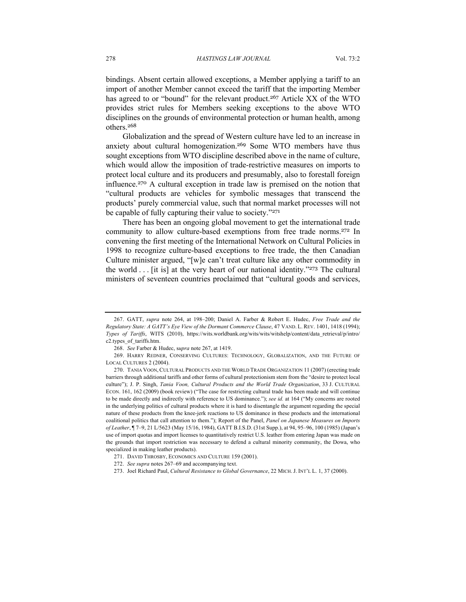bindings. Absent certain allowed exceptions, a Member applying a tariff to an import of another Member cannot exceed the tariff that the importing Member has agreed to or "bound" for the relevant product.<sup>267</sup> Article XX of the WTO provides strict rules for Members seeking exceptions to the above WTO disciplines on the grounds of environmental protection or human health, among others.<sup>268</sup>

Globalization and the spread of Western culture have led to an increase in anxiety about cultural homogenization.<sup>269</sup> Some WTO members have thus sought exceptions from WTO discipline described above in the name of culture, which would allow the imposition of trade-restrictive measures on imports to protect local culture and its producers and presumably, also to forestall foreign influence. <sup>270</sup> A cultural exception in trade law is premised on the notion that "cultural products are vehicles for symbolic messages that transcend the products' purely commercial value, such that normal market processes will not be capable of fully capturing their value to society."<sup>271</sup>

There has been an ongoing global movement to get the international trade community to allow culture-based exemptions from free trade norms.<sup>272</sup> In convening the first meeting of the International Network on Cultural Policies in 1998 to recognize culture-based exceptions to free trade, the then Canadian Culture minister argued, "[w]e can't treat culture like any other commodity in the world . . . [it is] at the very heart of our national identity."<sup>273</sup> The cultural ministers of seventeen countries proclaimed that "cultural goods and services,

<sup>267.</sup> GATT, *supra* note 264, at 198–200; Daniel A. Farber & Robert E. Hudec, *Free Trade and the Regulatory State: A GATT's Eye View of the Dormant Commerce Clause*, 47 VAND. L. REV. 1401, 1418 (1994); *Types of Tariffs*, WITS (2010), https://wits.worldbank.org/wits/wits/witshelp/content/data\_retrieval/p/intro/ c2.types\_of\_tariffs.htm.

<sup>268.</sup> *See* Farber & Hudec, s*upra* note 267, at 1419.

<sup>269.</sup> HARRY REDNER, CONSERVING CULTURES: TECHNOLOGY, GLOBALIZATION, AND THE FUTURE OF LOCAL CULTURES 2 (2004).

<sup>270.</sup> TANIA VOON, CULTURAL PRODUCTS AND THE WORLD TRADE ORGANIZATION 11 (2007) (erecting trade barriers through additional tariffs and other forms of cultural protectionism stem from the "desire to protect local culture"); J. P. Singh, *Tania Voon, Cultural Products and the World Trade Organization*, 33 J. CULTURAL ECON. 161, 162 (2009) (book review) ("The case for restricting cultural trade has been made and will continue to be made directly and indirectly with reference to US dominance."); *see id.* at 164 ("My concerns are rooted in the underlying politics of cultural products where it is hard to disentangle the argument regarding the special nature of these products from the knee-jerk reactions to US dominance in these products and the international coalitional politics that call attention to them."); Report of the Panel, *Panel on Japanese Measures on Imports of Leather*, ¶ 7–9, 21 L/5623 (May 15/16, 1984), GATT B.I.S.D. (31st Supp.), at 94, 95–96, 100 (1985) (Japan's use of import quotas and import licenses to quantitatively restrict U.S. leather from entering Japan was made on the grounds that import restriction was necessary to defend a cultural minority community, the Dowa, who specialized in making leather products).

<sup>271.</sup> DAVID THROSBY, ECONOMICS AND CULTURE 159 (2001).

<sup>272.</sup> *See supra* notes 267–69 and accompanying text.

<sup>273.</sup> Joel Richard Paul, *Cultural Resistance to Global Governance*, 22 MICH. J. INT'L L. 1, 37 (2000).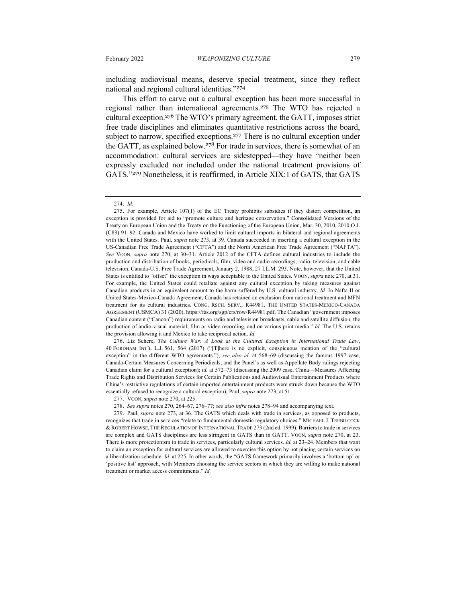including audiovisual means, deserve special treatment, since they reflect national and regional cultural identities."<sup>274</sup>

This effort to carve out a cultural exception has been more successful in regional rather than international agreements.<sup>275</sup> The WTO has rejected a cultural exception. <sup>276</sup> The WTO's primary agreement, the GATT, imposes strict free trade disciplines and eliminates quantitative restrictions across the board, subject to narrow, specified exceptions.<sup>277</sup> There is no cultural exception under the GATT, as explained below. <sup>278</sup> For trade in services, there is somewhat of an accommodation: cultural services are sidestepped—they have "neither been expressly excluded nor included under the national treatment provisions of GATS."<sup>279</sup> Nonetheless, it is reaffirmed, in Article XIX:1 of GATS, that GATS

276. Liz Schere, *The Culture War: A Look at the Cultural Exception in International Trade Law*, 40 FORDHAM INT'L L.J. 561, 564 (2017) ("[T]here is no explicit, conspicuous mention of the "cultural exception" in the different WTO agreements."); *see also id.* at 568–69 (discussing the famous 1997 case, Canada-Certain Measures Concerning Periodicals, and the Panel's as well as Appellate Body rulings rejecting Canadian claim for a cultural exception); *id.* at 572–73 (discussing the 2009 case, China—Measures Affecting Trade Rights and Distribution Services for Certain Publications and Audiovisual Entertainment Products where China's restrictive regulations of certain imported entertainment products were struck down because the WTO essentially refused to recognize a cultural exception); Paul, *supra* note 273, at 51.

279. Paul, *supra* note 273, at 36. The GATS which deals with trade in services, as opposed to products, recognizes that trade in services "relate to fundamental domestic regulatory choices." MICHAEL J. TREBILCOCK & ROBERT HOWSE, THE REGULATION OF INTERNATIONAL TRADE 273 (2nd ed. 1999). Barriers to trade in services are complex and GATS disciplines are less stringent in GATS than in GATT. VOON, s*upra* note 270, at 23. There is more protectionism in trade in services, particularly cultural services. *Id.* at 23–24. Members that want to claim an exception for cultural services are allowed to exercise this option by not placing certain services on a liberalization schedule. *Id.* at 225. In other words, the "GATS framework primarily involves a 'bottom up' or 'positive list' approach, with Members choosing the service sectors in which they are willing to make national treatment or market access commitments." *Id.*

<sup>274.</sup> *Id.*

<sup>275.</sup> For example, Article 107(1) of the EC Treaty prohibits subsidies if they distort competition, an exception is provided for aid to "promote culture and heritage conservation." Consolidated Versions of the Treaty on European Union and the Treaty on the Functioning of the European Union, Mar. 30, 2010, 2010 O.J. (C83) 91–92. Canada and Mexico have worked to limit cultural imports in bilateral and regional agreements with the United States. Paul, s*upra* note 273, at 39. Canada succeeded in inserting a cultural exception in the US-Canadian Free Trade Agreement ("CFTA") and the North American Free Trade Agreement ("NAFTA"). *See* VOON, *supra* note 270, at 30–31. Article 2012 of the CFTA defines cultural industries to include the production and distribution of books, periodicals, film, video and audio recordings, radio, television, and cable television. Canada-U.S. Free Trade Agreement, January 2, 1988, 27 I.L.M. 293. Note, however, that the United States is entitled to "offset" the exception in ways acceptable to the United States. VOON, s*upra* note 270, at 31. For example, the United States could retaliate against any cultural exception by taking measures against Canadian products in an equivalent amount to the harm suffered by U.S. cultural industry. *Id.* In Nafta II or United States-Mexico-Canada Agreement, Canada has retained an exclusion from national treatment and MFN treatment for its cultural industries. CONG. RSCH. SERV., R44981, THE UNITED STATES-MEXICO-CANADA AGREEMENT (USMCA) 31 (2020), https://fas.org/sgp/crs/row/R44981.pdf. The Canadian "government imposes Canadian content ("Cancon") requirements on radio and television broadcasts, cable and satellite diffusion, the production of audio-visual material, film or video recording, and on various print media." *Id.* The U.S. retains the provision allowing it and Mexico to take reciprocal action. *Id.*

<sup>277.</sup> VOON, s*upra* note 270, at 225.

<sup>278.</sup> *See supra* notes 270, 264–67, 276–77; *see also infra* notes 278–94 and accompanying text.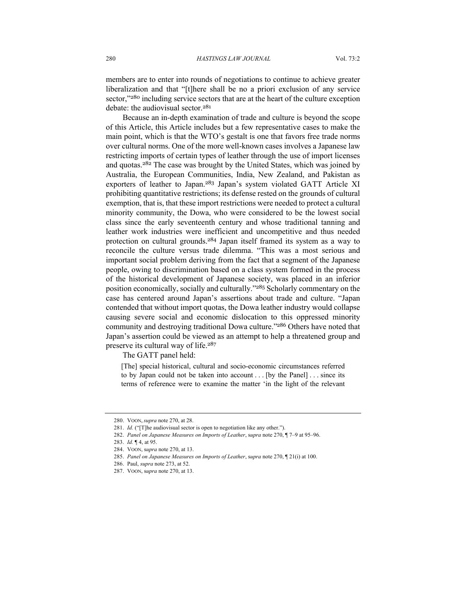members are to enter into rounds of negotiations to continue to achieve greater liberalization and that "[t]here shall be no a priori exclusion of any service sector,"<sup>280</sup> including service sectors that are at the heart of the culture exception debate: the audiovisual sector.<sup>281</sup>

Because an in-depth examination of trade and culture is beyond the scope of this Article, this Article includes but a few representative cases to make the main point, which is that the WTO's gestalt is one that favors free trade norms over cultural norms. One of the more well-known cases involves a Japanese law restricting imports of certain types of leather through the use of import licenses and quotas.<sup>282</sup> The case was brought by the United States, which was joined by Australia, the European Communities, India, New Zealand, and Pakistan as exporters of leather to Japan.<sup>283</sup> Japan's system violated GATT Article XI prohibiting quantitative restrictions; its defense rested on the grounds of cultural exemption, that is, that these import restrictions were needed to protect a cultural minority community, the Dowa, who were considered to be the lowest social class since the early seventeenth century and whose traditional tanning and leather work industries were inefficient and uncompetitive and thus needed protection on cultural grounds.<sup>284</sup> Japan itself framed its system as a way to reconcile the culture versus trade dilemma. "This was a most serious and important social problem deriving from the fact that a segment of the Japanese people, owing to discrimination based on a class system formed in the process of the historical development of Japanese society, was placed in an inferior position economically, socially and culturally."<sup>285</sup> Scholarly commentary on the case has centered around Japan's assertions about trade and culture. "Japan contended that without import quotas, the Dowa leather industry would collapse causing severe social and economic dislocation to this oppressed minority community and destroying traditional Dowa culture."<sup>286</sup> Others have noted that Japan's assertion could be viewed as an attempt to help a threatened group and preserve its cultural way of life.<sup>287</sup>

The GATT panel held:

[The] special historical, cultural and socio-economic circumstances referred to by Japan could not be taken into account . . . [by the Panel] . . . since its terms of reference were to examine the matter 'in the light of the relevant

<sup>280.</sup> VOON, *supra* note 270, at 28.

<sup>281.</sup> *Id.* ("[T]he audiovisual sector is open to negotiation like any other.").

<sup>282.</sup> *Panel on Japanese Measures on Imports of Leather*, s*upra* note 270, ¶ 7–9 at 95–96.

<sup>283.</sup> *Id.* ¶ 4, at 95.

<sup>284.</sup> VOON, s*upra* note 270, at 13.

<sup>285.</sup> *Panel on Japanese Measures on Imports of Leather*, s*upra* note 270, ¶ 21(i) at 100.

<sup>286.</sup> Paul, *supra* note 273, at 52.

<sup>287.</sup> VOON, s*upra* note 270, at 13.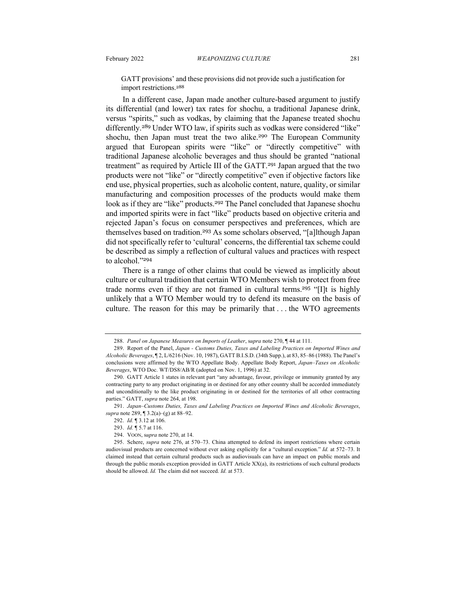GATT provisions' and these provisions did not provide such a justification for import restrictions.<sup>288</sup>

In a different case, Japan made another culture-based argument to justify its differential (and lower) tax rates for shochu, a traditional Japanese drink, versus "spirits," such as vodkas, by claiming that the Japanese treated shochu differently.<sup>289</sup> Under WTO law, if spirits such as vodkas were considered "like" shochu, then Japan must treat the two alike.<sup>290</sup> The European Community argued that European spirits were "like" or "directly competitive" with traditional Japanese alcoholic beverages and thus should be granted "national treatment" as required by Article III of the GATT.<sup>291</sup> Japan argued that the two products were not "like" or "directly competitive" even if objective factors like end use, physical properties, such as alcoholic content, nature, quality, or similar manufacturing and composition processes of the products would make them look as if they are "like" products.<sup>292</sup> The Panel concluded that Japanese shochu and imported spirits were in fact "like" products based on objective criteria and rejected Japan's focus on consumer perspectives and preferences, which are themselves based on tradition.<sup>293</sup> As some scholars observed, "[a]lthough Japan did not specifically refer to 'cultural' concerns, the differential tax scheme could be described as simply a reflection of cultural values and practices with respect to alcohol."<sup>294</sup>

There is a range of other claims that could be viewed as implicitly about culture or cultural tradition that certain WTO Members wish to protect from free trade norms even if they are not framed in cultural terms.<sup>295</sup> "[I]t is highly unlikely that a WTO Member would try to defend its measure on the basis of culture. The reason for this may be primarily that . . . the WTO agreements

<sup>288.</sup> *Panel on Japanese Measures on Imports of Leather*, s*upra* note 270, ¶ 44 at 111.

<sup>289.</sup> Report of the Panel, *Japan - Customs Duties, Taxes and Labeling Practices on Imported Wines and Alcoholic Beverages*, ¶ 2, L/6216 (Nov. 10, 1987), GATT B.I.S.D. (34th Supp.), at 83, 85–86 (1988). The Panel's conclusions were affirmed by the WTO Appellate Body. Appellate Body Report, *Japan–Taxes on Alcoholic Beverages*, WTO Doc. WT/DS8/AB/R (adopted on Nov. 1, 1996) at 32.

<sup>290.</sup> GATT Article 1 states in relevant part "any advantage, favour, privilege or immunity granted by any contracting party to any product originating in or destined for any other country shall be accorded immediately and unconditionally to the like product originating in or destined for the territories of all other contracting parties." GATT, *supra* note 264, at 198.

<sup>291.</sup> *Japan–Customs Duties, Taxes and Labeling Practices on Imported Wines and Alcoholic Beverages*, *supra* note 289, ¶ 3.2(a)–(g) at 88–92.

<sup>292.</sup> *Id.* ¶ 3.12 at 106.

<sup>293.</sup> *Id.* ¶ 5.7 at 116.

<sup>294.</sup> VOON, s*upra* note 270, at 14.

<sup>295.</sup> Schere, *supra* note 276, at 570–73. China attempted to defend its import restrictions where certain audiovisual products are concerned without ever asking explicitly for a "cultural exception." *Id.* at 572–73. It claimed instead that certain cultural products such as audiovisuals can have an impact on public morals and through the public morals exception provided in GATT Article XX(a), its restrictions of such cultural products should be allowed. *Id.* The claim did not succeed. *Id.* at 573.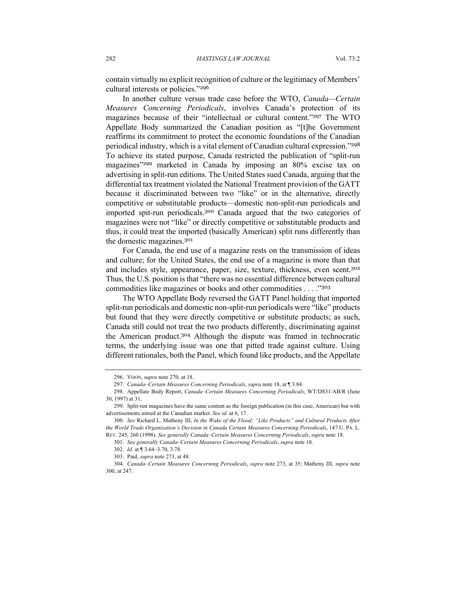contain virtually no explicit recognition of culture or the legitimacy of Members' cultural interests or policies."<sup>296</sup>

In another culture versus trade case before the WTO, *Canada—Certain Measures Concerning Periodicals*, involves Canada's protection of its magazines because of their "intellectual or cultural content."<sup>297</sup> The WTO Appellate Body summarized the Canadian position as "[t]he Government reaffirms its commitment to protect the economic foundations of the Canadian periodical industry, which is a vital element of Canadian cultural expression."<sup>298</sup> To achieve its stated purpose, Canada restricted the publication of "split-run magazines"<sup>299</sup> marketed in Canada by imposing an 80% excise tax on advertising in split-run editions. The United States sued Canada, arguing that the differential tax treatment violated the National Treatment provision of the GATT because it discriminated between two "like" or in the alternative, directly competitive or substitutable products—domestic non-split-run periodicals and imported spit-run periodicals.<sup>300</sup> Canada argued that the two categories of magazines were not "like" or directly competitive or substitutable products and thus, it could treat the imported (basically American) split runs differently than the domestic magazines. 301

For Canada, the end use of a magazine rests on the transmission of ideas and culture; for the United States, the end use of a magazine is more than that and includes style, appearance, paper, size, texture, thickness, even scent.<sup>302</sup> Thus, the U.S. position is that "there was no essential difference between cultural commodities like magazines or books and other commodities . . . ."<sup>303</sup>

The WTO Appellate Body reversed the GATT Panel holding that imported split-run periodicals and domestic non-split-run periodicals were "like" products but found that they were directly competitive or substitute products; as such, Canada still could not treat the two products differently, discriminating against the American product.<sup>304</sup> Although the dispute was framed in technocratic terms, the underlying issue was one that pitted trade against culture. Using different rationales, both the Panel, which found like products, and the Appellate

<sup>296.</sup> VOON, s*upra* note 270, at 18.

<sup>297.</sup> *Canada–Certain Measures Concerning Periodicals*, *supra* note 18, at ¶ 3.84.

<sup>298.</sup> Appellate Body Report, *Canada–Certain Measures Concerning Periodicals*, WT/DS31/AB/R (June 30, 1997) at 31.

<sup>299.</sup> Split-run magazines have the same content as the foreign publication (in this case, American) but with advertisements aimed at the Canadian market. *See id.* at 6, 17*.*

<sup>300.</sup> *See* Richard L. Matheny III, *In the Wake of the Flood: "Like Products" and Cultural Products After the World Trade Organization's Decision in Canada Certain Measures Concerning Periodicals*, 147 U. PA. L. REV. 245, 260 (1998). *See generally Canada–Certain Measures Concerning Periodicals*, *supra* note 18.

<sup>301.</sup> *See generally Canada–Certain Measures Concerning Periodicals*, *supra* note 18.

<sup>302.</sup> *Id.* at ¶ 3.64–3.70, 3.78.

<sup>303.</sup> Paul, *supra* note 273, at 48.

<sup>304.</sup> *Canada–Certain Measures Concerning Periodicals*, *supra* note 273, at 35; Matheny III, *supra* note 300, at 247.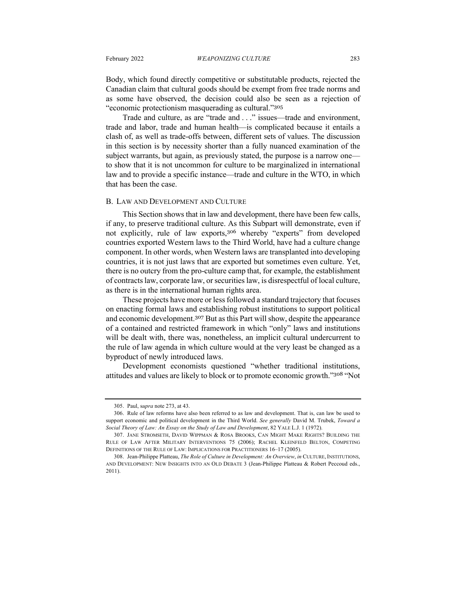Body, which found directly competitive or substitutable products, rejected the Canadian claim that cultural goods should be exempt from free trade norms and as some have observed, the decision could also be seen as a rejection of "economic protectionism masquerading as cultural."<sup>305</sup>

Trade and culture, as are "trade and . . ." issues—trade and environment, trade and labor, trade and human health—is complicated because it entails a clash of, as well as trade-offs between, different sets of values. The discussion in this section is by necessity shorter than a fully nuanced examination of the subject warrants, but again, as previously stated, the purpose is a narrow one to show that it is not uncommon for culture to be marginalized in international law and to provide a specific instance—trade and culture in the WTO, in which that has been the case.

#### B. LAW AND DEVELOPMENT AND CULTURE

This Section shows that in law and development, there have been few calls, if any, to preserve traditional culture. As this Subpart will demonstrate, even if not explicitly, rule of law exports, <sup>306</sup> whereby "experts" from developed countries exported Western laws to the Third World, have had a culture change component. In other words, when Western laws are transplanted into developing countries, it is not just laws that are exported but sometimes even culture. Yet, there is no outcry from the pro-culture camp that, for example, the establishment of contracts law, corporate law, or securities law, is disrespectful of local culture, as there is in the international human rights area.

These projects have more or less followed a standard trajectory that focuses on enacting formal laws and establishing robust institutions to support political and economic development.<sup>307</sup> But as this Part will show, despite the appearance of a contained and restricted framework in which "only" laws and institutions will be dealt with, there was, nonetheless, an implicit cultural undercurrent to the rule of law agenda in which culture would at the very least be changed as a byproduct of newly introduced laws.

Development economists questioned "whether traditional institutions, attitudes and values are likely to block or to promote economic growth."<sup>308</sup> "Not

<sup>305.</sup> Paul, s*upra* note 273, at 43.

<sup>306.</sup> Rule of law reforms have also been referred to as law and development. That is, can law be used to support economic and political development in the Third World. *See generally* David M. Trubek, *Toward a Social Theory of Law: An Essay on the Study of Law and Development*, 82 YALE L.J. 1 (1972).

<sup>307.</sup> JANE STROMSETH, DAVID WIPPMAN & ROSA BROOKS, CAN MIGHT MAKE RIGHTS? BUILDING THE RULE OF LAW AFTER MILITARY INTERVENTIONS 75 (2006); RACHEL KLEINFELD BELTON, COMPETING DEFINITIONS OF THE RULE OF LAW: IMPLICATIONS FOR PRACTITIONERS 16–17 (2005).

<sup>308.</sup> Jean-Philippe Platteau, *The Role of Culture in Development: An Overview*, *in* CULTURE, INSTITUTIONS, AND DEVELOPMENT: NEW INSIGHTS INTO AN OLD DEBATE 3 (Jean-Philippe Platteau & Robert Peccoud eds., 2011).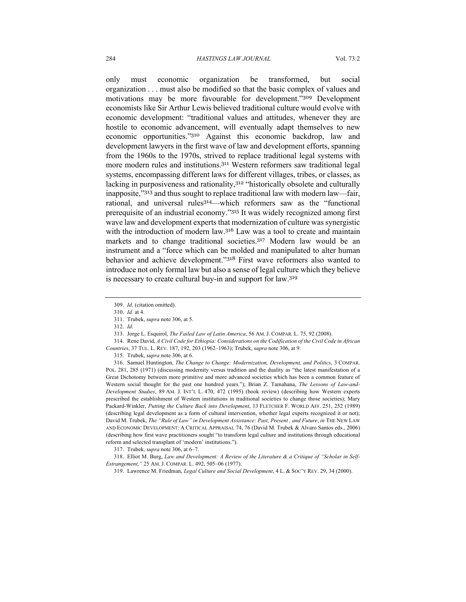only must economic organization be transformed, but social organization . . . must also be modified so that the basic complex of values and motivations may be more favourable for development."<sup>309</sup> Development economists like Sir Arthur Lewis believed traditional culture would evolve with economic development: "traditional values and attitudes, whenever they are hostile to economic advancement, will eventually adapt themselves to new economic opportunities."<sup>310</sup> Against this economic backdrop, law and development lawyers in the first wave of law and development efforts, spanning from the 1960s to the 1970s, strived to replace traditional legal systems with more modern rules and institutions.<sup>311</sup> Western reformers saw traditional legal systems, encompassing different laws for different villages, tribes, or classes, as lacking in purposiveness and rationality,<sup>312</sup> "historically obsolete and culturally inapposite,"<sup>313</sup> and thus sought to replace traditional law with modern law—fair, rational, and universal rules<sup>314</sup>—which reformers saw as the "functional prerequisite of an industrial economy."<sup>315</sup> It was widely recognized among first wave law and development experts that modernization of culture was synergistic with the introduction of modern law.<sup>316</sup> Law was a tool to create and maintain markets and to change traditional societies.<sup>317</sup> Modern law would be an instrument and a "force which can be molded and manipulated to alter human behavior and achieve development."<sup>318</sup> First wave reformers also wanted to introduce not only formal law but also a sense of legal culture which they believe is necessary to create cultural buy-in and support for law.<sup>319</sup>

314. Rene David, *A Civil Code for Ethiopia: Considerations on the Codification of the Civil Code in African Countries*, 37 TUL. L. REV. 187, 192, 203 (1962–1963); Trubek, s*upra* note 306, at 9.

316. Samuel Huntington, *The Change to Change: Modernization, Development, and Politics*, 3 COMPAR. POL. 281, 285 (1971) (discussing modernity versus tradition and the duality as "the latest manifestation of a Great Dichotomy between more primitive and more advanced societies which has been a common feature of Western social thought for the past one hundred years."); Brian Z. Tamahana, *The Lessons of Law-and-Development Studies*, 89 AM. J. INT'L L. 470, 472 (1995) (book review) (describing how Western experts prescribed the establishment of Western institutions in traditional societies to change those societies); Mary Packard-Winkler, *Putting the Culture Back into Development*, 13 FLETCHER F. WORLD AFF. 251, 252 (1989) (describing legal development as a form of cultural intervention, whether legal experts recognized it or not); David M. Trubek, *The "Rule of Law" in Development Assistance: Past, Present , and Future*, *in* THE NEW LAW AND ECONOMIC DEVELOPMENT: A CRITICAL APPRAISAL 74, 76 (David M. Trubek & Alvaro Santos eds., 2006) (describing how first wave practitioners sought "to transform legal culture and institutions through educational reform and selected transplant of 'modern' institutions.").

318. Elliot M. Burg, *Law and Development: A Review of the Literature & a Critique of "Scholar in Self-Estrangement,"* 25 AM. J. COMPAR. L. 492, 505–06 (1977).

<sup>309.</sup> *Id.* (citation omitted).

<sup>310.</sup> *Id.* at 4.

<sup>311.</sup> Trubek, s*upra* note 306, at 5.

<sup>312.</sup> *Id.*

<sup>313.</sup> Jorge L. Esquirol, *The Failed Law of Latin America*, 56 AM. J. COMPAR. L. 75, 92 (2008).

<sup>315.</sup> Trubek, s*upra* note 306, at 6.

<sup>317.</sup> Trubek, s*upra* note 306, at 6–7.

<sup>319.</sup> Lawrence M. Friedman, *Legal Culture and Social Development*, 4 L. & SOC'Y REV. 29, 34 (2000).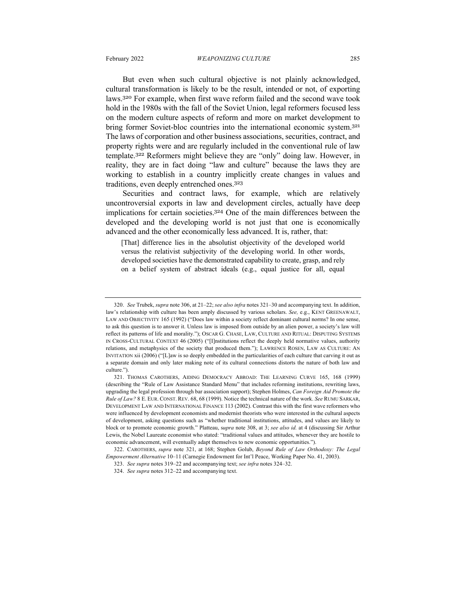But even when such cultural objective is not plainly acknowledged, cultural transformation is likely to be the result, intended or not, of exporting laws.<sup>320</sup> For example, when first wave reform failed and the second wave took hold in the 1980s with the fall of the Soviet Union, legal reformers focused less on the modern culture aspects of reform and more on market development to bring former Soviet-bloc countries into the international economic system.<sup>321</sup> The laws of corporation and other business associations, securities, contract, and property rights were and are regularly included in the conventional rule of law template.<sup>322</sup> Reformers might believe they are "only" doing law. However, in reality, they are in fact doing "law and culture" because the laws they are working to establish in a country implicitly create changes in values and traditions, even deeply entrenched ones.<sup>323</sup>

Securities and contract laws, for example, which are relatively uncontroversial exports in law and development circles, actually have deep implications for certain societies.<sup>324</sup> One of the main differences between the developed and the developing world is not just that one is economically advanced and the other economically less advanced. It is, rather, that:

[That] difference lies in the absolutist objectivity of the developed world versus the relativist subjectivity of the developing world. In other words, developed societies have the demonstrated capability to create, grasp, and rely on a belief system of abstract ideals (e.g., equal justice for all, equal

<sup>320.</sup> *See* Trubek, *supra* note 306, at 21–22; *see also infra* notes 321–30 and accompanying text. In addition, law's relationship with culture has been amply discussed by various scholars. *See,* e.g., KENT GREENAWALT, LAW AND OBJECTIVITY 165 (1992) ("Does law within a society reflect dominant cultural norms? In one sense, to ask this question is to answer it. Unless law is imposed from outside by an alien power, a society's law will reflect its patterns of life and morality."); OSCAR G. CHASE, LAW, CULTURE AND RITUAL: DISPUTING SYSTEMS IN CROSS-CULTURAL CONTEXT 46 (2005) ("[I]nstitutions reflect the deeply held normative values, authority relations, and metaphysics of the society that produced them."); LAWRENCE ROSEN, LAW AS CULTURE: AN INVITATION xii (2006) ("[L]aw is so deeply embedded in the particularities of each culture that carving it out as a separate domain and only later making note of its cultural connections distorts the nature of both law and culture.").

<sup>321.</sup> THOMAS CAROTHERS, AIDING DEMOCRACY ABROAD: THE LEARNING CURVE 165, 168 (1999) (describing the "Rule of Law Assistance Standard Menu" that includes reforming institutions, rewriting laws, upgrading the legal profession through bar association support); Stephen Holmes, *Can Foreign Aid Promote the Rule of Law?* 8 E. EUR. CONST. REV. 68, 68 (1999). Notice the technical nature of the work. *See* RUMU SARKAR, DEVELOPMENT LAW AND INTERNATIONAL FINANCE 113 (2002). Contrast this with the first wave reformers who were influenced by development economists and modernist theorists who were interested in the cultural aspects of development, asking questions such as "whether traditional institutions, attitudes, and values are likely to block or to promote economic growth." Platteau, s*upra* note 308, at 3; *see also id.* at 4 (discussing Sir Arthur Lewis, the Nobel Laureate economist who stated: "traditional values and attitudes, whenever they are hostile to economic advancement, will eventually adapt themselves to new economic opportunities.").

<sup>322.</sup> CAROTHERS, *supra* note 321, at 168; Stephen Golub, *Beyond Rule of Law Orthodoxy: The Legal Empowerment Alternative* 10–11 (Carnegie Endowment for Int'l Peace, Working Paper No. 41, 2003).

<sup>323.</sup> *See supra* notes 319–22 and accompanying text; *see infra* notes 324–32.

<sup>324.</sup> *See supra* notes 312–22 and accompanying text.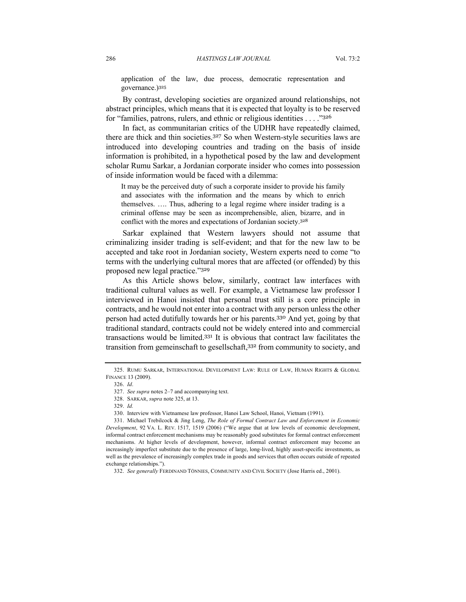application of the law, due process, democratic representation and governance.)<sup>325</sup>

By contrast, developing societies are organized around relationships, not abstract principles, which means that it is expected that loyalty is to be reserved for "families, patrons, rulers, and ethnic or religious identities . . . ."<sup>326</sup>

In fact, as communitarian critics of the UDHR have repeatedly claimed, there are thick and thin societies. <sup>327</sup> So when Western-style securities laws are introduced into developing countries and trading on the basis of inside information is prohibited, in a hypothetical posed by the law and development scholar Rumu Sarkar, a Jordanian corporate insider who comes into possession of inside information would be faced with a dilemma:

It may be the perceived duty of such a corporate insider to provide his family and associates with the information and the means by which to enrich themselves. …. Thus, adhering to a legal regime where insider trading is a criminal offense may be seen as incomprehensible, alien, bizarre, and in conflict with the mores and expectations of Jordanian society.<sup>328</sup>

Sarkar explained that Western lawyers should not assume that criminalizing insider trading is self-evident; and that for the new law to be accepted and take root in Jordanian society, Western experts need to come "to terms with the underlying cultural mores that are affected (or offended) by this proposed new legal practice."<sup>329</sup>

As this Article shows below, similarly, contract law interfaces with traditional cultural values as well. For example, a Vietnamese law professor I interviewed in Hanoi insisted that personal trust still is a core principle in contracts, and he would not enter into a contract with any person unless the other person had acted dutifully towards her or his parents.<sup>330</sup> And yet, going by that traditional standard, contracts could not be widely entered into and commercial transactions would be limited.<sup>331</sup> It is obvious that contract law facilitates the transition from gemeinschaft to gesellschaft,<sup>332</sup> from community to society, and

330. Interview with Vietnamese law professor, Hanoi Law School, Hanoi, Vietnam (1991).

<sup>325.</sup> RUMU SARKAR, INTERNATIONAL DEVELOPMENT LAW: RULE OF LAW, HUMAN RIGHTS & GLOBAL FINANCE 13 (2009).

<sup>326.</sup> *Id*.

<sup>327.</sup> *See supra* notes 2–7 and accompanying text.

<sup>328.</sup> SARKAR, *supra* note 325, at 13.

<sup>329.</sup> *Id.*

<sup>331.</sup> Michael Trebilcock & Jing Leng, *The Role of Formal Contract Law and Enforcement in Economic Development*, 92 VA. L. REV. 1517, 1519 (2006) ("We argue that at low levels of economic development, informal contract enforcement mechanisms may be reasonably good substitutes for formal contract enforcement mechanisms. At higher levels of development, however, informal contract enforcement may become an increasingly imperfect substitute due to the presence of large, long-lived, highly asset-specific investments, as well as the prevalence of increasingly complex trade in goods and services that often occurs outside of repeated exchange relationships.").

<sup>332.</sup> *See generally* FERDINAND TÖNNIES, COMMUNITY AND CIVIL SOCIETY (Jose Harris ed., 2001).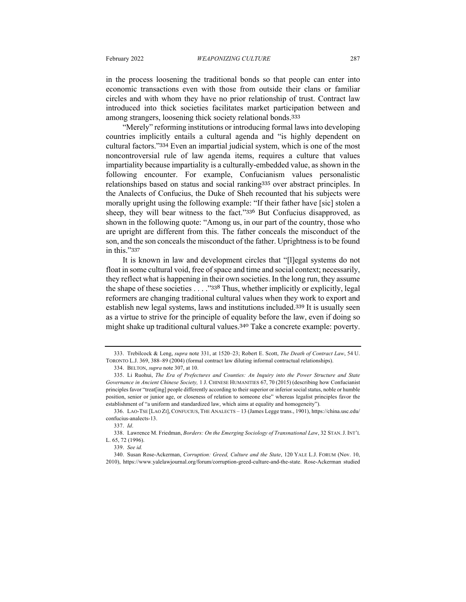in the process loosening the traditional bonds so that people can enter into economic transactions even with those from outside their clans or familiar circles and with whom they have no prior relationship of trust. Contract law introduced into thick societies facilitates market participation between and among strangers, loosening thick society relational bonds.<sup>333</sup>

"Merely" reforming institutions or introducing formal laws into developing countries implicitly entails a cultural agenda and "is highly dependent on cultural factors."<sup>334</sup> Even an impartial judicial system, which is one of the most noncontroversial rule of law agenda items, requires a culture that values impartiality because impartiality is a culturally-embedded value, as shown in the following encounter. For example, Confucianism values personalistic relationships based on status and social ranking<sup>335</sup> over abstract principles. In the Analects of Confucius, the Duke of Sheh recounted that his subjects were morally upright using the following example: "If their father have [sic] stolen a sheep, they will bear witness to the fact."<sup>336</sup> But Confucius disapproved, as shown in the following quote: "Among us, in our part of the country, those who are upright are different from this. The father conceals the misconduct of the son, and the son conceals the misconduct of the father. Uprightness is to be found in this."<sup>337</sup>

It is known in law and development circles that "[l]egal systems do not float in some cultural void, free of space and time and social context; necessarily, they reflect what is happening in their own societies. In the long run, they assume the shape of these societies . . . . "338 Thus, whether implicitly or explicitly, legal reformers are changing traditional cultural values when they work to export and establish new legal systems, laws and institutions included.<sup>339</sup> It is usually seen as a virtue to strive for the principle of equality before the law, even if doing so might shake up traditional cultural values.<sup>340</sup> Take a concrete example: poverty.

<sup>333.</sup> Trebilcock & Leng, *supra* note 331, at 1520–23; Robert E. Scott, *The Death of Contract Law*, 54 U. TORONTO L.J. 369, 388–89 (2004) (formal contract law diluting informal contractual relationships).

<sup>334.</sup> BELTON, *supra* note 307, at 10.

<sup>335.</sup> Li Ruohui, *The Era of Prefectures and Counties: An Inquiry into the Power Structure and State Governance in Ancient Chinese Society,* 1 J. CHINESE HUMANITIES 67, 70 (2015) (describing how Confucianist principles favor "treat[ing] people differently according to their superior or inferior social status, noble or humble position, senior or junior age, or closeness of relation to someone else" whereas legalist principles favor the establishment of "a uniform and standardized law, which aims at equality and homogeneity").

<sup>336.</sup> LAO-TSE [LAO ZI], CONFUCIUS, THE ANALECTS – 13 (James Legge trans., 1901), https://china.usc.edu/ confucius-analects-13.

<sup>337.</sup> *Id*.

<sup>338.</sup> Lawrence M. Friedman, *Borders: On the Emerging Sociology of Transnational Law*, 32 STAN.J. INT'L L. 65, 72 (1996).

<sup>339.</sup> *See id.*

<sup>340.</sup> Susan Rose-Ackerman, *Corruption: Greed, Culture and the State*, 120 YALE L.J. FORUM (Nov. 10, 2010), https://www.yalelawjournal.org/forum/corruption-greed-culture-and-the-state. Rose-Ackerman studied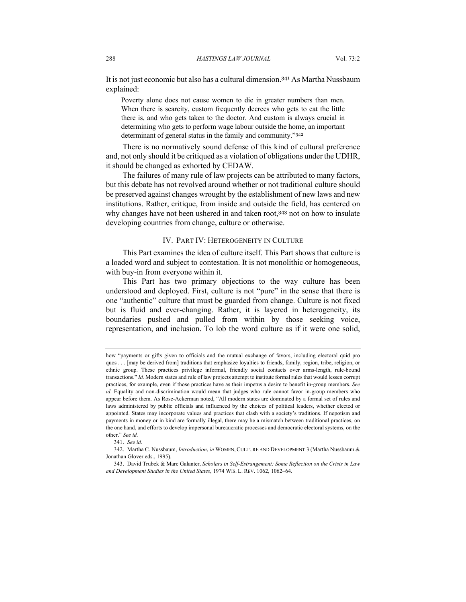It is not just economic but also has a cultural dimension.<sup>341</sup> As Martha Nussbaum explained:

Poverty alone does not cause women to die in greater numbers than men. When there is scarcity, custom frequently decrees who gets to eat the little there is, and who gets taken to the doctor. And custom is always crucial in determining who gets to perform wage labour outside the home, an important determinant of general status in the family and community."<sup>342</sup>

There is no normatively sound defense of this kind of cultural preference and, not only should it be critiqued as a violation of obligations under the UDHR, it should be changed as exhorted by CEDAW.

The failures of many rule of law projects can be attributed to many factors, but this debate has not revolved around whether or not traditional culture should be preserved against changes wrought by the establishment of new laws and new institutions. Rather, critique, from inside and outside the field, has centered on why changes have not been ushered in and taken root, 343 not on how to insulate developing countries from change, culture or otherwise.

#### IV. PART IV: HETEROGENEITY IN CULTURE

This Part examines the idea of culture itself. This Part shows that culture is a loaded word and subject to contestation. It is not monolithic or homogeneous, with buy-in from everyone within it.

This Part has two primary objections to the way culture has been understood and deployed. First, culture is not "pure" in the sense that there is one "authentic" culture that must be guarded from change. Culture is not fixed but is fluid and ever-changing. Rather, it is layered in heterogeneity, its boundaries pushed and pulled from within by those seeking voice, representation, and inclusion. To lob the word culture as if it were one solid,

how "payments or gifts given to officials and the mutual exchange of favors, including electoral quid pro quos . . . [may be derived from] traditions that emphasize loyalties to friends, family, region, tribe, religion, or ethnic group. These practices privilege informal, friendly social contacts over arms-length, rule-bound transactions." *Id.* Modern states and rule of law projects attempt to institute formal rules that would lessen corrupt practices, for example, even if those practices have as their impetus a desire to benefit in-group members. *See id*. Equality and non-discrimination would mean that judges who rule cannot favor in-group members who appear before them. As Rose-Ackerman noted, "All modern states are dominated by a formal set of rules and laws administered by public officials and influenced by the choices of political leaders, whether elected or appointed. States may incorporate values and practices that clash with a society's traditions. If nepotism and payments in money or in kind are formally illegal, there may be a mismatch between traditional practices, on the one hand, and efforts to develop impersonal bureaucratic processes and democratic electoral systems, on the other." *See id.*

<sup>341.</sup> *See id.*

<sup>342.</sup> Martha C. Nussbaum, *Introduction*, *in* WOMEN, CULTURE AND DEVELOPMENT 3 (Martha Nussbaum & Jonathan Glover eds., 1995).

<sup>343.</sup> David Trubek & Marc Galanter, *Scholars in Self-Estrangement: Some Reflection on the Crisis in Law and Development Studies in the United States*, 1974 WIS. L. REV. 1062, 1062–64.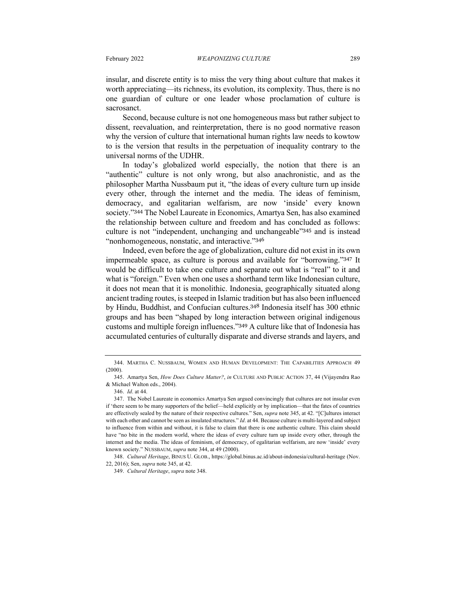insular, and discrete entity is to miss the very thing about culture that makes it worth appreciating—its richness, its evolution, its complexity. Thus, there is no one guardian of culture or one leader whose proclamation of culture is sacrosanct.

Second, because culture is not one homogeneous mass but rather subject to dissent, reevaluation, and reinterpretation, there is no good normative reason why the version of culture that international human rights law needs to kowtow to is the version that results in the perpetuation of inequality contrary to the universal norms of the UDHR.

In today's globalized world especially, the notion that there is an "authentic" culture is not only wrong, but also anachronistic, and as the philosopher Martha Nussbaum put it, "the ideas of every culture turn up inside every other, through the internet and the media. The ideas of feminism, democracy, and egalitarian welfarism, are now 'inside' every known society."<sup>344</sup> The Nobel Laureate in Economics, Amartya Sen, has also examined the relationship between culture and freedom and has concluded as follows: culture is not "independent, unchanging and unchangeable"<sup>345</sup> and is instead "nonhomogeneous, nonstatic, and interactive."<sup>346</sup>

Indeed, even before the age of globalization, culture did not exist in its own impermeable space, as culture is porous and available for "borrowing."<sup>347</sup> It would be difficult to take one culture and separate out what is "real" to it and what is "foreign." Even when one uses a shorthand term like Indonesian culture, it does not mean that it is monolithic. Indonesia, geographically situated along ancient trading routes, is steeped in Islamic tradition but has also been influenced by Hindu, Buddhist, and Confucian cultures.<sup>348</sup> Indonesia itself has 300 ethnic groups and has been "shaped by long interaction between original indigenous customs and multiple foreign influences."<sup>349</sup> A culture like that of Indonesia has accumulated centuries of culturally disparate and diverse strands and layers, and

348. *Cultural Heritage*, BINUS U. GLOB., https://global.binus.ac.id/about-indonesia/cultural-heritage (Nov. 22, 2016); Sen, *supra* note 345, at 42.

<sup>344.</sup> MARTHA C. NUSSBAUM, WOMEN AND HUMAN DEVELOPMENT: THE CAPABILITIES APPROACH 49 (2000).

<sup>345.</sup> Amartya Sen, *How Does Culture Matter?*, *in* CULTURE AND PUBLIC ACTION 37, 44 (Vijayendra Rao & Michael Walton eds., 2004).

<sup>346.</sup> *Id*. at 44.

<sup>347.</sup> The Nobel Laureate in economics Amartya Sen argued convincingly that cultures are not insular even if 'there seem to be many supporters of the belief—held explicitly or by implication—that the fates of countries are effectively sealed by the nature of their respective cultures." Sen, *supra* note 345, at 42. "[C]ultures interact with each other and cannot be seen as insulated structures." *Id*. at 44. Because culture is multi-layered and subject to influence from within and without, it is false to claim that there is one authentic culture. This claim should have "no bite in the modern world, where the ideas of every culture turn up inside every other, through the internet and the media. The ideas of feminism, of democracy, of egalitarian welfarism, are now 'inside' every known society." NUSSBAUM, *supra* note 344, at 49 (2000).

<sup>349.</sup> *Cultural Heritage*, *supra* note 348.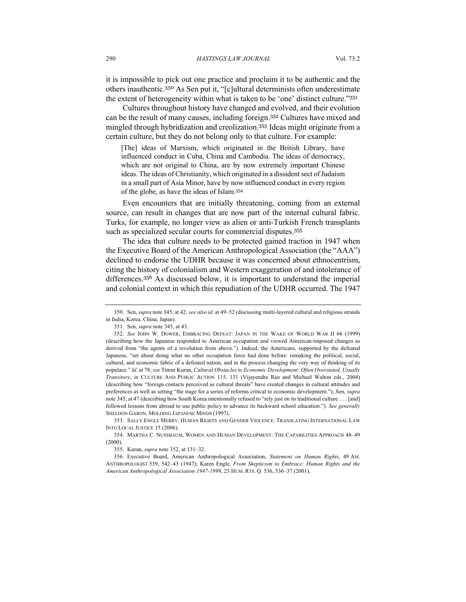it is impossible to pick out one practice and proclaim it to be authentic and the others inauthentic.<sup>350</sup> As Sen put it, "[c]ultural determinists often underestimate the extent of heterogeneity within what is taken to be 'one' distinct culture."<sup>351</sup>

Cultures throughout history have changed and evolved, and their evolution can be the result of many causes, including foreign.<sup>352</sup> Cultures have mixed and mingled through hybridization and creolization.<sup>353</sup> Ideas might originate from a certain culture, but they do not belong only to that culture. For example:

[The] ideas of Marxism, which originated in the British Library, have influenced conduct in Cuba, China and Cambodia. The ideas of democracy, which are not original to China, are by now extremely important Chinese ideas. The ideas of Christianity, which originated in a dissident sect of Judaism in a small part of Asia Minor, have by now influenced conduct in every region of the globe, as have the ideas of Islam.<sup>354</sup>

Even encounters that are initially threatening, coming from an external source, can result in changes that are now part of the internal cultural fabric. Turks, for example, no longer view as alien or anti-Turkish French transplants such as specialized secular courts for commercial disputes.<sup>355</sup>

The idea that culture needs to be protected gained traction in 1947 when the Executive Board of the American Anthropological Association (the "AAA") declined to endorse the UDHR because it was concerned about ethnocentrism, citing the history of colonialism and Western exaggeration of and intolerance of differences.<sup>356</sup> As discussed below, it is important to understand the imperial and colonial context in which this repudiation of the UDHR occurred. The 1947

353. SALLY ENGLE MERRY, HUMAN RIGHTS AND GENDER VIOLENCE: TRANSLATING INTERNATIONAL LAW INTO LOCAL JUSTICE 15 (2006).

354. MARTHA C. NUSSBAUM, WOMEN AND HUMAN DEVELOPMENT: THE CAPABILITIES APPROACH 48–49 (2000).

355. Kuran, *supra* note 352, at 131–32.

356. Executive Board, American Anthropological Association, *Statement on Human Rights*, 49 AM. ANTHROPOLOGIST 539, 542–43 (1947); Karen Engle, *From Skepticism to Embrace: Human Rights and the American Anthropological Association 1947-1999*, 23 HUM. RTS. Q. 536, 536–37 (2001).

<sup>350.</sup> Sen, *supra* note 345, at 42*; see also id*. at 49–52 (discussing multi-layered cultural and religious strands in India, Korea, China, Japan).

<sup>351.</sup> Sen, *supra* note 345, at 43.

<sup>352.</sup> *See* JOHN W. DOWER, EMBRACING DEFEAT: JAPAN IN THE WAKE OF WORLD WAR II 66 (1999) (describing how the Japanese responded to American occupation and viewed American-imposed changes as derived from "the agents of a revolution from above."). Indeed, the Americans, supported by the defeated Japanese, "set about doing what no other occupation force had done before: remaking the political, social, cultural, and economic fabric of a defeated nation, and in the process changing the very way of thinking of its populace." *Id.* at 78; *see* Timur Kuran, *Cultural Obstacles to Economic Development: Often Overstated, Usually Transitory*, *in* CULTURE AND PUBLIC ACTION 115, 131 (Vijayendra Rao and Michael Walton eds., 2004) (describing how "foreign contacts perceived as cultural threats" have created changes in cultural attitudes and preferences as well as setting "the stage for a series of reforms critical to economic development."); Sen, *supra* note 345, at 47 (describing how South Korea intentionally refused to "rely just on its traditional culture . . . [and] followed lessons from abroad to use public policy to advance its backward school education."). *See generally* SHELDON GARON, MOLDING JAPANESE MINDS (1997).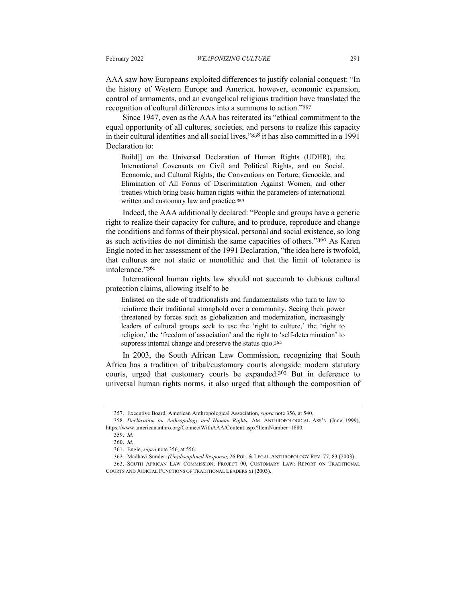AAA saw how Europeans exploited differences to justify colonial conquest: "In the history of Western Europe and America, however, economic expansion, control of armaments, and an evangelical religious tradition have translated the recognition of cultural differences into a summons to action."<sup>357</sup>

Since 1947, even as the AAA has reiterated its "ethical commitment to the equal opportunity of all cultures, societies, and persons to realize this capacity in their cultural identities and all social lives,"<sup>358</sup> it has also committed in a 1991 Declaration to:

Build[] on the Universal Declaration of Human Rights (UDHR), the International Covenants on Civil and Political Rights, and on Social, Economic, and Cultural Rights, the Conventions on Torture, Genocide, and Elimination of All Forms of Discrimination Against Women, and other treaties which bring basic human rights within the parameters of international written and customary law and practice.<sup>359</sup>

Indeed, the AAA additionally declared: "People and groups have a generic right to realize their capacity for culture, and to produce, reproduce and change the conditions and forms of their physical, personal and social existence, so long as such activities do not diminish the same capacities of others."<sup>360</sup> As Karen Engle noted in her assessment of the 1991 Declaration, "the idea here is twofold, that cultures are not static or monolithic and that the limit of tolerance is intolerance<sup>"361</sup>

International human rights law should not succumb to dubious cultural protection claims, allowing itself to be

Enlisted on the side of traditionalists and fundamentalists who turn to law to reinforce their traditional stronghold over a community. Seeing their power threatened by forces such as globalization and modernization, increasingly leaders of cultural groups seek to use the 'right to culture,' the 'right to religion,' the 'freedom of association' and the right to 'self-determination' to suppress internal change and preserve the status quo.<sup>362</sup>

In 2003, the South African Law Commission, recognizing that South Africa has a tradition of tribal/customary courts alongside modern statutory courts, urged that customary courts be expanded.<sup>363</sup> But in deference to universal human rights norms, it also urged that although the composition of

<sup>357.</sup> Executive Board, American Anthropological Association, *supra* note 356, at 540.

<sup>358.</sup> *Declaration on Anthropology and Human Rights*, AM. ANTHROPOLOGICAL ASS'N (June 1999), https://www.americananthro.org/ConnectWithAAA/Content.aspx?ItemNumber=1880.

<sup>359.</sup> *Id*.

<sup>360.</sup> *Id*.

<sup>361.</sup> Engle, *supra* note 356, at 556.

<sup>362.</sup> Madhavi Sunder, *(Un)disciplined Response*, 26 POL. & LEGAL ANTHROPOLOGY REV. 77, 83 (2003).

<sup>363.</sup> SOUTH AFRICAN LAW COMMISSION, PROJECT 90, CUSTOMARY LAW: REPORT ON TRADITIONAL COURTS AND JUDICIAL FUNCTIONS OF TRADITIONAL LEADERS xi (2003).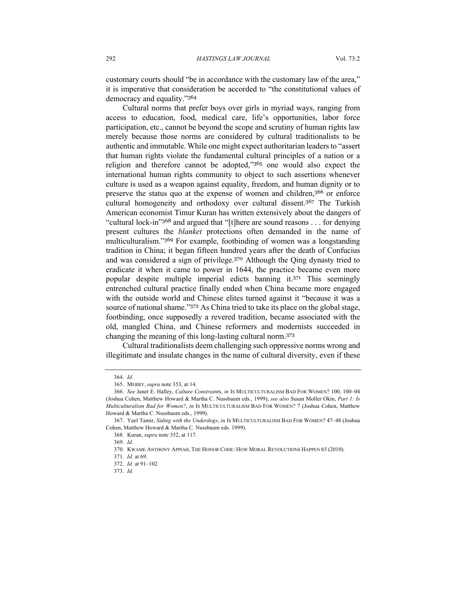customary courts should "be in accordance with the customary law of the area," it is imperative that consideration be accorded to "the constitutional values of democracy and equality."<sup>364</sup>

Cultural norms that prefer boys over girls in myriad ways, ranging from access to education, food, medical care, life's opportunities, labor force participation, etc., cannot be beyond the scope and scrutiny of human rights law merely because those norms are considered by cultural traditionalists to be authentic and immutable. While one might expect authoritarian leaders to "assert that human rights violate the fundamental cultural principles of a nation or a religion and therefore cannot be adopted,"<sup>365</sup> one would also expect the international human rights community to object to such assertions whenever culture is used as a weapon against equality, freedom, and human dignity or to preserve the status quo at the expense of women and children,<sup>366</sup> or enforce cultural homogeneity and orthodoxy over cultural dissent.<sup>367</sup> The Turkish American economist Timur Kuran has written extensively about the dangers of "cultural lock-in"<sup>368</sup> and argued that "[t]here are sound reasons . . . for denying present cultures the *blanket* protections often demanded in the name of multiculturalism."<sup>369</sup> For example, footbinding of women was a longstanding tradition in China; it began fifteen hundred years after the death of Confucius and was considered a sign of privilege.<sup>370</sup> Although the Qing dynasty tried to eradicate it when it came to power in 1644, the practice became even more popular despite multiple imperial edicts banning it.<sup>371</sup> This seemingly entrenched cultural practice finally ended when China became more engaged with the outside world and Chinese elites turned against it "because it was a source of national shame."<sup>372</sup> As China tried to take its place on the global stage, footbinding, once supposedly a revered tradition, became associated with the old, mangled China, and Chinese reformers and modernists succeeded in changing the meaning of this long-lasting cultural norm.<sup>373</sup>

Cultural traditionalists deem challenging such oppressive norms wrong and illegitimate and insulate changes in the name of cultural diversity, even if these

<sup>364.</sup> *Id*.

<sup>365.</sup> MERRY, *supra* note 353, at 14.

<sup>366.</sup> *See* Janet E. Halley, *Culture Constraint*s, *in* IS MULTICULTURALISM BAD FOR WOMEN? 100, 100–04 (Joshua Cohen, Matthew Howard & Martha C. Nussbaum eds., 1999); *see also* Susan Moller Okin, *Part 1: Is Multiculturalism Bad for Women?*, *in* IS MULTICULTURALISM BAD FOR WOMEN? 7 (Joshua Cohen, Matthew Howard & Martha C. Nussbaum eds., 1999).

<sup>367.</sup> Yael Tamir, *Siding with the Underdogs*, *in* IS MULTICULTURALISM BAD FOR WOMEN? 47–48 (Joshua Cohen, Matthew Howard & Martha C. Nussbaum eds. 1999).

<sup>368.</sup> Kuran, *supra* note 352, at 117.

<sup>369.</sup> *Id*.

<sup>370.</sup> KWAME ANTHONY APPIAH, THE HONOR CODE: HOW MORAL REVOLUTIONS HAPPEN 65 (2010).

<sup>371.</sup> *Id.* at 69.

<sup>372.</sup> *Id.* at 91–102.

<sup>373.</sup> *Id.*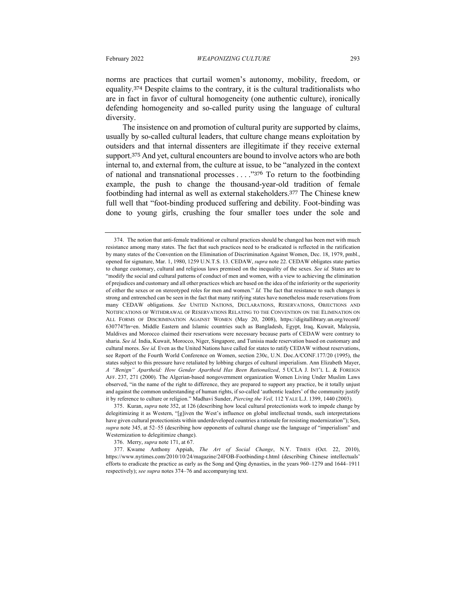norms are practices that curtail women's autonomy, mobility, freedom, or equality.<sup>374</sup> Despite claims to the contrary, it is the cultural traditionalists who are in fact in favor of cultural homogeneity (one authentic culture), ironically defending homogeneity and so-called purity using the language of cultural diversity.

The insistence on and promotion of cultural purity are supported by claims, usually by so-called cultural leaders, that culture change means exploitation by outsiders and that internal dissenters are illegitimate if they receive external support.<sup>375</sup> And yet, cultural encounters are bound to involve actors who are both internal to, and external from, the culture at issue, to be "analyzed in the context of national and transnational processes . . . ."<sup>376</sup> To return to the footbinding example, the push to change the thousand-year-old tradition of female footbinding had internal as well as external stakeholders. <sup>377</sup> The Chinese knew full well that "foot-binding produced suffering and debility. Foot-binding was done to young girls, crushing the four smaller toes under the sole and

376. Merry, *supra* note 171, at 67.

<sup>374.</sup> The notion that anti-female traditional or cultural practices should be changed has been met with much resistance among many states. The fact that such practices need to be eradicated is reflected in the ratification by many states of the Convention on the Elimination of Discrimination Against Women, Dec. 18, 1979, pmbl., opened for signature, Mar. 1, 1980, 1259 U.N.T.S. 13. CEDAW, *supra* note 22. CEDAW obligates state parties to change customary, cultural and religious laws premised on the inequality of the sexes. *See id.* States are to "modify the social and cultural patterns of conduct of men and women, with a view to achieving the elimination of prejudices and customary and all other practices which are based on the idea of the inferiority or the superiority of either the sexes or on stereotyped roles for men and women." *Id.* The fact that resistance to such changes is strong and entrenched can be seen in the fact that many ratifying states have nonetheless made reservations from many CEDAW obligations. *See* UNITED NATIONS, DECLARATIONS, RESERVATIONS, OBJECTIONS AND NOTIFICATIONS OF WITHDRAWAL OF RESERVATIONS RELATING TO THE CONVENTION ON THE ELIMINATION ON ALL FORMS OF DISCRIMINATION AGAINST WOMEN (May 20, 2008), https://digitallibrary.un.org/record/ 630774?ln=en. Middle Eastern and Islamic countries such as Bangladesh, Egypt, Iraq, Kuwait, Malaysia, Maldives and Morocco claimed their reservations were necessary because parts of CEDAW were contrary to sharia. *See id.* India, Kuwait, Morocco, Niger, Singapore, and Tunisia made reservation based on customary and cultural mores. *See id.* Even as the United Nations have called for states to ratify CEDAW without reservations, see Report of the Fourth World Conference on Women, section 230c, U.N. Doc.A/CONF.177/20 (1995), the states subject to this pressure have retaliated by lobbing charges of cultural imperialism. Ann Elizabeth Mayer, *A "Benign" Apartheid: How Gender Apartheid Has Been Rationalized*, 5 UCLA J. INT'L L. & FOREIGN AFF. 237, 271 (2000). The Algerian-based nongovernment organization Women Living Under Muslim Laws observed, "in the name of the right to difference, they are prepared to support any practice, be it totally unjust and against the common understanding of human rights, if so-called 'authentic leaders' of the community justify it by reference to culture or religion." Madhavi Sunder, *Piercing the Veil,* 112 YALE L.J. 1399, 1440 (2003).

<sup>375.</sup> Kuran, *supra* note 352, at 126 (describing how local cultural protectionists work to impede change by delegitimizing it as Western, "[g]iven the West's influence on global intellectual trends, such interpretations have given cultural protectionists within underdeveloped countries a rationale for resisting modernization"); Sen, *supra* note 345, at 52–55 (describing how opponents of cultural change use the language of "imperialism" and Westernization to delegitimize change).

<sup>377.</sup> Kwame Anthony Appiah, *The Art of Social Change*, N.Y. TIMES (Oct. 22, 2010), https://www.nytimes.com/2010/10/24/magazine/24FOB-Footbinding-t.html (describing Chinese intellectuals' efforts to eradicate the practice as early as the Song and Qing dynasties, in the years 960–1279 and 1644–1911 respectively); *see supra* notes 374–76 and accompanying text.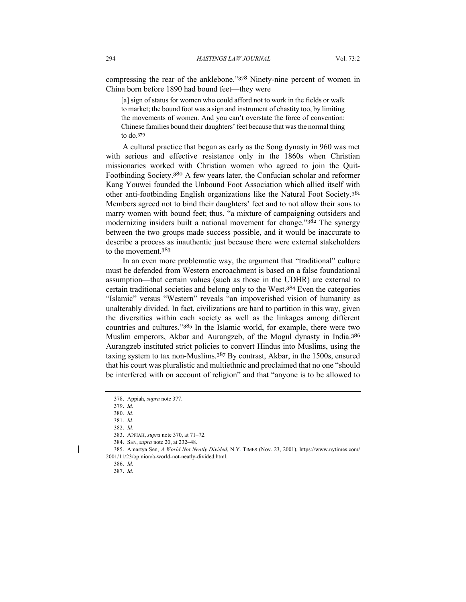compressing the rear of the anklebone."<sup>378</sup> Ninety-nine percent of women in China born before 1890 had bound feet—they were

[a] sign of status for women who could afford not to work in the fields or walk to market; the bound foot was a sign and instrument of chastity too, by limiting the movements of women. And you can't overstate the force of convention: Chinese families bound their daughters' feet because that was the normal thing to do.<sup>379</sup>

A cultural practice that began as early as the Song dynasty in 960 was met with serious and effective resistance only in the 1860s when Christian missionaries worked with Christian women who agreed to join the Quit-Footbinding Society.<sup>380</sup> A few years later, the Confucian scholar and reformer Kang Youwei founded the Unbound Foot Association which allied itself with other anti-footbinding English organizations like the Natural Foot Society.<sup>381</sup> Members agreed not to bind their daughters' feet and to not allow their sons to marry women with bound feet; thus, "a mixture of campaigning outsiders and modernizing insiders built a national movement for change."<sup>382</sup> The synergy between the two groups made success possible, and it would be inaccurate to describe a process as inauthentic just because there were external stakeholders to the movement.<sup>383</sup>

In an even more problematic way, the argument that "traditional" culture must be defended from Western encroachment is based on a false foundational assumption—that certain values (such as those in the UDHR) are external to certain traditional societies and belong only to the West.<sup>384</sup> Even the categories "Islamic" versus "Western" reveals "an impoverished vision of humanity as unalterably divided. In fact, civilizations are hard to partition in this way, given the diversities within each society as well as the linkages among different countries and cultures."<sup>385</sup> In the Islamic world, for example, there were two Muslim emperors, Akbar and Aurangzeb, of the Mogul dynasty in India.<sup>386</sup> Aurangzeb instituted strict policies to convert Hindus into Muslims, using the taxing system to tax non-Muslims.<sup>387</sup> By contrast, Akbar, in the 1500s, ensured that his court was pluralistic and multiethnic and proclaimed that no one "should be interfered with on account of religion" and that "anyone is to be allowed to

<sup>378.</sup> Appiah, *supra* note 377.

<sup>379.</sup> *Id*.

<sup>380.</sup> *Id*.

<sup>381.</sup> *Id*.

<sup>382.</sup> *Id*.

<sup>383.</sup> APPIAH, *supra* note 370, at 71–72.

<sup>384.</sup> SEN, *supra* note 20, at 232–48.

<sup>385.</sup> Amartya Sen, *A World Not Neatly Divided*, N.Y. TIMES (Nov. 23, 2001), https://www.nytimes.com/ 2001/11/23/opinion/a-world-not-neatly-divided.html.

<sup>386.</sup> *Id.*

<sup>387.</sup> *Id*.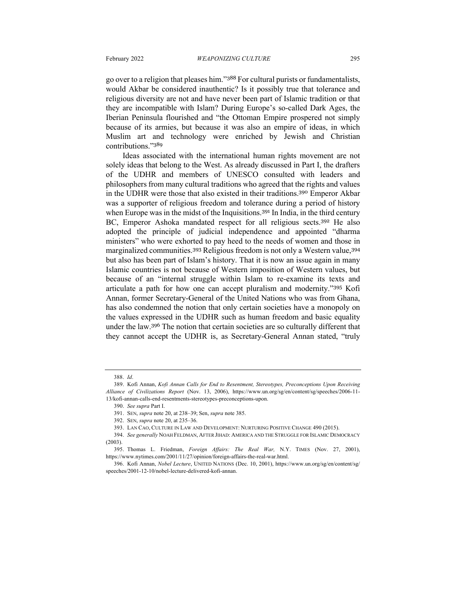go over to a religion that pleases him."<sup>388</sup> For cultural purists or fundamentalists, would Akbar be considered inauthentic? Is it possibly true that tolerance and religious diversity are not and have never been part of Islamic tradition or that they are incompatible with Islam? During Europe's so-called Dark Ages, the Iberian Peninsula flourished and "the Ottoman Empire prospered not simply because of its armies, but because it was also an empire of ideas, in which Muslim art and technology were enriched by Jewish and Christian contributions."<sup>389</sup>

Ideas associated with the international human rights movement are not solely ideas that belong to the West. As already discussed in Part I, the drafters of the UDHR and members of UNESCO consulted with leaders and philosophers from many cultural traditions who agreed that the rights and values in the UDHR were those that also existed in their traditions.<sup>390</sup> Emperor Akbar was a supporter of religious freedom and tolerance during a period of history when Europe was in the midst of the Inquisitions.<sup>391</sup> In India, in the third century BC, Emperor Ashoka mandated respect for all religious sects.<sup>392</sup> He also adopted the principle of judicial independence and appointed "dharma ministers" who were exhorted to pay heed to the needs of women and those in marginalized communities.<sup>393</sup> Religious freedom is not only a Western value, 394 but also has been part of Islam's history. That it is now an issue again in many Islamic countries is not because of Western imposition of Western values, but because of an "internal struggle within Islam to re-examine its texts and articulate a path for how one can accept pluralism and modernity."<sup>395</sup> Kofi Annan, former Secretary-General of the United Nations who was from Ghana, has also condemned the notion that only certain societies have a monopoly on the values expressed in the UDHR such as human freedom and basic equality under the law.<sup>396</sup> The notion that certain societies are so culturally different that they cannot accept the UDHR is, as Secretary-General Annan stated, "truly

<sup>388.</sup> *Id*.

<sup>389.</sup> Kofi Annan, *Kofi Annan Calls for End to Resentment, Stereotypes, Preconceptions Upon Receiving Alliance of Civilizations Report* (Nov. 13, 2006), https://www.un.org/sg/en/content/sg/speeches/2006-11- 13/kofi-annan-calls-end-resentments-stereotypes-preconceptions-upon.

<sup>390.</sup> *See supra* Part I.

<sup>391.</sup> SEN, *supra* note 20, at 238–39; Sen, *supra* note 385.

<sup>392.</sup> SEN, *supra* note 20, at 235–36.

<sup>393.</sup> LAN CAO, CULTURE IN LAW AND DEVELOPMENT: NURTURING POSITIVE CHANGE 490 (2015).

<sup>394.</sup> *See generally* NOAH FELDMAN, AFTER JIHAD: AMERICA AND THE STRUGGLE FOR ISLAMIC DEMOCRACY (2003).

<sup>395.</sup> Thomas L. Friedman, *Foreign Affairs: The Real War,* N.Y. TIMES (Nov. 27, 2001), https://www.nytimes.com/2001/11/27/opinion/foreign-affairs-the-real-war.html.

<sup>396.</sup> Kofi Annan, *Nobel Lecture*, UNITED NATIONS (Dec. 10, 2001), https://www.un.org/sg/en/content/sg/ speeches/2001-12-10/nobel-lecture-delivered-kofi-annan.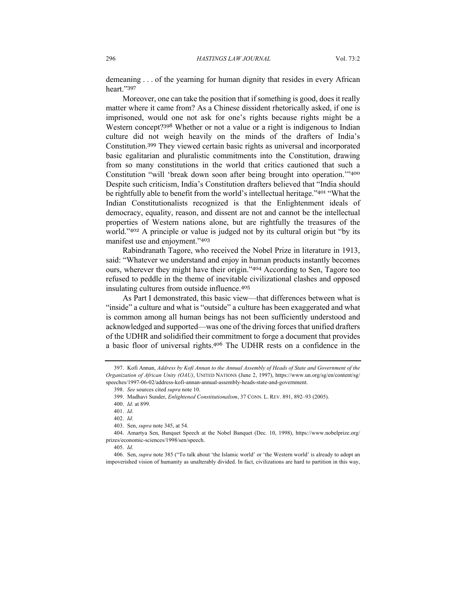demeaning . . . of the yearning for human dignity that resides in every African heart."<sup>397</sup>

Moreover, one can take the position that if something is good, does it really matter where it came from? As a Chinese dissident rhetorically asked, if one is imprisoned, would one not ask for one's rights because rights might be a Western concept?<sup>398</sup> Whether or not a value or a right is indigenous to Indian culture did not weigh heavily on the minds of the drafters of India's Constitution.<sup>399</sup> They viewed certain basic rights as universal and incorporated basic egalitarian and pluralistic commitments into the Constitution, drawing from so many constitutions in the world that critics cautioned that such a Constitution "will 'break down soon after being brought into operation.'"<sup>400</sup> Despite such criticism, India's Constitution drafters believed that "India should be rightfully able to benefit from the world's intellectual heritage."<sup>401</sup> "What the Indian Constitutionalists recognized is that the Enlightenment ideals of democracy, equality, reason, and dissent are not and cannot be the intellectual properties of Western nations alone, but are rightfully the treasures of the world."<sup>402</sup> A principle or value is judged not by its cultural origin but "by its manifest use and enjoyment."<sup>403</sup>

Rabindranath Tagore, who received the Nobel Prize in literature in 1913, said: "Whatever we understand and enjoy in human products instantly becomes ours, wherever they might have their origin."<sup>404</sup> According to Sen, Tagore too refused to peddle in the theme of inevitable civilizational clashes and opposed insulating cultures from outside influence.<sup>405</sup>

As Part I demonstrated, this basic view—that differences between what is "inside" a culture and what is "outside" a culture has been exaggerated and what is common among all human beings has not been sufficiently understood and acknowledged and supported—was one of the driving forces that unified drafters of the UDHR and solidified their commitment to forge a document that provides a basic floor of universal rights.<sup>406</sup> The UDHR rests on a confidence in the

<sup>397.</sup> Kofi Annan, *Address by Kofi Annan to the Annual Assembly of Heads of State and Government of the Organization of African Unity (OAU)*, UNITED NATIONS (June 2, 1997), https://www.un.org/sg/en/content/sg/ speeches/1997-06-02/address-kofi-annan-annual-assembly-heads-state-and-government.

<sup>398.</sup> *See* sources cited *supra* note 10.

<sup>399.</sup> Madhavi Sunder, *Enlightened Constitutionalism*, 37 CONN. L. REV. 891, 892–93 (2005).

<sup>400.</sup> *Id*. at 899.

<sup>401.</sup> *Id*.

<sup>402.</sup> *Id*.

<sup>403.</sup> Sen, *supra* note 345, at 54.

<sup>404.</sup> Amartya Sen, Banquet Speech at the Nobel Banquet (Dec. 10, 1998), https://www.nobelprize.org/ prizes/economic-sciences/1998/sen/speech.

<sup>405.</sup> *Id*.

<sup>406.</sup> Sen, *supra* note 385 ("To talk about 'the Islamic world' or 'the Western world' is already to adopt an impoverished vision of humanity as unalterably divided. In fact, civilizations are hard to partition in this way,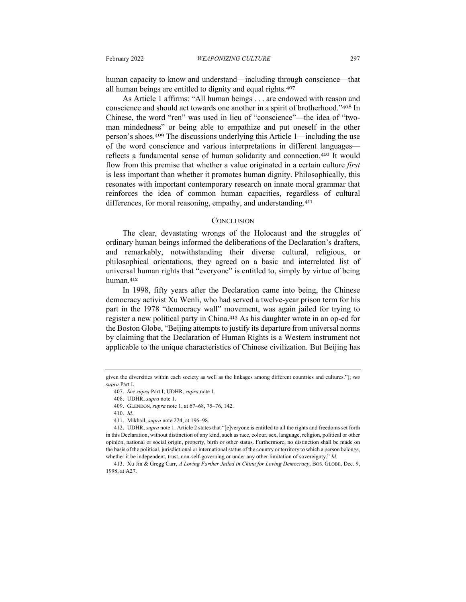human capacity to know and understand—including through conscience—that all human beings are entitled to dignity and equal rights.<sup>407</sup>

As Article 1 affirms: "All human beings . . . are endowed with reason and conscience and should act towards one another in a spirit of brotherhood."<sup>408</sup> In Chinese, the word "ren" was used in lieu of "conscience"—the idea of "twoman mindedness" or being able to empathize and put oneself in the other person's shoes.<sup>409</sup> The discussions underlying this Article 1—including the use of the word conscience and various interpretations in different languages reflects a fundamental sense of human solidarity and connection.<sup>410</sup> It would flow from this premise that whether a value originated in a certain culture *first*  is less important than whether it promotes human dignity. Philosophically, this resonates with important contemporary research on innate moral grammar that reinforces the idea of common human capacities, regardless of cultural differences, for moral reasoning, empathy, and understanding.<sup>411</sup>

#### **CONCLUSION**

The clear, devastating wrongs of the Holocaust and the struggles of ordinary human beings informed the deliberations of the Declaration's drafters, and remarkably, notwithstanding their diverse cultural, religious, or philosophical orientations, they agreed on a basic and interrelated list of universal human rights that "everyone" is entitled to, simply by virtue of being human.<sup>412</sup>

In 1998, fifty years after the Declaration came into being, the Chinese democracy activist Xu Wenli, who had served a twelve-year prison term for his part in the 1978 "democracy wall" movement, was again jailed for trying to register a new political party in China.<sup>413</sup> As his daughter wrote in an op-ed for the Boston Globe, "Beijing attempts to justify its departure from universal norms by claiming that the Declaration of Human Rights is a Western instrument not applicable to the unique characteristics of Chinese civilization. But Beijing has

given the diversities within each society as well as the linkages among different countries and cultures."); *see supra* Part I.

<sup>407.</sup> *See supra* Part I; UDHR, *supra* note 1.

<sup>408.</sup> UDHR, *supra* note 1.

<sup>409.</sup> GLENDON, *supra* note 1, at 67–68, 75–76, 142.

<sup>410.</sup> *Id*.

<sup>411.</sup> Mikhail, *supra* note 224, at 196–98.

<sup>412.</sup> UDHR, *supra* note 1. Article 2 states that "[e]veryone is entitled to all the rights and freedoms set forth in this Declaration, without distinction of any kind, such as race, colour, sex, language, religion, political or other opinion, national or social origin, property, birth or other status. Furthermore, no distinction shall be made on the basis of the political, jurisdictional or international status of the country or territory to which a person belongs, whether it be independent, trust, non-self-governing or under any other limitation of sovereignty." *Id.*

<sup>413.</sup> Xu Jin & Gregg Carr, *A Loving Farther Jailed in China for Loving Democracy*, BOS. GLOBE, Dec. 9, 1998, at A27.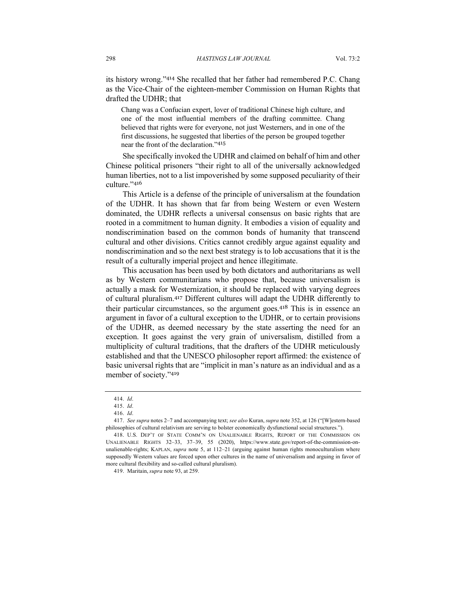its history wrong."<sup>414</sup> She recalled that her father had remembered P.C. Chang as the Vice-Chair of the eighteen-member Commission on Human Rights that drafted the UDHR; that

Chang was a Confucian expert, lover of traditional Chinese high culture, and one of the most influential members of the drafting committee. Chang believed that rights were for everyone, not just Westerners, and in one of the first discussions, he suggested that liberties of the person be grouped together near the front of the declaration."<sup>415</sup>

She specifically invoked the UDHR and claimed on behalf of him and other Chinese political prisoners "their right to all of the universally acknowledged human liberties, not to a list impoverished by some supposed peculiarity of their culture."<sup>416</sup>

This Article is a defense of the principle of universalism at the foundation of the UDHR. It has shown that far from being Western or even Western dominated, the UDHR reflects a universal consensus on basic rights that are rooted in a commitment to human dignity. It embodies a vision of equality and nondiscrimination based on the common bonds of humanity that transcend cultural and other divisions. Critics cannot credibly argue against equality and nondiscrimination and so the next best strategy is to lob accusations that it is the result of a culturally imperial project and hence illegitimate.

This accusation has been used by both dictators and authoritarians as well as by Western communitarians who propose that, because universalism is actually a mask for Westernization, it should be replaced with varying degrees of cultural pluralism.<sup>417</sup> Different cultures will adapt the UDHR differently to their particular circumstances, so the argument goes.<sup>418</sup> This is in essence an argument in favor of a cultural exception to the UDHR, or to certain provisions of the UDHR, as deemed necessary by the state asserting the need for an exception. It goes against the very grain of universalism, distilled from a multiplicity of cultural traditions, that the drafters of the UDHR meticulously established and that the UNESCO philosopher report affirmed: the existence of basic universal rights that are "implicit in man's nature as an individual and as a member of society."<sup>419</sup>

<sup>414.</sup> *Id*.

<sup>415.</sup> *Id*.

<sup>416.</sup> *Id*.

<sup>417.</sup> *See supra* notes 2–7 and accompanying text; *see also* Kuran, *supra* note 352, at 126 ("[W]estern-based philosophies of cultural relativism are serving to bolster economically dysfunctional social structures.").

<sup>418.</sup> U.S. DEP'T OF STATE COMM'N ON UNALIENABLE RIGHTS, REPORT OF THE COMMISSION ON UNALIENABLE RIGHTS 32–33, 37–39, 55 (2020), https://www.state.gov/report-of-the-commission-onunalienable-rights; KAPLAN, *supra* note 5, at 112–21 (arguing against human rights monoculturalism where supposedly Western values are forced upon other cultures in the name of universalism and arguing in favor of more cultural flexibility and so-called cultural pluralism).

<sup>419.</sup> Maritain, *supra* note 93, at 259.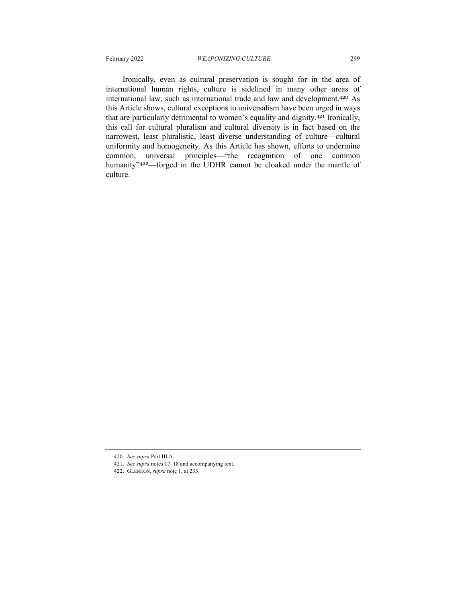Ironically, even as cultural preservation is sought for in the area of international human rights, culture is sidelined in many other areas of international law, such as international trade and law and development.<sup>420</sup> As this Article shows, cultural exceptions to universalism have been urged in ways that are particularly detrimental to women's equality and dignity.<sup>421</sup> Ironically, this call for cultural pluralism and cultural diversity is in fact based on the narrowest, least pluralistic, least diverse understanding of culture—cultural uniformity and homogeneity. As this Article has shown, efforts to undermine common, universal principles—"the recognition of one common humanity"<sup>422</sup>—forged in the UDHR cannot be cloaked under the mantle of culture.

- 421. *See supra* notes 17–18 and accompanying text.
- 422. GLENDON, *supra* note 1, at 233.

<sup>420.</sup> *See supra* Part III.A.